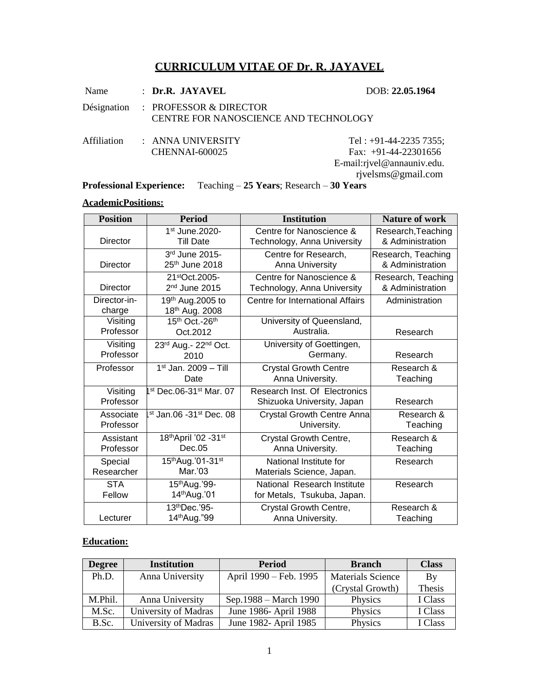# **CURRICULUM VITAE OF Dr. R. JAYAVEL**

| Name        | $:$ Dr.R. JAYAVEL                                                           | DOB: 22.05.1964                                                                                       |
|-------------|-----------------------------------------------------------------------------|-------------------------------------------------------------------------------------------------------|
|             | Désignation : PROFESSOR & DIRECTOR<br>CENTRE FOR NANOSCIENCE AND TECHNOLOGY |                                                                                                       |
| Affiliation | : ANNA UNIVERSITY<br>CHENNAI-600025                                         | Tel: $+91-44-2235735$ ;<br>Fax: $+91-44-22301656$<br>E-mail:rjvel@annauniv.edu.<br>rjvelsms@gmail.com |

**Professional Experience:** Teaching – **25 Years**; Research – **30 Years** 

### **AcademicPositions:**

| <b>Position</b>        | <b>Period</b>                                  | <b>Institution</b>                                          | <b>Nature of work</b> |
|------------------------|------------------------------------------------|-------------------------------------------------------------|-----------------------|
| Director               | 1st June.2020-                                 | Centre for Nanoscience &                                    | Research, Teaching    |
|                        | <b>Till Date</b>                               | Technology, Anna University                                 | & Administration      |
| Director               | 3rd June 2015-                                 | Centre for Research,                                        | Research, Teaching    |
|                        | 25 <sup>th</sup> June 2018                     | Anna University                                             | & Administration      |
| <b>Director</b>        | 21stOct.2005-                                  | Centre for Nanoscience &                                    | Research, Teaching    |
|                        | 2 <sup>nd</sup> June 2015                      | Technology, Anna University                                 | & Administration      |
| Director-in-<br>charge | 19 <sup>th</sup> Aug.2005 to<br>18th Aug. 2008 | Centre for International Affairs                            | Administration        |
| Visiting               | 15th Oct.-26th                                 | University of Queensland,                                   | Research              |
| Professor              | Oct.2012                                       | Australia.                                                  |                       |
| Visiting               | 23rd Aug.- 22nd Oct.                           | University of Goettingen,                                   | Research              |
| Professor              | 2010                                           | Germany.                                                    |                       |
| Professor              | 1st Jan. 2009 - Till                           | <b>Crystal Growth Centre</b>                                | Research &            |
|                        | Date                                           | Anna University.                                            | Teaching              |
| Visiting<br>Professor  | st Dec.06-31st Mar. 07                         | Research Inst. Of Electronics<br>Shizuoka University, Japan | Research              |
| Associate              | st Jan.06 -31st Dec. 08                        | <b>Crystal Growth Centre Anna</b>                           | Research &            |
| Professor              |                                                | University.                                                 | Teaching              |
| Assistant              | 18th April '02 - 31st                          | Crystal Growth Centre,                                      | Research &            |
| Professor              | Dec.05                                         | Anna University.                                            | Teaching              |
| Special                | 15th Aug. '01-31st                             | National Institute for                                      | Research              |
| Researcher             | Mar.'03                                        | Materials Science, Japan.                                   |                       |
| <b>STA</b>             | 15 <sup>th</sup> Aug.'99-                      | National Research Institute                                 | Research              |
| Fellow                 | 14th Aug.'01                                   | for Metals, Tsukuba, Japan.                                 |                       |
| Lecturer               | 13th Dec.'95-                                  | Crystal Growth Centre,                                      | Research &            |
|                        | 14 <sup>th</sup> Aug."99                       | Anna University.                                            | Teaching              |

### **Education:**

| <b>Degree</b> | <b>Institution</b>   | <b>Period</b>          | <b>Branch</b>            | <b>Class</b> |
|---------------|----------------------|------------------------|--------------------------|--------------|
| Ph.D.         | Anna University      | April 1990 – Feb. 1995 | <b>Materials Science</b> | By           |
|               |                      |                        | (Crystal Growth)         | Thesis       |
| M.Phil.       | Anna University      | Sep.1988 – March 1990  | Physics                  | I Class      |
| M.Sc.         | University of Madras | June 1986- April 1988  | Physics                  | I Class      |
| B.Sc.         | University of Madras | June 1982- April 1985  | Physics                  | I Class      |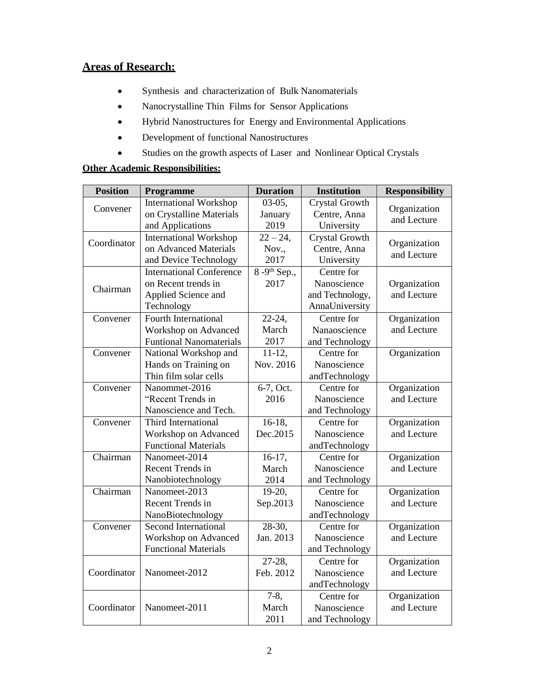### **Areas of Research:**

- Synthesis and characterization of Bulk Nanomaterials
- Nanocrystalline Thin Films for Sensor Applications
- Hybrid Nanostructures for Energy and Environmental Applications
- Development of functional Nanostructures
- Studies on the growth aspects of Laser and Nonlinear Optical Crystals

#### **Other Academic Responsibilities:**

| <b>Position</b> | Programme                       | <b>Duration</b> | <b>Institution</b>    | <b>Responsibility</b> |
|-----------------|---------------------------------|-----------------|-----------------------|-----------------------|
| Convener        | <b>International Workshop</b>   | $03-05,$        | <b>Crystal Growth</b> | Organization          |
|                 | on Crystalline Materials        | January         | Centre, Anna          | and Lecture           |
|                 | and Applications                | 2019            | University            |                       |
| Coordinator     | <b>International Workshop</b>   | $22 - 24$ ,     | Crystal Growth        | Organization          |
|                 | on Advanced Materials           | Nov.,           | Centre, Anna          | and Lecture           |
|                 | and Device Technology           | 2017            | University            |                       |
|                 | <b>International Conference</b> | $8-9th$ Sep.,   | Centre for            |                       |
| Chairman        | on Recent trends in             | 2017            | Nanoscience           | Organization          |
|                 | Applied Science and             |                 | and Technology,       | and Lecture           |
|                 | Technology                      |                 | AnnaUniversity        |                       |
| Convener        | Fourth International            | $22 - 24$ ,     | Centre for            | Organization          |
|                 | Workshop on Advanced            | March           | Nanaoscience          | and Lecture           |
|                 | <b>Funtional Nanomaterials</b>  | 2017            | and Technology        |                       |
| Convener        | National Workshop and           | $11-12,$        | Centre for            | Organization          |
|                 | Hands on Training on            | Nov. 2016       | Nanoscience           |                       |
|                 | Thin film solar cells           |                 | andTechnology         |                       |
| Convener        | Nanommet-2016                   | 6-7, Oct.       | Centre for            | Organization          |
|                 | "Recent Trends in               | 2016            | Nanoscience           | and Lecture           |
|                 | Nanoscience and Tech.           |                 | and Technology        |                       |
| Convener        | Third International             | $16-18$ ,       | Centre for            | Organization          |
|                 | Workshop on Advanced            | Dec.2015        | Nanoscience           | and Lecture           |
|                 | <b>Functional Materials</b>     |                 | andTechnology         |                       |
| Chairman        | Nanomeet-2014                   | $16-17,$        | Centre for            | Organization          |
|                 | Recent Trends in                | March           | Nanoscience           | and Lecture           |
|                 | Nanobiotechnology               | 2014            | and Technology        |                       |
| Chairman        | Nanomeet-2013                   | 19-20,          | Centre for            | Organization          |
|                 | Recent Trends in                | Sep.2013        | Nanoscience           | and Lecture           |
|                 | NanoBiotechnology               |                 | andTechnology         |                       |
| Convener        | Second International            | 28-30,          | Centre for            | Organization          |
|                 | Workshop on Advanced            | Jan. 2013       | Nanoscience           | and Lecture           |
|                 | <b>Functional Materials</b>     |                 | and Technology        |                       |
|                 |                                 | 27-28,          | Centre for            | Organization          |
| Coordinator     | Nanomeet-2012                   | Feb. 2012       | Nanoscience           | and Lecture           |
|                 |                                 |                 | andTechnology         |                       |
|                 |                                 | $7-8,$          | Centre for            | Organization          |
| Coordinator     | Nanomeet-2011                   | March           | Nanoscience           | and Lecture           |
|                 |                                 | 2011            | and Technology        |                       |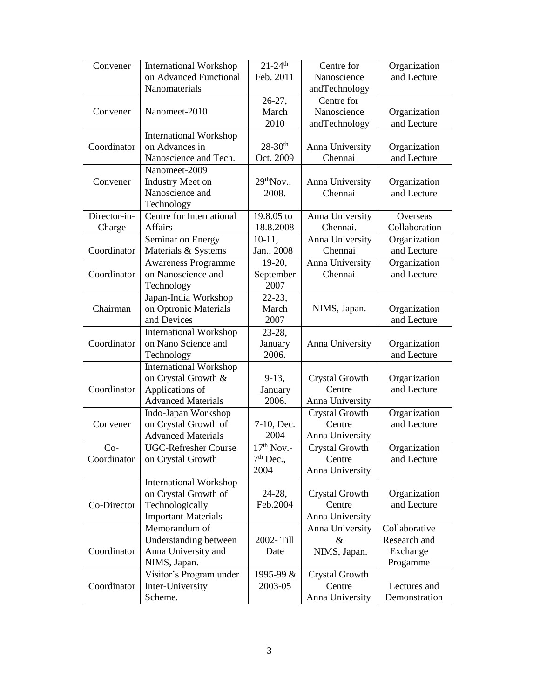| Convener     | <b>International Workshop</b>                 | $21 - 24$ <sup>th</sup> | Centre for               | Organization                |
|--------------|-----------------------------------------------|-------------------------|--------------------------|-----------------------------|
|              | on Advanced Functional                        | Feb. 2011               | Nanoscience              | and Lecture                 |
|              | Nanomaterials                                 |                         | andTechnology            |                             |
|              |                                               | $26-27,$                | Centre for               |                             |
| Convener     | Nanomeet-2010                                 | March                   | Nanoscience              | Organization                |
|              |                                               | 2010                    | andTechnology            | and Lecture                 |
|              | <b>International Workshop</b>                 |                         |                          |                             |
| Coordinator  | on Advances in                                | $28 - 30$ <sup>th</sup> | Anna University          | Organization                |
|              | Nanoscience and Tech.                         | Oct. 2009               | Chennai                  | and Lecture                 |
|              | Nanomeet-2009                                 |                         |                          |                             |
| Convener     | <b>Industry Meet on</b>                       | 29 <sup>th</sup> Nov.   | Anna University          | Organization                |
|              | Nanoscience and                               | 2008.                   | Chennai                  | and Lecture                 |
|              | Technology                                    |                         |                          |                             |
| Director-in- | Centre for International                      | 19.8.05 to              | Anna University          | Overseas                    |
| Charge       | Affairs                                       | 18.8.2008               | Chennai.                 | Collaboration               |
|              | Seminar on Energy                             | $10-11,$                | Anna University          | Organization                |
| Coordinator  | Materials & Systems                           | Jan., 2008              | Chennai                  | and Lecture                 |
|              | <b>Awareness Programme</b>                    | $19-20,$                | Anna University          | Organization                |
| Coordinator  | on Nanoscience and                            | September               | Chennai                  | and Lecture                 |
|              | Technology                                    | 2007                    |                          |                             |
|              | Japan-India Workshop                          | $22 - 23$ ,             |                          |                             |
| Chairman     | on Optronic Materials                         | March                   | NIMS, Japan.             | Organization                |
|              | and Devices                                   | 2007                    |                          | and Lecture                 |
|              | <b>International Workshop</b>                 | 23-28,                  |                          |                             |
| Coordinator  | on Nano Science and                           | January                 | Anna University          | Organization                |
|              | Technology                                    | 2006.                   |                          | and Lecture                 |
|              | <b>International Workshop</b>                 |                         |                          |                             |
|              | on Crystal Growth &                           | $9-13,$                 | Crystal Growth           | Organization                |
| Coordinator  | Applications of                               | January                 | Centre                   | and Lecture                 |
|              | <b>Advanced Materials</b>                     | 2006.                   | Anna University          |                             |
|              | Indo-Japan Workshop                           |                         | Crystal Growth           | Organization                |
| Convener     | on Crystal Growth of                          | 7-10, Dec.              | Centre                   | and Lecture                 |
|              | <b>Advanced Materials</b>                     | 2004                    | Anna University          |                             |
| $Co-$        | <b>UGC-Refresher Course</b>                   | $17th$ Nov.-            | Crystal Growth           | Organization                |
| Coordinator  | on Crystal Growth                             | $7th$ Dec.,             | Centre                   | and Lecture                 |
|              |                                               | 2004                    | Anna University          |                             |
|              | <b>International Workshop</b>                 |                         |                          |                             |
| Co-Director  | on Crystal Growth of                          | $24-28,$<br>Feb.2004    | Crystal Growth<br>Centre | Organization<br>and Lecture |
|              | Technologically<br><b>Important Materials</b> |                         | Anna University          |                             |
|              | Memorandum of                                 |                         |                          | Collaborative               |
|              | Understanding between                         | 2002-Till               | Anna University<br>$\&$  | Research and                |
| Coordinator  | Anna University and                           | Date                    |                          | Exchange                    |
|              | NIMS, Japan.                                  |                         | NIMS, Japan.             | Progamme                    |
|              | Visitor's Program under                       | 1995-99 &               | Crystal Growth           |                             |
| Coordinator  | Inter-University                              | 2003-05                 | Centre                   | Lectures and                |
|              | Scheme.                                       |                         | Anna University          | Demonstration               |
|              |                                               |                         |                          |                             |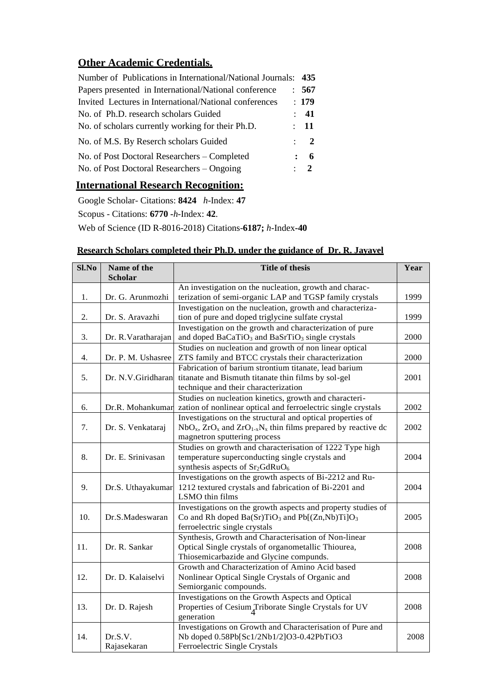# **Other Academic Credentials.**

| Number of Publications in International/National Journals: 435 |              |                 |
|----------------------------------------------------------------|--------------|-----------------|
| Papers presented in International/National conference          |              | : 567           |
| Invited Lectures in International/National conferences         |              | : 179           |
| No. of Ph.D. research scholars Guided                          |              | $\therefore$ 41 |
| No. of scholars currently working for their Ph.D.              |              | : 11            |
| No. of M.S. By Reserch scholars Guided                         |              | $\therefore$ 2  |
| No. of Post Doctoral Researchers – Completed                   | $\mathbf{L}$ | - 6             |
| No. of Post Doctoral Researchers – Ongoing                     |              | $\therefore$ 2  |
|                                                                |              |                 |

## **International Research Recognition:**

Google Scholar- Citations: **8424** *h*-Index: **47** Scopus - Citations: **6770 -***h*-Index: **42**. Web of Science (ID R-8016-2018) Citations-**6187;** *h*-Index**-40**

## **Research Scholars completed their Ph.D. under the guidance of Dr. R. Jayavel**

| Sl.No | Name of the<br><b>Scholar</b> | <b>Title of thesis</b>                                                  | Year |
|-------|-------------------------------|-------------------------------------------------------------------------|------|
|       |                               | An investigation on the nucleation, growth and charac-                  |      |
| 1.    | Dr. G. Arunmozhi              | terization of semi-organic LAP and TGSP family crystals                 | 1999 |
|       |                               | Investigation on the nucleation, growth and characteriza-               |      |
| 2.    | Dr. S. Aravazhi               | tion of pure and doped triglycine sulfate crystal                       | 1999 |
|       |                               | Investigation on the growth and characterization of pure                |      |
| 3.    | Dr. R. Varatharajan           | and doped BaCaTiO <sub>3</sub> and BaSrTiO <sub>3</sub> single crystals | 2000 |
|       |                               | Studies on nucleation and growth of non linear optical                  |      |
| 4.    | Dr. P. M. Ushasree            | ZTS family and BTCC crystals their characterization                     | 2000 |
|       |                               | Fabrication of barium strontium titanate, lead barium                   |      |
| 5.    | Dr. N.V.Giridharan            | titanate and Bismuth titanate thin films by sol-gel                     | 2001 |
|       |                               | technique and their characterization                                    |      |
|       |                               | Studies on nucleation kinetics, growth and characteri-                  |      |
| 6.    | Dr.R. Mohankumar              | zation of nonlinear optical and ferroelectric single crystals           | 2002 |
|       |                               | Investigations on the structural and optical properties of              |      |
| 7.    | Dr. S. Venkataraj             | $NbOx$ , $ZrOx$ and $ZrO1-xNx$ thin films prepared by reactive dc       | 2002 |
|       |                               | magnetron sputtering process                                            |      |
|       |                               | Studies on growth and characterisation of 1222 Type high                |      |
| 8.    | Dr. E. Srinivasan             | temperature superconducting single crystals and                         | 2004 |
|       |                               | synthesis aspects of Sr <sub>2</sub> GdRuO <sub>6</sub>                 |      |
|       |                               | Investigations on the growth aspects of Bi-2212 and Ru-                 |      |
| 9.    | Dr.S. Uthayakumar             | 1212 textured crystals and fabrication of Bi-2201 and                   | 2004 |
|       |                               | LSMO thin films                                                         |      |
|       |                               | Investigations on the growth aspects and property studies of            |      |
| 10.   | Dr.S.Madeswaran               | Co and Rh doped $Ba(Sr)TiO_3$ and $Pb[(Zn,Nb)Ti]O_3$                    | 2005 |
|       |                               | ferroelectric single crystals                                           |      |
|       |                               | Synthesis, Growth and Characterisation of Non-linear                    |      |
| 11.   | Dr. R. Sankar                 | Optical Single crystals of organometallic Thiourea,                     | 2008 |
|       |                               | Thiosemicarbazide and Glycine compunds.                                 |      |
|       |                               | Growth and Characterization of Amino Acid based                         |      |
| 12.   | Dr. D. Kalaiselvi             | Nonlinear Optical Single Crystals of Organic and                        | 2008 |
|       |                               | Semiorganic compounds.                                                  |      |
|       |                               | Investigations on the Growth Aspects and Optical                        |      |
| 13.   | Dr. D. Rajesh                 | Properties of Cesium <sub>A</sub> Triborate Single Crystals for UV      | 2008 |
|       |                               | generation                                                              |      |
|       |                               | Investigations on Growth and Characterisation of Pure and               |      |
| 14.   | Dr.S.V.                       | Nb doped 0.58Pb[Sc1/2Nb1/2]O3-0.42PbTiO3                                | 2008 |
|       | Rajasekaran                   | Ferroelectric Single Crystals                                           |      |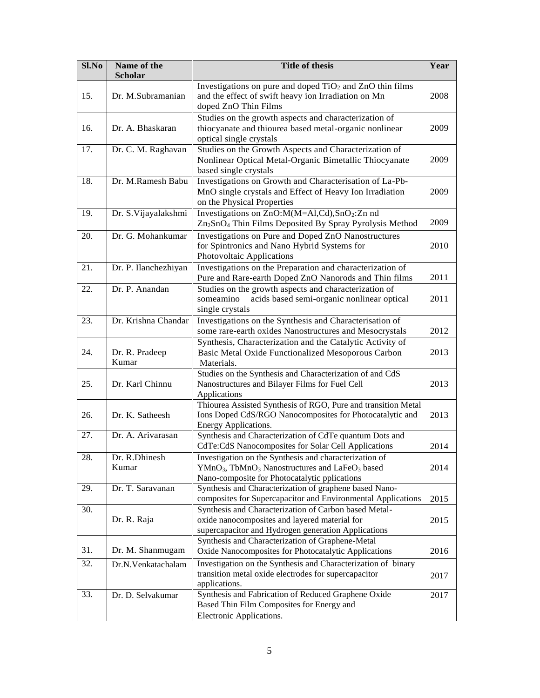| Sl.No | Name of the<br>Scholar  | <b>Title of thesis</b>                                                                                                                                                                        | Year |
|-------|-------------------------|-----------------------------------------------------------------------------------------------------------------------------------------------------------------------------------------------|------|
| 15.   | Dr. M.Subramanian       | Investigations on pure and doped $TiO2$ and $ZnO$ thin films<br>and the effect of swift heavy ion Irradiation on Mn<br>doped ZnO Thin Films                                                   | 2008 |
| 16.   | Dr. A. Bhaskaran        | Studies on the growth aspects and characterization of<br>thiocyanate and thiourea based metal-organic nonlinear<br>optical single crystals                                                    | 2009 |
| 17.   | Dr. C. M. Raghavan      | Studies on the Growth Aspects and Characterization of<br>Nonlinear Optical Metal-Organic Bimetallic Thiocyanate<br>based single crystals                                                      | 2009 |
| 18.   | Dr. M.Ramesh Babu       | Investigations on Growth and Characterisation of La-Pb-<br>MnO single crystals and Effect of Heavy Ion Irradiation<br>on the Physical Properties                                              | 2009 |
| 19.   | Dr. S. Vijayalakshmi    | Investigations on ZnO:M(M=Al,Cd),SnO2:Zn nd<br>Zn <sub>2</sub> SnO <sub>4</sub> Thin Films Deposited By Spray Pyrolysis Method                                                                | 2009 |
| 20.   | Dr. G. Mohankumar       | Investigations on Pure and Doped ZnO Nanostructures<br>for Spintronics and Nano Hybrid Systems for<br>Photovoltaic Applications                                                               | 2010 |
| 21.   | Dr. P. Ilanchezhiyan    | Investigations on the Preparation and characterization of<br>Pure and Rare-earth Doped ZnO Nanorods and Thin films                                                                            | 2011 |
| 22.   | Dr. P. Anandan          | Studies on the growth aspects and characterization of<br>acids based semi-organic nonlinear optical<br>someamino<br>single crystals                                                           | 2011 |
| 23.   | Dr. Krishna Chandar     | Investigations on the Synthesis and Characterisation of<br>some rare-earth oxides Nanostructures and Mesocrystals                                                                             | 2012 |
| 24.   | Dr. R. Pradeep<br>Kumar | Synthesis, Characterization and the Catalytic Activity of<br>Basic Metal Oxide Functionalized Mesoporous Carbon<br>Materials.                                                                 | 2013 |
| 25.   | Dr. Karl Chinnu         | Studies on the Synthesis and Characterization of and CdS<br>Nanostructures and Bilayer Films for Fuel Cell<br>Applications                                                                    | 2013 |
| 26.   | Dr. K. Satheesh         | Thiourea Assisted Synthesis of RGO, Pure and transition Metal<br>Ions Doped CdS/RGO Nanocomposites for Photocatalytic and<br>Energy Applications.                                             | 2013 |
| 27.   | Dr. A. Arivarasan       | Synthesis and Characterization of CdTe quantum Dots and<br>CdTe:CdS Nanocomposites for Solar Cell Applications                                                                                | 2014 |
| 28.   | Dr. R.Dhinesh<br>Kumar  | Investigation on the Synthesis and characterization of<br>YMnO <sub>3</sub> , TbMnO <sub>3</sub> Nanostructures and LaFeO <sub>3</sub> based<br>Nano-composite for Photocatalytic pplications | 2014 |
| 29.   | Dr. T. Saravanan        | Synthesis and Characterization of graphene based Nano-<br>composites for Supercapacitor and Environmental Applications                                                                        | 2015 |
| 30.   | Dr. R. Raja             | Synthesis and Characterization of Carbon based Metal-<br>oxide nanocomposites and layered material for<br>supercapacitor and Hydrogen generation Applications                                 | 2015 |
| 31.   | Dr. M. Shanmugam        | Synthesis and Characterization of Graphene-Metal<br>Oxide Nanocomposites for Photocatalytic Applications                                                                                      | 2016 |
| 32.   | Dr.N.Venkatachalam      | Investigation on the Synthesis and Characterization of binary<br>transition metal oxide electrodes for supercapacitor<br>applications.                                                        | 2017 |
| 33.   | Dr. D. Selvakumar       | Synthesis and Fabrication of Reduced Graphene Oxide<br>Based Thin Film Composites for Energy and<br>Electronic Applications.                                                                  | 2017 |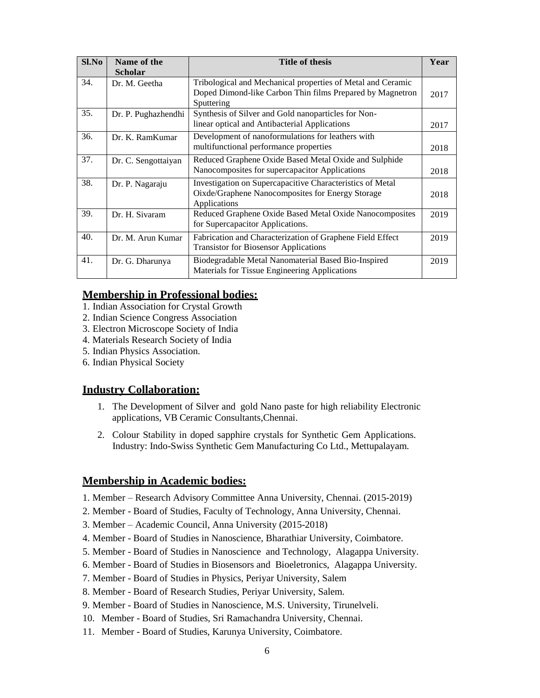| S1.No | Name of the         | <b>Title of thesis</b>                                                                                                                 | Year |
|-------|---------------------|----------------------------------------------------------------------------------------------------------------------------------------|------|
|       | <b>Scholar</b>      |                                                                                                                                        |      |
| 34.   | Dr. M. Geetha       | Tribological and Mechanical properties of Metal and Ceramic<br>Doped Dimond-like Carbon Thin films Prepared by Magnetron<br>Sputtering | 2017 |
| 35.   | Dr. P. Pughazhendhi | Synthesis of Silver and Gold nanoparticles for Non-<br>linear optical and Antibacterial Applications                                   | 2017 |
| 36.   | Dr. K. RamKumar     | Development of nanoformulations for leathers with<br>multifunctional performance properties                                            | 2018 |
| 37.   | Dr. C. Sengottaiyan | Reduced Graphene Oxide Based Metal Oxide and Sulphide<br>Nanocomposites for supercapacitor Applications                                | 2018 |
| 38.   | Dr. P. Nagaraju     | Investigation on Supercapacitive Characteristics of Metal<br>Oixde/Graphene Nanocomposites for Energy Storage<br>Applications          | 2018 |
| 39.   | Dr. H. Sivaram      | Reduced Graphene Oxide Based Metal Oxide Nanocomposites<br>for Supercapacitor Applications.                                            | 2019 |
| 40.   | Dr. M. Arun Kumar   | Fabrication and Characterization of Graphene Field Effect<br><b>Transistor for Biosensor Applications</b>                              | 2019 |
| 41.   | Dr. G. Dharunya     | Biodegradable Metal Nanomaterial Based Bio-Inspired<br>Materials for Tissue Engineering Applications                                   | 2019 |

#### **Membership in Professional bodies:**

- 1. Indian Association for Crystal Growth
- 2. Indian Science Congress Association
- 3. Electron Microscope Society of India
- 4. Materials Research Society of India
- 5. Indian Physics Association.
- 6. Indian Physical Society

### **Industry Collaboration:**

- 1. The Development of Silver and gold Nano paste for high reliability Electronic applications, VB Ceramic Consultants,Chennai.
- 2. Colour Stability in doped sapphire crystals for Synthetic Gem Applications. Industry: Indo-Swiss Synthetic Gem Manufacturing Co Ltd., Mettupalayam.

### **Membership in Academic bodies:**

- 1. Member Research Advisory Committee Anna University, Chennai. (2015-2019)
- 2. Member Board of Studies, Faculty of Technology, Anna University, Chennai.
- 3. Member Academic Council, Anna University (2015-2018)
- 4. Member Board of Studies in Nanoscience, Bharathiar University, Coimbatore.
- 5. Member Board of Studies in Nanoscience and Technology, Alagappa University.
- 6. Member Board of Studies in Biosensors and Bioeletronics, Alagappa University.
- 7. Member Board of Studies in Physics, Periyar University, Salem
- 8. Member Board of Research Studies, Periyar University, Salem.
- 9. Member Board of Studies in Nanoscience, M.S. University, Tirunelveli.
- 10. Member Board of Studies, Sri Ramachandra University, Chennai.
- 11. Member Board of Studies, Karunya University, Coimbatore.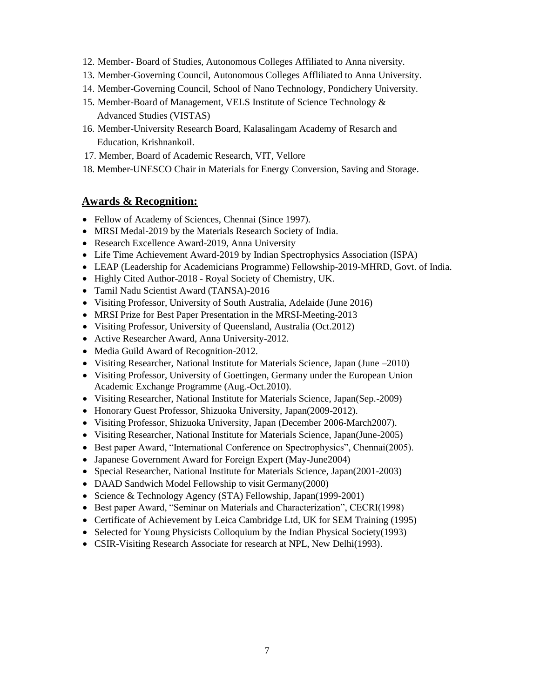- 12. Member- Board of Studies, Autonomous Colleges Affiliated to Anna niversity.
- 13. Member-Governing Council, Autonomous Colleges Affliliated to Anna University.
- 14. Member-Governing Council, School of Nano Technology, Pondichery University.
- 15. Member-Board of Management, VELS Institute of Science Technology & Advanced Studies (VISTAS)
- 16. Member-University Research Board, Kalasalingam Academy of Resarch and Education, Krishnankoil.
- 17. Member, Board of Academic Research, VIT, Vellore
- 18. Member-UNESCO Chair in Materials for Energy Conversion, Saving and Storage.

#### **Awards & Recognition:**

- Fellow of Academy of Sciences, Chennai (Since 1997).
- MRSI Medal-2019 by the Materials Research Society of India.
- Research Excellence Award-2019, Anna University
- Life Time Achievement Award-2019 by Indian Spectrophysics Association (ISPA)
- LEAP (Leadership for Academicians Programme) Fellowship-2019-MHRD, Govt. of India.
- Highly Cited Author-2018 Royal Society of Chemistry, UK.
- Tamil Nadu Scientist Award (TANSA)-2016
- Visiting Professor, University of South Australia, Adelaide (June 2016)
- MRSI Prize for Best Paper Presentation in the MRSI-Meeting-2013
- Visiting Professor, University of Queensland, Australia (Oct.2012)
- Active Researcher Award, Anna University-2012.
- Media Guild Award of Recognition-2012.
- Visiting Researcher, National Institute for Materials Science, Japan (June –2010)
- Visiting Professor, University of Goettingen, Germany under the European Union Academic Exchange Programme (Aug.-Oct.2010).
- Visiting Researcher, National Institute for Materials Science, Japan(Sep.-2009)
- Honorary Guest Professor, Shizuoka University, Japan(2009-2012).
- Visiting Professor, Shizuoka University, Japan (December 2006-March2007).
- Visiting Researcher, National Institute for Materials Science, Japan(June-2005)
- Best paper Award, "International Conference on Spectrophysics", Chennai(2005).
- Japanese Government Award for Foreign Expert (May-June2004)
- Special Researcher, National Institute for Materials Science, Japan(2001-2003)
- DAAD Sandwich Model Fellowship to visit Germany(2000)
- Science & Technology Agency (STA) Fellowship, Japan(1999-2001)
- Best paper Award, "Seminar on Materials and Characterization", CECRI(1998)
- Certificate of Achievement by Leica Cambridge Ltd, UK for SEM Training (1995)
- Selected for Young Physicists Colloquium by the Indian Physical Society(1993)
- CSIR-Visiting Research Associate for research at NPL, New Delhi(1993).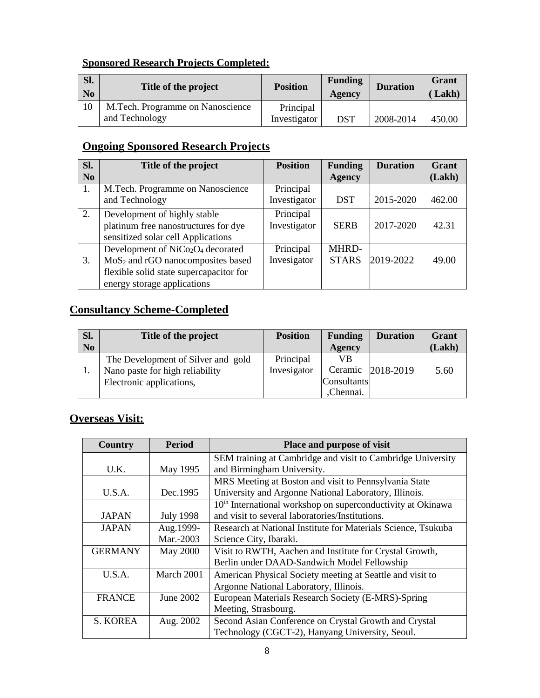### **Sponsored Research Projects Completed:**

| SI.<br>N <sub>0</sub> | Title of the project                               | <b>Position</b>           | <b>Funding</b><br>Agency | <b>Duration</b> | Grant<br>Lakh) |
|-----------------------|----------------------------------------------------|---------------------------|--------------------------|-----------------|----------------|
| 10                    | M.Tech. Programme on Nanoscience<br>and Technology | Principal<br>Investigator | <b>DST</b>               | 2008-2014       | 450.00         |

# **Ongoing Sponsored Research Projects**

| Sl.            | Title of the project                          | <b>Position</b> | <b>Funding</b> | <b>Duration</b> | Grant  |
|----------------|-----------------------------------------------|-----------------|----------------|-----------------|--------|
| N <sub>0</sub> |                                               |                 | <b>Agency</b>  |                 | (Lakh) |
| 1.             | M.Tech. Programme on Nanoscience              | Principal       |                |                 |        |
|                | and Technology                                | Investigator    | <b>DST</b>     | 2015-2020       | 462.00 |
| 2.             | Development of highly stable                  | Principal       |                |                 |        |
|                | platinum free nanostructures for dye          | Investigator    | <b>SERB</b>    | 2017-2020       | 42.31  |
|                | sensitized solar cell Applications            |                 |                |                 |        |
|                | Development of $NiCo2O4$ decorated            | Principal       | MHRD-          |                 |        |
| 3.             | MoS <sub>2</sub> and rGO nanocomposites based | Invesigator     | <b>STARS</b>   | 2019-2022       | 49.00  |
|                | flexible solid state supercapacitor for       |                 |                |                 |        |
|                | energy storage applications                   |                 |                |                 |        |

# **Consultancy Scheme-Completed**

| Sl.            | Title of the project               | <b>Position</b> | <b>Funding</b> | <b>Duration</b> | Grant  |
|----------------|------------------------------------|-----------------|----------------|-----------------|--------|
| N <sub>0</sub> |                                    |                 | Agency         |                 | (Lakh) |
|                | The Development of Silver and gold | Principal       | VB             |                 |        |
|                | Nano paste for high reliability    | Invesigator     | Ceramic        | 2018-2019       | 5.60   |
|                | Electronic applications,           |                 | Consultants    |                 |        |
|                |                                    |                 | ,Chennai.      |                 |        |

# **Overseas Visit:**

| Country        | <b>Period</b>    | Place and purpose of visit                                              |
|----------------|------------------|-------------------------------------------------------------------------|
|                |                  | SEM training at Cambridge and visit to Cambridge University             |
| U.K.           | May 1995         | and Birmingham University.                                              |
|                |                  | MRS Meeting at Boston and visit to Pennsylvania State                   |
| U.S.A.         | Dec.1995         | University and Argonne National Laboratory, Illinois.                   |
|                |                  | 10 <sup>th</sup> International workshop on superconductivity at Okinawa |
| <b>JAPAN</b>   | <b>July 1998</b> | and visit to several laboratories/Institutions.                         |
| <b>JAPAN</b>   | Aug. 1999-       | Research at National Institute for Materials Science, Tsukuba           |
|                | Mar.-2003        | Science City, Ibaraki.                                                  |
| <b>GERMANY</b> | May 2000         | Visit to RWTH, Aachen and Institute for Crystal Growth,                 |
|                |                  | Berlin under DAAD-Sandwich Model Fellowship                             |
| U.S.A.         | March 2001       | American Physical Society meeting at Seattle and visit to               |
|                |                  | Argonne National Laboratory, Illinois.                                  |
| <b>FRANCE</b>  | June 2002        | European Materials Research Society (E-MRS)-Spring                      |
|                |                  | Meeting, Strasbourg.                                                    |
| S. KOREA       | Aug. 2002        | Second Asian Conference on Crystal Growth and Crystal                   |
|                |                  | Technology (CGCT-2), Hanyang University, Seoul.                         |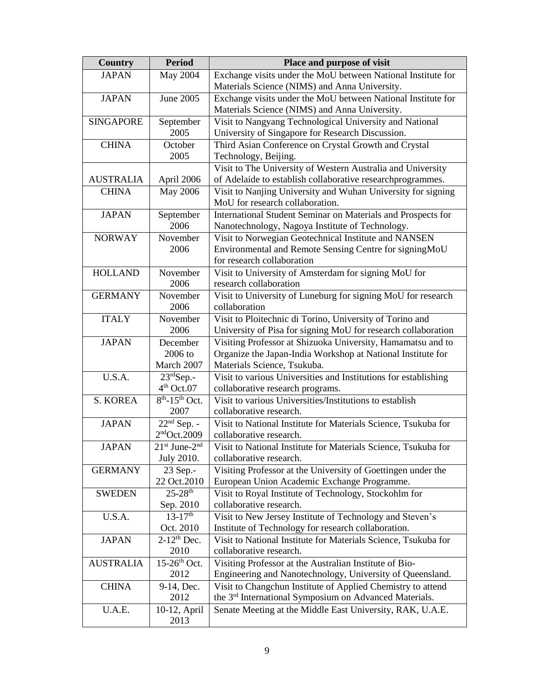| <b>Country</b>   | <b>Period</b>              | Place and purpose of visit                                         |
|------------------|----------------------------|--------------------------------------------------------------------|
| <b>JAPAN</b>     | May 2004                   | Exchange visits under the MoU between National Institute for       |
|                  |                            | Materials Science (NIMS) and Anna University.                      |
| <b>JAPAN</b>     | June 2005                  | Exchange visits under the MoU between National Institute for       |
|                  |                            | Materials Science (NIMS) and Anna University.                      |
| <b>SINGAPORE</b> | September                  | Visit to Nangyang Technological University and National            |
|                  | 2005                       | University of Singapore for Research Discussion.                   |
| <b>CHINA</b>     | October                    | Third Asian Conference on Crystal Growth and Crystal               |
|                  | 2005                       | Technology, Beijing.                                               |
|                  |                            | Visit to The University of Western Australia and University        |
| <b>AUSTRALIA</b> | April 2006                 | of Adelaide to establish collaborative researchprogrammes.         |
| <b>CHINA</b>     | <b>May 2006</b>            | Visit to Nanjing University and Wuhan University for signing       |
|                  |                            | MoU for research collaboration.                                    |
| <b>JAPAN</b>     | September                  | International Student Seminar on Materials and Prospects for       |
|                  | 2006                       | Nanotechnology, Nagoya Institute of Technology.                    |
| <b>NORWAY</b>    | November                   | Visit to Norwegian Geotechnical Institute and NANSEN               |
|                  | 2006                       | Environmental and Remote Sensing Centre for signingMoU             |
|                  |                            | for research collaboration                                         |
| <b>HOLLAND</b>   | November                   | Visit to University of Amsterdam for signing MoU for               |
|                  | 2006                       | research collaboration                                             |
| <b>GERMANY</b>   | November                   | Visit to University of Luneburg for signing MoU for research       |
|                  | 2006                       | collaboration                                                      |
| <b>ITALY</b>     | November                   | Visit to Ploitechnic di Torino, University of Torino and           |
|                  | 2006                       | University of Pisa for signing MoU for research collaboration      |
| <b>JAPAN</b>     | December                   | Visiting Professor at Shizuoka University, Hamamatsu and to        |
|                  | 2006 to                    | Organize the Japan-India Workshop at National Institute for        |
|                  | March 2007                 | Materials Science, Tsukuba.                                        |
| U.S.A.           | $23^{\text{rd}}$ Sep.-     | Visit to various Universities and Institutions for establishing    |
|                  | 4 <sup>th</sup> Oct.07     | collaborative research programs.                                   |
| S. KOREA         | $8th - 15th$ Oct.          | Visit to various Universities/Institutions to establish            |
|                  | 2007                       | collaborative research.                                            |
| <b>JAPAN</b>     | $22nd$ Sep. -              | Visit to National Institute for Materials Science, Tsukuba for     |
|                  | 2 <sup>nd</sup> Oct.2009   | collaborative research.                                            |
| <b>JAPAN</b>     | 21st June-2nd              | Visit to National Institute for Materials Science, Tsukuba for     |
|                  | July 2010.                 | collaborative research.                                            |
| <b>GERMANY</b>   | 23 Sep.-                   | Visiting Professor at the University of Goettingen under the       |
|                  | 22 Oct.2010                | European Union Academic Exchange Programme.                        |
| <b>SWEDEN</b>    | $25 - 28$ <sup>th</sup>    | Visit to Royal Institute of Technology, Stockohlm for              |
|                  | Sep. 2010                  | collaborative research.                                            |
| U.S.A.           | $13 - 17$ <sup>th</sup>    | Visit to New Jersey Institute of Technology and Steven's           |
|                  | Oct. 2010                  | Institute of Technology for research collaboration.                |
| <b>JAPAN</b>     | $2-12$ <sup>th</sup> Dec.  | Visit to National Institute for Materials Science, Tsukuba for     |
|                  | 2010                       | collaborative research.                                            |
| <b>AUSTRALIA</b> | $15-26$ <sup>th</sup> Oct. | Visiting Professor at the Australian Institute of Bio-             |
|                  | 2012                       | Engineering and Nanotechnology, University of Queensland.          |
| <b>CHINA</b>     | 9-14, Dec.                 | Visit to Changchun Institute of Applied Chemistry to attend        |
|                  | 2012                       | the 3 <sup>rd</sup> International Symposium on Advanced Materials. |
| U.A.E.           | 10-12, April               | Senate Meeting at the Middle East University, RAK, U.A.E.          |
|                  | 2013                       |                                                                    |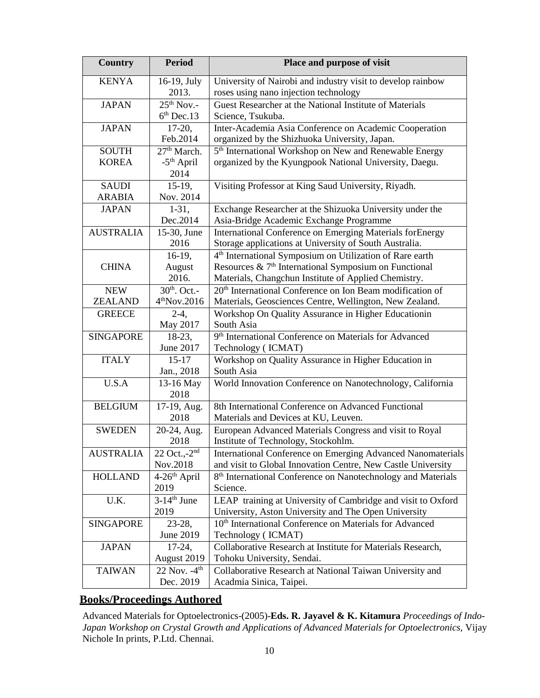| <b>Country</b>                | <b>Period</b>                                             | Place and purpose of visit                                                                                                                                                                        |
|-------------------------------|-----------------------------------------------------------|---------------------------------------------------------------------------------------------------------------------------------------------------------------------------------------------------|
| <b>KENYA</b>                  | 16-19, July<br>2013.                                      | University of Nairobi and industry visit to develop rainbow<br>roses using nano injection technology                                                                                              |
| <b>JAPAN</b>                  | $25th$ Nov.-<br>$6th$ Dec.13                              | Guest Researcher at the National Institute of Materials<br>Science, Tsukuba.                                                                                                                      |
| <b>JAPAN</b>                  | $17-20,$<br>Feb.2014                                      | Inter-Academia Asia Conference on Academic Cooperation<br>organized by the Shizhuoka University, Japan.                                                                                           |
| <b>SOUTH</b><br><b>KOREA</b>  | 27 <sup>th</sup> March.<br>-5 <sup>th</sup> April<br>2014 | 5 <sup>th</sup> International Workshop on New and Renewable Energy<br>organized by the Kyungpook National University, Daegu.                                                                      |
| <b>SAUDI</b><br><b>ARABIA</b> | $15-19$ ,<br>Nov. 2014                                    | Visiting Professor at King Saud University, Riyadh.                                                                                                                                               |
| <b>JAPAN</b>                  | $1-31,$<br>Dec.2014                                       | Exchange Researcher at the Shizuoka University under the<br>Asia-Bridge Academic Exchange Programme                                                                                               |
| <b>AUSTRALIA</b>              | 15-30, June<br>2016                                       | International Conference on Emerging Materials forEnergy<br>Storage applications at University of South Australia.                                                                                |
| <b>CHINA</b>                  | $16-19,$<br>August<br>2016.                               | 4 <sup>th</sup> International Symposium on Utilization of Rare earth<br>Resources & 7 <sup>th</sup> International Symposium on Functional<br>Materials, Changchun Institute of Applied Chemistry. |
| <b>NEW</b><br><b>ZEALAND</b>  | $30th$ . Oct.-<br>$4th$ Nov.2016                          | 20 <sup>th</sup> International Conference on Ion Beam modification of<br>Materials, Geosciences Centre, Wellington, New Zealand.                                                                  |
| <b>GREECE</b>                 | $2-4,$<br>May 2017                                        | Workshop On Quality Assurance in Higher Educationin<br>South Asia                                                                                                                                 |
| <b>SINGAPORE</b>              | 18-23,<br>June 2017                                       | 9 <sup>th</sup> International Conference on Materials for Advanced<br>Technology (ICMAT)                                                                                                          |
| <b>ITALY</b>                  | $15 - 17$<br>Jan., 2018                                   | Workshop on Quality Assurance in Higher Education in<br>South Asia                                                                                                                                |
| U.S.A                         | 13-16 May<br>2018                                         | World Innovation Conference on Nanotechnology, California                                                                                                                                         |
| <b>BELGIUM</b>                | 17-19, Aug.<br>2018                                       | 8th International Conference on Advanced Functional<br>Materials and Devices at KU, Leuven.                                                                                                       |
| <b>SWEDEN</b>                 | 20-24, Aug.<br>2018                                       | European Advanced Materials Congress and visit to Royal<br>Institute of Technology, Stockohlm.                                                                                                    |
| <b>AUSTRALIA</b>              | 22 Oct.,-2 <sup>nd</sup><br>Nov.2018                      | International Conference on Emerging Advanced Nanomaterials<br>and visit to Global Innovation Centre, New Castle University                                                                       |
| <b>HOLLAND</b>                | $4-26$ <sup>th</sup> April<br>2019                        | 8 <sup>th</sup> International Conference on Nanotechnology and Materials<br>Science.                                                                                                              |
| U.K.                          | $3-14$ <sup>th</sup> June<br>2019                         | LEAP training at University of Cambridge and visit to Oxford<br>University, Aston University and The Open University                                                                              |
| <b>SINGAPORE</b>              | $23-28,$<br>June 2019                                     | 10 <sup>th</sup> International Conference on Materials for Advanced<br>Technology (ICMAT)                                                                                                         |
| <b>JAPAN</b>                  | $17-24,$<br>August 2019                                   | Collaborative Research at Institute for Materials Research,<br>Tohoku University, Sendai.                                                                                                         |
| <b>TAIWAN</b>                 | 22 Nov. - 4 <sup>th</sup><br>Dec. 2019                    | Collaborative Research at National Taiwan University and<br>Acadmia Sinica, Taipei.                                                                                                               |

### **Books/Proceedings Authored**

Advanced Materials for Optoelectronics-(2005)-**Eds. R. Jayavel & K. Kitamura** *Proceedings of Indo-Japan Workshop on Crystal Growth and Applications of Advanced Materials for Optoelectronics,* Vijay Nichole In prints, P.Ltd. Chennai.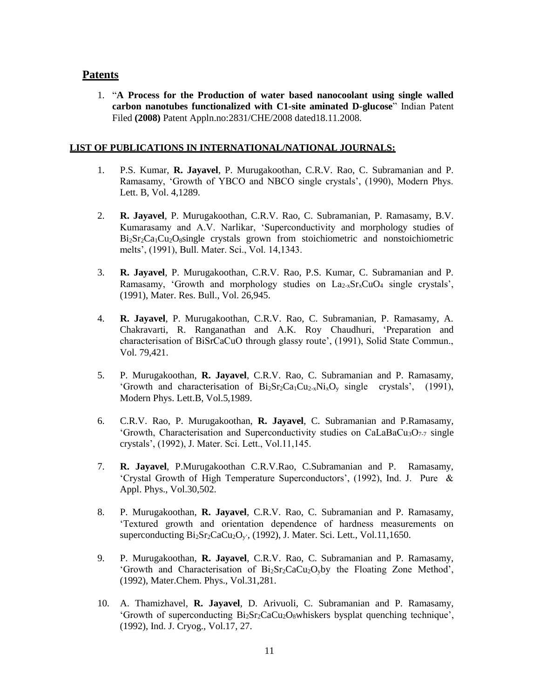#### **Patents**

1. "**A Process for the Production of water based nanocoolant using single walled carbon nanotubes functionalized with C1-site aminated D-glucose**" Indian Patent Filed **(2008)** Patent Appln.no:2831/CHE/2008 dated18.11.2008.

#### **LIST OF PUBLICATIONS IN INTERNATIONAL/NATIONAL JOURNALS:**

- 1. P.S. Kumar, **R. Jayavel**, P. Murugakoothan, C.R.V. Rao, C. Subramanian and P. Ramasamy, 'Growth of YBCO and NBCO single crystals', (1990), Modern Phys. Lett. B, Vol. 4,1289.
- 2. **R. Jayavel**, P. Murugakoothan, C.R.V. Rao, C. Subramanian, P. Ramasamy, B.V. Kumarasamy and A.V. Narlikar, 'Superconductivity and morphology studies of Bi<sub>2</sub>Sr<sub>2</sub>Ca<sub>1</sub>Cu<sub>2</sub>O<sub>8</sub>single crystals grown from stoichiometric and nonstoichiometric melts', (1991), Bull. Mater. Sci., Vol. 14,1343.
- 3. **R. Jayavel**, P. Murugakoothan, C.R.V. Rao, P.S. Kumar, C. Subramanian and P. Ramasamy, 'Growth and morphology studies on  $La<sub>2-x</sub>Sr<sub>x</sub>CuO<sub>4</sub>$  single crystals', (1991), Mater. Res. Bull., Vol. 26,945.
- 4. **R. Jayavel**, P. Murugakoothan, C.R.V. Rao, C. Subramanian, P. Ramasamy, A. Chakravarti, R. Ranganathan and A.K. Roy Chaudhuri, 'Preparation and characterisation of BiSrCaCuO through glassy route', (1991), Solid State Commun., Vol. 79,421.
- 5. P. Murugakoothan, **R. Jayavel**, C.R.V. Rao, C. Subramanian and P. Ramasamy, 'Growth and characterisation of  $Bi_2Sr_2Ca_1Cu_{2-x}Ni_xO_y$  single crystals', (1991), Modern Phys. Lett.B, Vol.5,1989.
- 6. C.R.V. Rao, P. Murugakoothan, **R. Jayavel**, C. Subramanian and P.Ramasamy, 'Growth, Characterisation and Superconductivity studies on  $CalaBaCu<sub>3</sub>O<sub>7-7</sub>$  single crystals', (1992), J. Mater. Sci. Lett., Vol.11,145.
- 7. **R. Jayavel**, P.Murugakoothan C.R.V.Rao, C.Subramanian and P. Ramasamy, 'Crystal Growth of High Temperature Superconductors', (1992), Ind. J. Pure & Appl. Phys., Vol.30,502.
- 8. P. Murugakoothan, **R. Jayavel**, C.R.V. Rao, C. Subramanian and P. Ramasamy, 'Textured growth and orientation dependence of hardness measurements on superconducting  $Bi_2Sr_2CaCu_2O_v$ , (1992), J. Mater. Sci. Lett., Vol.11,1650.
- 9. P. Murugakoothan, **R. Jayavel**, C.R.V. Rao, C. Subramanian and P. Ramasamy, 'Growth and Characterisation of  $Bi<sub>2</sub>Sr<sub>2</sub>CaCu<sub>2</sub>O<sub>y</sub>$  by the Floating Zone Method', (1992), Mater.Chem. Phys., Vol.31,281.
- 10. A. Thamizhavel, **R. Jayavel**, D. Arivuoli, C. Subramanian and P. Ramasamy, 'Growth of superconducting  $Bi_2Sr_2CaCu_2O_8whiskers$  bysplat quenching technique', (1992), Ind. J. Cryog., Vol.17, 27.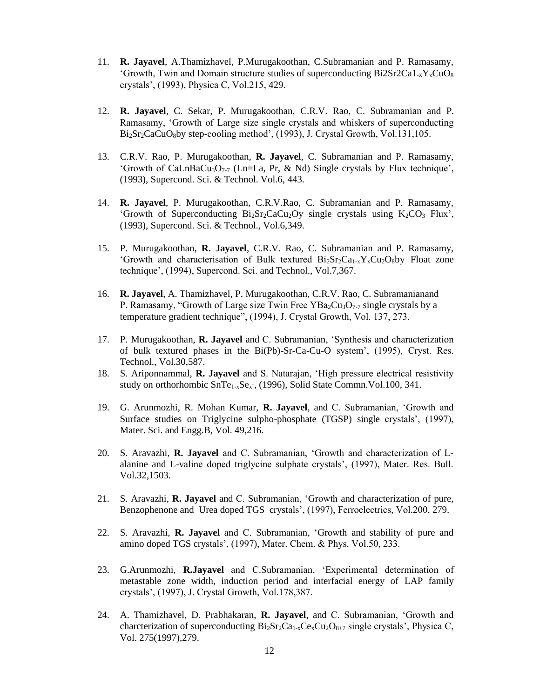- 11. **R. Jayavel**, A.Thamizhavel, P.Murugakoothan, C.Subramanian and P. Ramasamy, 'Growth, Twin and Domain structure studies of superconducting  $Bi2Sr2Ca1_xY_xCuO_8$ crystals', (1993), Physica C, Vol.215, 429.
- 12. **R. Jayavel**, C. Sekar, P. Murugakoothan, C.R.V. Rao, C. Subramanian and P. Ramasamy, 'Growth of Large size single crystals and whiskers of superconducting Bi<sub>2</sub>Sr<sub>2</sub>CaCuO<sub>8</sub>by step-cooling method', (1993), J. Crystal Growth, Vol.131,105.
- 13. C.R.V. Rao, P. Murugakoothan, **R. Jayavel**, C. Subramanian and P. Ramasamy, 'Growth of CaLnBaCu<sub>3</sub>O<sub>7-7</sub> (Ln=La, Pr, & Nd) Single crystals by Flux technique', (1993), Supercond. Sci. & Technol. Vol.6, 443.
- 14. **R. Jayavel**, P. Murugakoothan, C.R.V.Rao, C. Subramanian and P. Ramasamy, 'Growth of Superconducting  $Bi<sub>2</sub>Sr<sub>2</sub>CaCu<sub>2</sub>Oy$  single crystals using  $K<sub>2</sub>CO<sub>3</sub> Flux'$ , (1993), Supercond. Sci. & Technol., Vol.6,349.
- 15. P. Murugakoothan, **R. Jayavel**, C.R.V. Rao, C. Subramanian and P. Ramasamy, 'Growth and characterisation of Bulk textured  $Bi_2Sr_2Ca_{1-x}Y_xCu_2O_8$  Float zone technique', (1994), Supercond. Sci. and Technol., Vol.7,367.
- 16. **R. Jayavel**, A. Thamizhavel, P. Murugakoothan, C.R.V. Rao, C. Subramanianand P. Ramasamy, "Growth of Large size Twin Free YBa<sub>2</sub>Cu<sub>3</sub>O<sub>7-7</sub> single crystals by a temperature gradient technique", (1994), J. Crystal Growth, Vol. 137, 273.
- 17. P. Murugakoothan, **R. Jayavel** and C. Subramanian, 'Synthesis and characterization of bulk textured phases in the Bi(Pb)-Sr-Ca-Cu-O system', (1995), Cryst. Res. Technol., Vol.30,587.
- 18. S. Ariponnammal, **R. Jayavel** and S. Natarajan, 'High pressure electrical resistivity study on orthorhombic SnTe<sub>1-x</sub>Se<sub>x</sub>', (1996), Solid State Commn. Vol.100, 341.
- 19. G. Arunmozhi, R. Mohan Kumar, **R. Jayavel**, and C. Subramanian, 'Growth and Surface studies on Triglycine sulpho-phosphate (TGSP) single crystals', (1997), Mater. Sci. and Engg.B, Vol. 49,216.
- 20. S. Aravazhi, **R. Jayavel** and C. Subramanian, 'Growth and characterization of Lalanine and L-valine doped triglycine sulphate crystals', (1997), Mater. Res. Bull. Vol.32,1503.
- 21. S. Aravazhi, **R. Jayavel** and C. Subramanian, 'Growth and characterization of pure, Benzophenone and Urea doped TGS crystals', (1997), Ferroelectrics, Vol.200, 279.
- 22. S. Aravazhi, **R. Jayavel** and C. Subramanian, 'Growth and stability of pure and amino doped TGS crystals', (1997), Mater. Chem. & Phys. Vol.50, 233.
- 23. G.Arunmozhi, **R.Jayavel** and C.Subramanian, 'Experimental determination of metastable zone width, induction period and interfacial energy of LAP family crystals', (1997), J. Crystal Growth, Vol.178,387.
- 24. A. Thamizhavel, D. Prabhakaran, **R. Jayavel**, and C. Subramanian, 'Growth and charcterization of superconducting  $Bi_2Sr_2Ca_{1-x}Ce_xCu_2O_{8+7}$  single crystals', Physica C, Vol. 275(1997),279.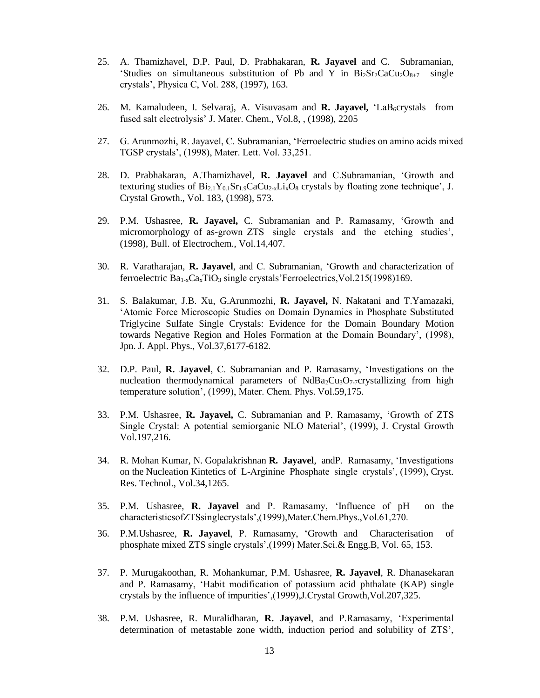- 25. A. Thamizhavel, D.P. Paul, D. Prabhakaran, **R. Jayavel** and C. Subramanian, 'Studies on simultaneous substitution of Pb and Y in  $Bi_2Sr_2CaCu_2O_{8+7}$  single crystals', Physica C, Vol. 288, (1997), 163.
- 26. M. Kamaludeen, I. Selvaraj, A. Visuvasam and **R. Jayavel,** 'LaB<sub>6</sub>crystals from fused salt electrolysis' J. Mater. Chem., Vol.8, , (1998), 2205
- 27. G. Arunmozhi, R. Jayavel, C. Subramanian, 'Ferroelectric studies on amino acids mixed TGSP crystals', (1998), Mater. Lett. Vol. 33,251.
- 28. D. Prabhakaran, A.Thamizhavel, **R. Jayavel** and C.Subramanian, 'Growth and texturing studies of  $Bi_{2.1}Y_{0.1}Sr_{1.9}CaCu_{2.5}Li_{x}O_{8}$  crystals by floating zone technique', J. Crystal Growth., Vol. 183, (1998), 573.
- 29. P.M. Ushasree, **R. Jayavel,** C. Subramanian and P. Ramasamy, 'Growth and micromorphology of as-grown ZTS single crystals and the etching studies', (1998), Bull. of Electrochem., Vol.14,407.
- 30. R. Varatharajan, **R. Jayavel**, and C. Subramanian, 'Growth and characterization of ferroelectric  $Ba_{1-x}Ca_xTiO_3$  single crystals' Ferroelectrics, Vol.215(1998)169.
- 31. S. Balakumar, J.B. Xu, G.Arunmozhi, **R. Jayavel,** N. Nakatani and T.Yamazaki, 'Atomic Force Microscopic Studies on Domain Dynamics in Phosphate Substituted Triglycine Sulfate Single Crystals: Evidence for the Domain Boundary Motion towards Negative Region and Holes Formation at the Domain Boundary', (1998), Jpn. J. Appl. Phys., Vol.37,6177-6182.
- 32. D.P. Paul, **R. Jayavel**, C. Subramanian and P. Ramasamy, 'Investigations on the nucleation thermodynamical parameters of NdBa<sub>2</sub>Cu<sub>3</sub>O<sub>7-7</sub>crystallizing from high temperature solution', (1999), Mater. Chem. Phys. Vol.59,175.
- 33. P.M. Ushasree, **R. Jayavel,** C. Subramanian and P. Ramasamy, 'Growth of ZTS Single Crystal: A potential semiorganic NLO Material', (1999), J. Crystal Growth Vol.197,216.
- 34. R. Mohan Kumar, N. Gopalakrishnan **R. Jayavel**, andP. Ramasamy, 'Investigations on the Nucleation Kintetics of L-Arginine Phosphate single crystals', (1999), Cryst. Res. Technol., Vol.34,1265.
- 35. P.M. Ushasree, **R. Jayavel** and P. Ramasamy, 'Influence of pH on the characteristicsofZTSsinglecrystals',(1999),Mater.Chem.Phys.,Vol.61,270.
- 36. P.M.Ushasree, **R. Jayavel**, P. Ramasamy, 'Growth and Characterisation of phosphate mixed ZTS single crystals',(1999) Mater.Sci.& Engg.B, Vol. 65, 153.
- 37. P. Murugakoothan, R. Mohankumar, P.M. Ushasree, **R. Jayavel**, R. Dhanasekaran and P. Ramasamy, 'Habit modification of potassium acid phthalate (KAP) single crystals by the influence of impurities',(1999),J.Crystal Growth,Vol.207,325.
- 38. P.M. Ushasree, R. Muralidharan, **R. Jayavel**, and P.Ramasamy, 'Experimental determination of metastable zone width, induction period and solubility of ZTS',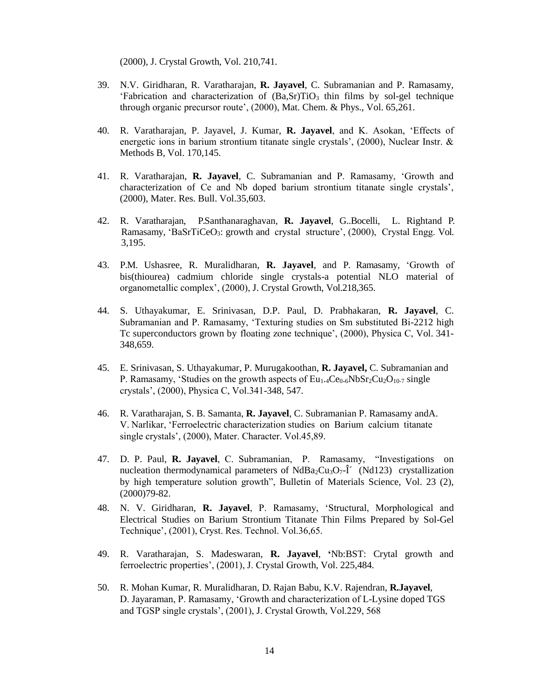(2000), J. Crystal Growth, Vol. 210,741.

- 39. N.V. Giridharan, R. Varatharajan, **R. Jayavel**, C. Subramanian and P. Ramasamy, 'Fabrication and characterization of  $(Ba, Sr)TiO<sub>3</sub>$  thin films by sol-gel technique through organic precursor route', (2000), Mat. Chem. & Phys., Vol. 65,261.
- 40. R. Varatharajan, P. Jayavel, J. Kumar, **R. Jayavel**, and K. Asokan, 'Effects of energetic ions in barium strontium titanate single crystals', (2000), Nuclear Instr. & Methods B, Vol. 170,145.
- 41. R. Varatharajan, **R. Jayavel**, C. Subramanian and P. Ramasamy, 'Growth and characterization of Ce and Nb doped barium strontium titanate single crystals', (2000), Mater. Res. Bull. Vol.35,603.
- 42. R. Varatharajan, P.Santhanaraghavan, **R. Jayavel**, G..Bocelli, L. Rightand P. Ramasamy, 'BaSrTiCeO<sub>3</sub>: growth and crystal structure', (2000), Crystal Engg. Vol. 3,195.
- 43. P.M. Ushasree, R. Muralidharan, **R. Jayavel**, and P. Ramasamy, 'Growth of bis(thiourea) cadmium chloride single crystals-a potential NLO material of organometallic complex', (2000), J. Crystal Growth, Vol.218,365.
- 44. S. Uthayakumar, E. Srinivasan, D.P. Paul, D. Prabhakaran, **R. Jayavel**, C. Subramanian and P. Ramasamy, 'Texturing studies on Sm substituted Bi-2212 high Tc superconductors grown by floating zone technique', (2000), Physica C, Vol. 341- 348,659.
- 45. E. Srinivasan, S. Uthayakumar, P. Murugakoothan, **R. Jayavel,** C. Subramanian and P. Ramasamy, 'Studies on the growth aspects of  $Eu<sub>1.4</sub>Ce<sub>0.6</sub>NbSr<sub>2</sub>Cu<sub>2</sub>O<sub>10-7</sub> single$ crystals', (2000), Physica C, Vol.341-348, 547.
- 46. R. Varatharajan, S. B. Samanta, **R. Jayavel**, C. Subramanian P. Ramasamy andA. V. Narlikar, 'Ferroelectric characterization studies on Barium calcium titanate single crystals', (2000), Mater. Character. Vol.45,89.
- 47. D. P. Paul, **R. Jayavel**, C. Subramanian, P. Ramasamy, "Investigations on nucleation thermodynamical parameters of  $NdBa_2Cu_3O_7-\hat{I}'$  (Nd123) crystallization by high temperature solution growth", Bulletin of Materials Science, Vol. 23 (2), (2000)79-82.
- 48. N. V. Giridharan, **R. Jayavel**, P. Ramasamy, 'Structural, Morphological and Electrical Studies on Barium Strontium Titanate Thin Films Prepared by Sol-Gel Technique', (2001), Cryst. Res. Technol. Vol.36,65.
- 49. R. Varatharajan, S. Madeswaran, **R. Jayavel**, **'**Nb:BST: Crytal growth and ferroelectric properties', (2001), J. Crystal Growth, Vol. 225,484.
- 50. R. Mohan Kumar, R. Muralidharan, D. Rajan Babu, K.V. Rajendran, **R.Jayavel**, D. Jayaraman, P. Ramasamy, 'Growth and characterization of L-Lysine doped TGS and TGSP single crystals', (2001), J. Crystal Growth, Vol.229, 568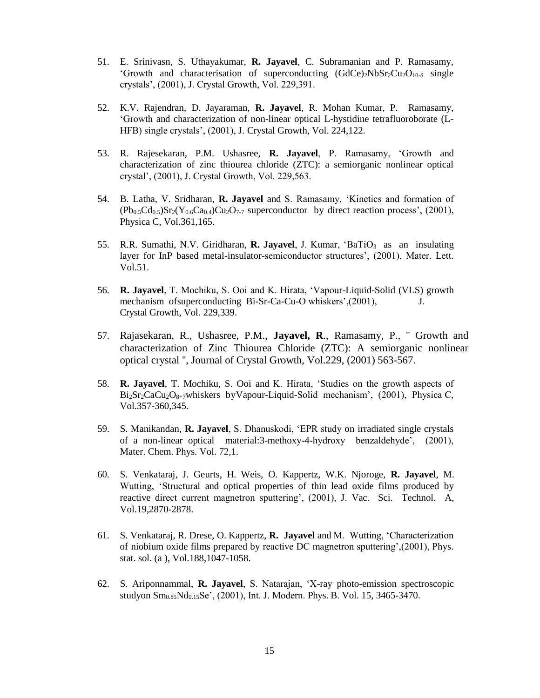- 51. E. Srinivasn, S. Uthayakumar, **R. Jayavel**, C. Subramanian and P. Ramasamy, 'Growth and characterisation of superconducting  $(GdCe)_{2}NbSr_{2}Cu_{2}O_{10-\delta}$  single crystals', (2001), J. Crystal Growth, Vol. 229,391.
- 52. K.V. Rajendran, D. Jayaraman, **R. Jayavel**, R. Mohan Kumar, P. Ramasamy, 'Growth and characterization of non-linear optical L-hystidine tetrafluoroborate (L-HFB) single crystals', (2001), J. Crystal Growth, Vol. 224,122.
- 53. R. Rajesekaran, P.M. Ushasree, **R. Jayavel**, P. Ramasamy, 'Growth and characterization of zinc thiourea chloride (ZTC): a semiorganic nonlinear optical crystal', (2001), J. Crystal Growth, Vol. 229,563.
- 54. B. Latha, V. Sridharan, **R. Jayavel** and S. Ramasamy, 'Kinetics and formation of  $(Pb_{0.5}Cd_{0.5})Sr_2(Y_{0.6}Ca_{0.4})Cu_2O_{7.7}$  superconductor by direct reaction process', (2001), Physica C, Vol.361,165.
- 55. R.R. Sumathi, N.V. Giridharan, **R. Jayavel**, J. Kumar, 'BaTiO3 as an insulating layer for InP based metal-insulator-semiconductor structures', (2001), Mater. Lett. Vol.51.
- 56. **R. Jayavel**, T. Mochiku, S. Ooi and K. Hirata, 'Vapour-Liquid-Solid (VLS) growth mechanism of superconducting Bi-Sr-Ca-Cu-O whiskers',(2001), J. Crystal Growth, Vol. 229,339.
- 57. Rajasekaran, R., Ushasree, P.M., **Jayavel, R**., Ramasamy, P., '' Growth and characterization of Zinc Thiourea Chloride (ZTC): A semiorganic nonlinear optical crystal '', Journal of Crystal Growth, Vol.229, (2001) 563-567.
- 58. **R. Jayavel**, T. Mochiku, S. Ooi and K. Hirata, 'Studies on the growth aspects of Bi<sub>2</sub>Sr<sub>2</sub>CaCu<sub>2</sub>O<sub>8+7</sub>whiskers byVapour-Liquid-Solid mechanism', (2001), Physica C, Vol.357-360,345.
- 59. S. Manikandan, **R. Jayavel**, S. Dhanuskodi, 'EPR study on irradiated single crystals of a non-linear optical material:3-methoxy-4-hydroxy benzaldehyde', (2001), Mater. Chem. Phys. Vol. 72,1.
- 60. S. Venkataraj, J. Geurts, H. Weis, O. Kappertz, W.K. Njoroge, **R. Jayavel**, M. Wutting, 'Structural and optical properties of thin lead oxide films produced by reactive direct current magnetron sputtering', (2001), J. Vac. Sci. Technol. A, Vol.19,2870-2878.
- 61. S. Venkataraj, R. Drese, O. Kappertz, **R. Jayavel** and M. Wutting, 'Characterization of niobium oxide films prepared by reactive DC magnetron sputtering',(2001), Phys. stat. sol. (a ), Vol.188,1047-1058.
- 62. S. Ariponnammal, **R. Jayavel**, S. Natarajan, 'X-ray photo-emission spectroscopic studyon Sm0.85Nd0.15Se', (2001), Int. J. Modern. Phys. B. Vol. 15, 3465-3470.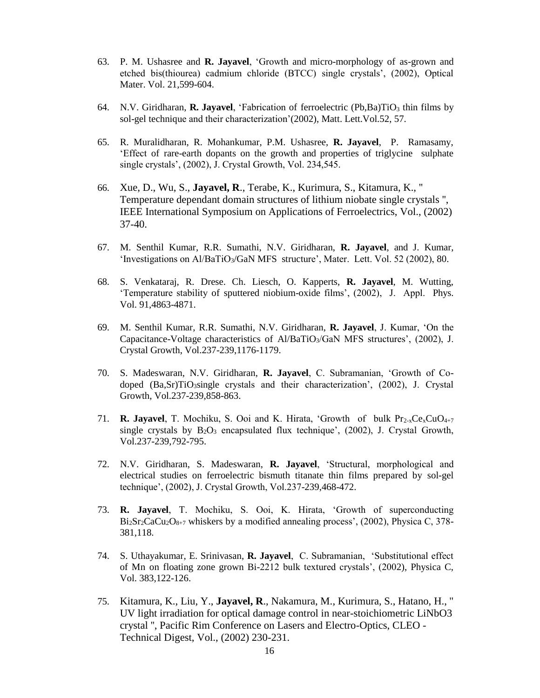- 63. P. M. Ushasree and **R. Jayavel**, 'Growth and micro-morphology of as-grown and etched bis(thiourea) cadmium chloride (BTCC) single crystals', (2002), Optical Mater. Vol. 21,599-604.
- 64. N.V. Giridharan, **R. Jayavel**, 'Fabrication of ferroelectric (Pb,Ba)TiO<sub>3</sub> thin films by sol-gel technique and their characterization'(2002), Matt. Lett.Vol.52, 57.
- 65. R. Muralidharan, R. Mohankumar, P.M. Ushasree, **R. Jayavel**, P. Ramasamy, 'Effect of rare-earth dopants on the growth and properties of triglycine sulphate single crystals', (2002), J. Crystal Growth, Vol. 234,545.
- 66. Xue, D., Wu, S., **Jayavel, R**., Terabe, K., Kurimura, S., Kitamura, K., '' Temperature dependant domain structures of lithium niobate single crystals '', IEEE International Symposium on Applications of Ferroelectrics, Vol., (2002) 37-40.
- 67. M. Senthil Kumar, R.R. Sumathi, N.V. Giridharan, **R. Jayavel**, and J. Kumar, 'Investigations on Al/BaTiO3/GaN MFS structure', Mater. Lett. Vol. 52 (2002), 80.
- 68. S. Venkataraj, R. Drese. Ch. Liesch, O. Kapperts, **R. Jayavel**, M. Wutting, 'Temperature stability of sputtered niobium-oxide films', (2002), J. Appl. Phys. Vol. 91,4863-4871.
- 69. M. Senthil Kumar, R.R. Sumathi, N.V. Giridharan, **R. Jayavel**, J. Kumar, 'On the Capacitance-Voltage characteristics of  $A/BaTiO<sub>3</sub>/GaN MFS$  structures', (2002), J. Crystal Growth, Vol.237-239,1176-1179.
- 70. S. Madeswaran, N.V. Giridharan, **R. Jayavel**, C. Subramanian, 'Growth of Codoped (Ba,Sr)TiO<sub>3</sub>single crystals and their characterization', (2002), J. Crystal Growth, Vol.237-239,858-863.
- 71. **R. Javavel**, T. Mochiku, S. Ooi and K. Hirata, 'Growth of bulk Pr<sub>2-x</sub>Ce<sub>x</sub>CuO<sub>4+7</sub> single crystals by  $B_2O_3$  encapsulated flux technique', (2002), J. Crystal Growth, Vol.237-239,792-795.
- 72. N.V. Giridharan, S. Madeswaran, **R. Jayavel**, 'Structural, morphological and electrical studies on ferroelectric bismuth titanate thin films prepared by sol-gel technique', (2002), J. Crystal Growth, Vol.237-239,468-472.
- 73. **R. Jayavel**, T. Mochiku, S. Ooi, K. Hirata, 'Growth of superconducting  $Bi<sub>2</sub>Sr<sub>2</sub>CaCu<sub>2</sub>O<sub>8+7</sub>$  whiskers by a modified annealing process', (2002), Physica C, 378-381,118.
- 74. S. Uthayakumar, E. Srinivasan, **R. Jayavel**, C. Subramanian, 'Substitutional effect of Mn on floating zone grown Bi-2212 bulk textured crystals', (2002), Physica C, Vol. 383,122-126.
- 75. Kitamura, K., Liu, Y., **Jayavel, R**., Nakamura, M., Kurimura, S., Hatano, H., '' UV light irradiation for optical damage control in near-stoichiometric LiNbO3 crystal '', Pacific Rim Conference on Lasers and Electro-Optics, CLEO - Technical Digest, Vol., (2002) 230-231.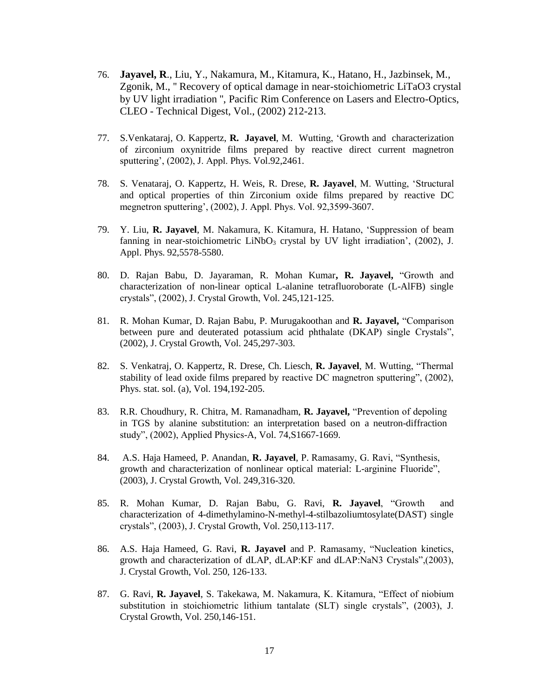- 76. **Jayavel, R**., Liu, Y., Nakamura, M., Kitamura, K., Hatano, H., Jazbinsek, M., Zgonik, M., '' Recovery of optical damage in near-stoichiometric LiTaO3 crystal by UV light irradiation '', Pacific Rim Conference on Lasers and Electro-Optics, CLEO - Technical Digest, Vol., (2002) 212-213.
- 77. S.Venkataraj, O. Kappertz, **R. Jayavel**, M. Wutting, 'Growth and characterization of zirconium oxynitride films prepared by reactive direct current magnetron sputtering', (2002), J. Appl. Phys. Vol.92,2461.
- 78. S. Venataraj, O. Kappertz, H. Weis, R. Drese, **R. Jayavel**, M. Wutting, 'Structural and optical properties of thin Zirconium oxide films prepared by reactive DC megnetron sputtering', (2002), J. Appl. Phys. Vol. 92,3599-3607.
- 79. Y. Liu, **R. Jayavel**, M. Nakamura, K. Kitamura, H. Hatano, 'Suppression of beam fanning in near-stoichiometric LiNbO<sub>3</sub> crystal by UV light irradiation',  $(2002)$ , J. Appl. Phys. 92,5578-5580.
- 80. D. Rajan Babu, D. Jayaraman, R. Mohan Kumar**, R. Jayavel,** "Growth and characterization of non-linear optical L-alanine tetrafluoroborate (L-AlFB) single crystals", (2002), J. Crystal Growth, Vol. 245,121-125.
- 81. R. Mohan Kumar, D. Rajan Babu, P. Murugakoothan and **R. Jayavel,** "Comparison between pure and deuterated potassium acid phthalate (DKAP) single Crystals", (2002), J. Crystal Growth, Vol. 245,297-303.
- 82. S. Venkatraj, O. Kappertz, R. Drese, Ch. Liesch, **R. Jayavel**, M. Wutting, "Thermal stability of lead oxide films prepared by reactive DC magnetron sputtering", (2002), Phys. stat. sol. (a), Vol. 194,192-205.
- 83. R.R. Choudhury, R. Chitra, M. Ramanadham, **R. Jayavel,** "Prevention of depoling in TGS by alanine substitution: an interpretation based on a neutron-diffraction study", (2002), Applied Physics-A, Vol. 74,S1667-1669.
- 84. A.S. Haja Hameed, P. Anandan, **R. Jayavel**, P. Ramasamy, G. Ravi, "Synthesis, growth and characterization of nonlinear optical material: L-arginine Fluoride", (2003), J. Crystal Growth, Vol. 249,316-320.
- 85. R. Mohan Kumar, D. Rajan Babu, G. Ravi, **R. Jayavel**, "Growth and characterization of 4-dimethylamino-N-methyl-4-stilbazoliumtosylate(DAST) single crystals", (2003), J. Crystal Growth, Vol. 250,113-117.
- 86. A.S. Haja Hameed, G. Ravi, **R. Jayavel** and P. Ramasamy, "Nucleation kinetics, growth and characterization of dLAP, dLAP:KF and dLAP:NaN3 Crystals",(2003), J. Crystal Growth, Vol. 250, 126-133.
- 87. G. Ravi, **R. Jayavel**, S. Takekawa, M. Nakamura, K. Kitamura, "Effect of niobium substitution in stoichiometric lithium tantalate (SLT) single crystals", (2003), J. Crystal Growth, Vol. 250,146-151.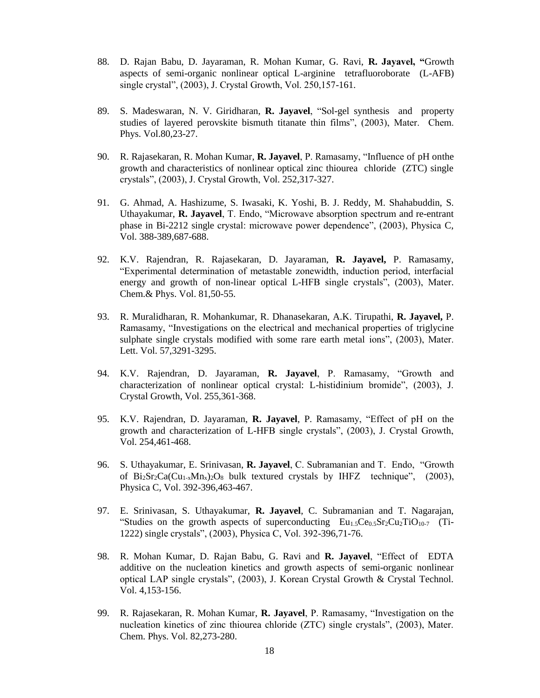- 88. D. Rajan Babu, D. Jayaraman, R. Mohan Kumar, G. Ravi, **R. Jayavel, "**Growth aspects of semi-organic nonlinear optical L-arginine tetrafluoroborate (L-AFB) single crystal", (2003), J. Crystal Growth, Vol. 250,157-161.
- 89. S. Madeswaran, N. V. Giridharan, **R. Jayavel**, "Sol-gel synthesis and property studies of layered perovskite bismuth titanate thin films", (2003), Mater. Chem. Phys. Vol.80,23-27.
- 90. R. Rajasekaran, R. Mohan Kumar, **R. Jayavel**, P. Ramasamy, "Influence of pH onthe growth and characteristics of nonlinear optical zinc thiourea chloride (ZTC) single crystals", (2003), J. Crystal Growth, Vol. 252,317-327.
- 91. G. Ahmad, A. Hashizume, S. Iwasaki, K. Yoshi, B. J. Reddy, M. Shahabuddin, S. Uthayakumar, **R. Jayavel**, T. Endo, "Microwave absorption spectrum and re-entrant phase in Bi-2212 single crystal: microwave power dependence", (2003), Physica C, Vol. 388-389,687-688.
- 92. K.V. Rajendran, R. Rajasekaran, D. Jayaraman, **R. Jayavel,** P. Ramasamy, "Experimental determination of metastable zonewidth, induction period, interfacial energy and growth of non-linear optical L-HFB single crystals", (2003), Mater. Chem.& Phys. Vol. 81,50-55.
- 93. R. Muralidharan, R. Mohankumar, R. Dhanasekaran, A.K. Tirupathi, **R. Jayavel,** P. Ramasamy, "Investigations on the electrical and mechanical properties of triglycine sulphate single crystals modified with some rare earth metal ions", (2003), Mater. Lett. Vol. 57,3291-3295.
- 94. K.V. Rajendran, D. Jayaraman, **R. Jayavel**, P. Ramasamy, "Growth and characterization of nonlinear optical crystal: L-histidinium bromide", (2003), J. Crystal Growth, Vol. 255,361-368.
- 95. K.V. Rajendran, D. Jayaraman, **R. Jayavel**, P. Ramasamy, "Effect of pH on the growth and characterization of L-HFB single crystals", (2003), J. Crystal Growth, Vol. 254,461-468.
- 96. S. Uthayakumar, E. Srinivasan, **R. Jayavel**, C. Subramanian and T. Endo, "Growth of  $Bi_2Sr_2Ca(Cu_{1-x}Mn_x)_{2}O_8$  bulk textured crystals by IHFZ technique", (2003), Physica C, Vol. 392-396,463-467.
- 97. E. Srinivasan, S. Uthayakumar, **R. Jayavel**, C. Subramanian and T. Nagarajan, "Studies on the growth aspects of superconducting  $Eu_{1.5}Ce_{0.5}Sr_2Cu_2TiO_{10-7}$  (Ti-1222) single crystals", (2003), Physica C, Vol. 392-396,71-76.
- 98. R. Mohan Kumar, D. Rajan Babu, G. Ravi and **R. Jayavel**, "Effect of EDTA additive on the nucleation kinetics and growth aspects of semi-organic nonlinear optical LAP single crystals", (2003), J. Korean Crystal Growth & Crystal Technol. Vol. 4,153-156.
- 99. R. Rajasekaran, R. Mohan Kumar, **R. Jayavel**, P. Ramasamy, "Investigation on the nucleation kinetics of zinc thiourea chloride (ZTC) single crystals", (2003), Mater. Chem. Phys. Vol. 82,273-280.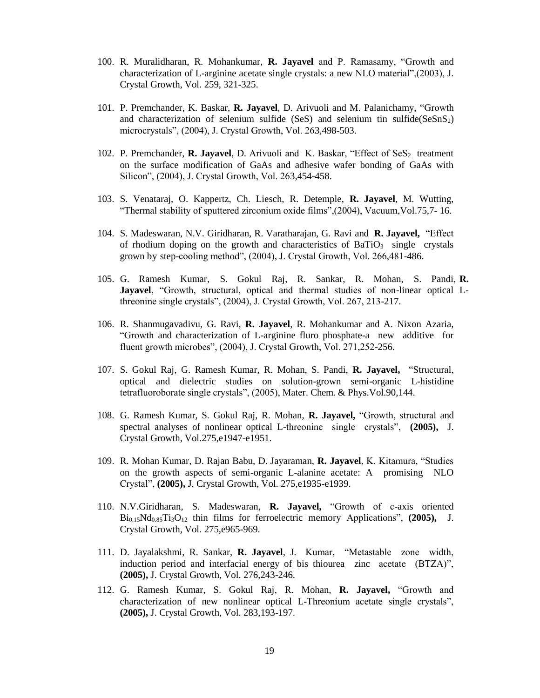- 100. R. Muralidharan, R. Mohankumar, **R. Jayavel** and P. Ramasamy, "Growth and characterization of L-arginine acetate single crystals: a new NLO material",(2003), J. Crystal Growth, Vol. 259, 321-325.
- 101. P. Premchander, K. Baskar, **R. Jayavel**, D. Arivuoli and M. Palanichamy, "Growth and characterization of selenium sulfide (SeS) and selenium tin sulfide(SeSnS2) microcrystals", (2004), J. Crystal Growth, Vol. 263,498-503.
- 102. P. Premchander, **R. Jayavel**, D. Arivuoli and K. Baskar, "Effect of SeS<sub>2</sub> treatment on the surface modification of GaAs and adhesive wafer bonding of GaAs with Silicon", (2004), J. Crystal Growth, Vol. 263,454-458.
- 103. S. Venataraj, O. Kappertz, Ch. Liesch, R. Detemple, **R. Jayavel**, M. Wutting, "Thermal stability of sputtered zirconium oxide films",(2004), Vacuum,Vol.75,7- 16.
- 104. S. Madeswaran, N.V. Giridharan, R. Varatharajan, G. Ravi and **R. Jayavel,** "Effect of rhodium doping on the growth and characteristics of  $BaTiO<sub>3</sub>$  single crystals grown by step-cooling method", (2004), J. Crystal Growth, Vol. 266,481-486.
- 105. G. Ramesh Kumar, S. Gokul Raj, R. Sankar, R. Mohan, S. Pandi, **R. Jayavel**, "Growth, structural, optical and thermal studies of non-linear optical Lthreonine single crystals", (2004), J. Crystal Growth, Vol. 267, 213-217.
- 106. R. Shanmugavadivu, G. Ravi, **R. Jayavel**, R. Mohankumar and A. Nixon Azaria, "Growth and characterization of L-arginine fluro phosphate-a new additive for fluent growth microbes", (2004), J. Crystal Growth, Vol. 271,252-256.
- 107. S. Gokul Raj, G. Ramesh Kumar, R. Mohan, S. Pandi, **R. Jayavel,** "Structural, optical and dielectric studies on solution-grown semi-organic L-histidine tetrafluoroborate single crystals", (2005), Mater. Chem. & Phys.Vol.90,144.
- 108. G. Ramesh Kumar, S. Gokul Raj, R. Mohan, **R. Jayavel,** "Growth, structural and spectral analyses of nonlinear optical L-threonine single crystals", **(2005),** J. Crystal Growth, Vol.275,e1947-e1951.
- 109. R. Mohan Kumar, D. Rajan Babu, D. Jayaraman, **R. Jayavel**, K. Kitamura, "Studies on the growth aspects of semi-organic L-alanine acetate: A promising NLO Crystal", **(2005),** J. Crystal Growth, Vol. 275,e1935-e1939.
- 110. N.V.Giridharan, S. Madeswaran, **R. Jayavel,** "Growth of c-axis oriented Bi0.15Nd0.85Ti3O<sup>12</sup> thin films for ferroelectric memory Applications", **(2005),** J. Crystal Growth, Vol. 275,e965-969.
- 111. D. Jayalakshmi, R. Sankar, **R. Jayavel**, J. Kumar, "Metastable zone width, induction period and interfacial energy of bis thiourea zinc acetate (BTZA)", **(2005),** J. Crystal Growth, Vol. 276,243-246.
- 112. G. Ramesh Kumar, S. Gokul Raj, R. Mohan, **R. Jayavel,** "Growth and characterization of new nonlinear optical L-Threonium acetate single crystals", **(2005),** J. Crystal Growth, Vol. 283,193-197.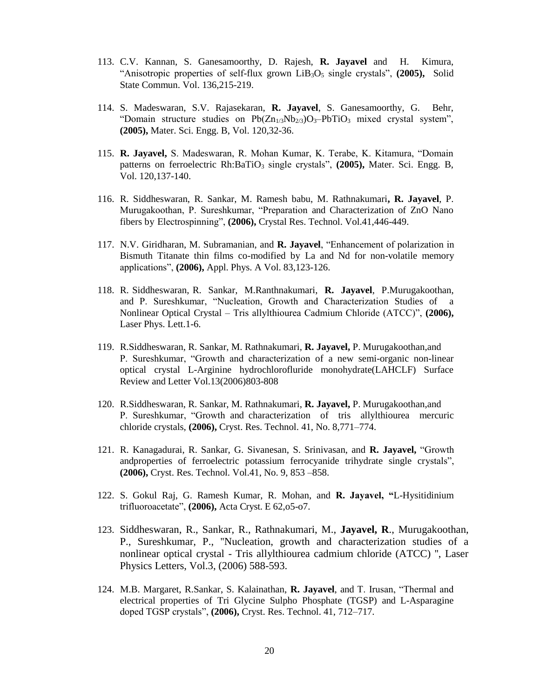- 113. C.V. Kannan, S. Ganesamoorthy, D. Rajesh, **R. Jayavel** and H. Kimura, "Anisotropic properties of self-flux grown LiB3O<sup>5</sup> single crystals", **(2005),** Solid State Commun. Vol. 136,215-219.
- 114. S. Madeswaran, S.V. Rajasekaran, **R. Jayavel**, S. Ganesamoorthy, G. Behr, "Domain structure studies on  $Pb(Zn_{1/3}Nb_{2/3}O_3-PbTiO_3$  mixed crystal system", **(2005),** Mater. Sci. Engg. B, Vol. 120,32-36.
- 115. **R. Jayavel,** S. Madeswaran, R. Mohan Kumar, K. Terabe, K. Kitamura, "Domain patterns on ferroelectric Rh:BaTiO<sub>3</sub> single crystals", (2005), Mater. Sci. Engg. B, Vol. 120,137-140.
- 116. R. Siddheswaran, R. Sankar, M. Ramesh babu, M. Rathnakumari**, R. Jayavel**, P. Murugakoothan, P. Sureshkumar, "Preparation and Characterization of ZnO Nano fibers by Electrospinning", **(2006),** Crystal Res. Technol. Vol.41,446-449.
- 117. N.V. Giridharan, M. Subramanian, and **R. Jayavel**, "Enhancement of polarization in Bismuth Titanate thin films co-modified by La and Nd for non-volatile memory applications", **(2006),** Appl. Phys. A Vol. 83,123-126.
- 118. R. Siddheswaran, R. Sankar, M.Ranthnakumari, **R. Jayavel**, P.Murugakoothan, and P. Sureshkumar, "Nucleation, Growth and Characterization Studies of a Nonlinear Optical Crystal – Tris allylthiourea Cadmium Chloride (ATCC)", **(2006),**  Laser Phys. Lett.1-6.
- 119. R.Siddheswaran, R. Sankar, M. Rathnakumari, **R. Jayavel,** P. Murugakoothan,and P. Sureshkumar, "Growth and characterization of a new semi-organic non-linear optical crystal L-Arginine hydrochlorofluride monohydrate(LAHCLF) Surface Review and Letter Vol.13(2006)803-808
- 120. R.Siddheswaran, R. Sankar, M. Rathnakumari, **R. Jayavel,** P. Murugakoothan,and P. Sureshkumar, "Growth and characterization of tris allylthiourea mercuric chloride crystals, **(2006),** Cryst. Res. Technol. 41, No. 8,771–774.
- 121. R. Kanagadurai, R. Sankar, G. Sivanesan, S. Srinivasan, and **R. Jayavel,** "Growth andproperties of ferroelectric potassium ferrocyanide trihydrate single crystals", **(2006),** Cryst. Res. Technol. Vol.41, No. 9, 853 –858.
- 122. S. Gokul Raj, G. Ramesh Kumar, R. Mohan, and **R. Jayavel, "**L-Hysitidinium trifluoroacetate", **(2006),** Acta Cryst. E 62,o5-o7.
- 123. Siddheswaran, R., Sankar, R., Rathnakumari, M., **Jayavel, R**., Murugakoothan, P., Sureshkumar, P., ''Nucleation, growth and characterization studies of a nonlinear optical crystal - Tris allylthiourea cadmium chloride (ATCC) '', Laser Physics Letters, Vol.3, (2006) 588-593.
- 124. M.B. Margaret, R.Sankar, S. Kalainathan, **R. Jayavel**, and T. Irusan, "Thermal and electrical properties of Tri Glycine Sulpho Phosphate (TGSP) and L-Asparagine doped TGSP crystals", **(2006),** Cryst. Res. Technol. 41, 712–717.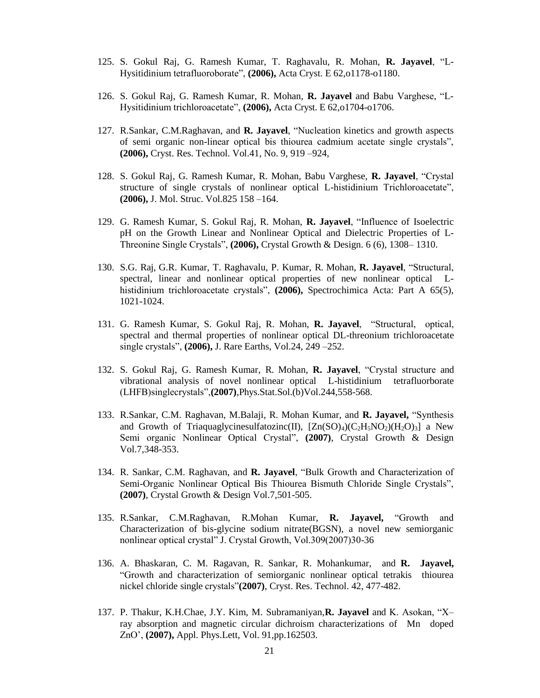- 125. S. Gokul Raj, G. Ramesh Kumar, T. Raghavalu, R. Mohan, **R. Jayavel**, "L-Hysitidinium tetrafluoroborate", **(2006),** Acta Cryst. E 62,o1178-o1180.
- 126. S. Gokul Raj, G. Ramesh Kumar, R. Mohan, **R. Jayavel** and Babu Varghese, "L-Hysitidinium trichloroacetate", **(2006),** Acta Cryst. E 62,o1704-o1706.
- 127. R.Sankar, C.M.Raghavan, and **R. Jayavel**, "Nucleation kinetics and growth aspects of semi organic non-linear optical bis thiourea cadmium acetate single crystals", **(2006),** Cryst. Res. Technol. Vol.41, No. 9, 919 –924,
- 128. S. Gokul Raj, G. Ramesh Kumar, R. Mohan, Babu Varghese, **R. Jayavel**, "Crystal structure of single crystals of nonlinear optical L-histidinium Trichloroacetate", **(2006),** J. Mol. Struc. Vol.825 158 –164.
- 129. G. Ramesh Kumar, S. Gokul Raj, R. Mohan, **R. Jayavel**, "Influence of Isoelectric pH on the Growth Linear and Nonlinear Optical and Dielectric Properties of L-Threonine Single Crystals", **(2006),** Crystal Growth & Design. 6 (6), 1308– 1310.
- 130. S.G. Raj, G.R. Kumar, T. Raghavalu, P. Kumar, R. Mohan, **R. Jayavel**, "Structural, spectral, linear and nonlinear optical properties of new nonlinear optical Lhistidinium trichloroacetate crystals", **(2006),** Spectrochimica Acta: Part A 65(5), 1021-1024.
- 131. G. Ramesh Kumar, S. Gokul Raj, R. Mohan, **R. Jayavel**, "Structural, optical, spectral and thermal properties of nonlinear optical DL-threonium trichloroacetate single crystals", **(2006),** J. Rare Earths, Vol.24, 249 –252.
- 132. S. Gokul Raj, G. Ramesh Kumar, R. Mohan, **R. Jayavel**, "Crystal structure and vibrational analysis of novel nonlinear optical L-histidinium tetrafluorborate (LHFB)singlecrystals",**(2007)**,Phys.Stat.Sol.(b)Vol.244,558-568.
- 133. R.Sankar, C.M. Raghavan, M.Balaji, R. Mohan Kumar, and **R. Jayavel,** "Synthesis and Growth of Triaquaglycinesulfatozinc(II),  $[Zn(SO)_4)(C_2H_5NO_2)(H_2O)_3]$  a New Semi organic Nonlinear Optical Crystal", **(2007)**, Crystal Growth & Design Vol.7,348-353.
- 134. R. Sankar, C.M. Raghavan, and **R. Jayavel**, "Bulk Growth and Characterization of Semi-Organic Nonlinear Optical Bis Thiourea Bismuth Chloride Single Crystals", **(2007)**, Crystal Growth & Design Vol.7,501-505.
- 135. R.Sankar, C.M.Raghavan, R.Mohan Kumar, **R. Jayavel,** "Growth and Characterization of bis-glycine sodium nitrate(BGSN), a novel new semiorganic nonlinear optical crystal" J. Crystal Growth, Vol.309(2007)30-36
- 136. A. Bhaskaran, C. M. Ragavan, R. Sankar, R. Mohankumar, and **R. Jayavel,**  "Growth and characterization of semiorganic nonlinear optical tetrakis thiourea nickel chloride single crystals"**(2007)**, Cryst. Res. Technol. 42, 477-482.
- 137. P. Thakur, K.H.Chae, J.Y. Kim, M. Subramaniyan,**R. Jayavel** and K. Asokan, "X– ray absorption and magnetic circular dichroism characterizations of Mn doped ZnO', **(2007),** Appl. Phys.Lett, Vol. 91,pp.162503.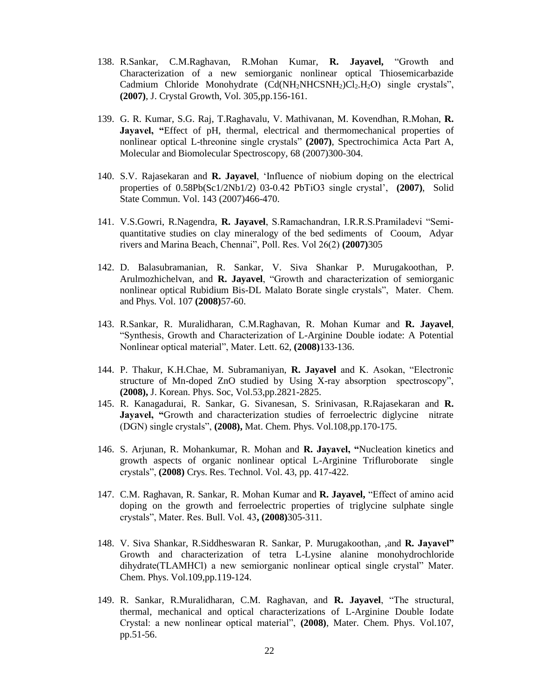- 138. R.Sankar, C.M.Raghavan, R.Mohan Kumar, **R. Jayavel,** "Growth and Characterization of a new semiorganic nonlinear optical Thiosemicarbazide Cadmium Chloride Monohydrate (Cd(NH<sub>2</sub>NHCSNH<sub>2</sub>)Cl<sub>2</sub>.H<sub>2</sub>O) single crystals", **(2007)**, J. Crystal Growth, Vol. 305,pp.156-161.
- 139. G. R. Kumar, S.G. Raj, T.Raghavalu, V. Mathivanan, M. Kovendhan, R.Mohan, **R. Jayavel, "**Effect of pH, thermal, electrical and thermomechanical properties of nonlinear optical L-threonine single crystals" **(2007)**, Spectrochimica Acta Part A, Molecular and Biomolecular Spectroscopy, 68 (2007)300-304.
- 140. S.V. Rajasekaran and **R. Jayavel**, 'Influence of niobium doping on the electrical properties of 0.58Pb(Sc1/2Nb1/2) 03-0.42 PbTiO3 single crystal', **(2007)**, Solid State Commun. Vol. 143 (2007)466-470.
- 141. V.S.Gowri, R.Nagendra, **R. Jayavel**, S.Ramachandran, I.R.R.S.Pramiladevi "Semiquantitative studies on clay mineralogy of the bed sediments of Cooum, Adyar rivers and Marina Beach, Chennai", Poll. Res. Vol 26(2) **(2007)**305
- 142. D. Balasubramanian, R. Sankar, V. Siva Shankar P. Murugakoothan, P. Arulmozhichelvan, and **R. Jayavel**, "Growth and characterization of semiorganic nonlinear optical Rubidium Bis-DL Malato Borate single crystals", Mater. Chem. and Phys. Vol. 107 **(2008)**57-60.
- 143. R.Sankar, R. Muralidharan, C.M.Raghavan, R. Mohan Kumar and **R. Jayavel**, "Synthesis, Growth and Characterization of L-Arginine Double iodate: A Potential Nonlinear optical material", Mater. Lett. 62, **(2008)**133-136.
- 144. P. Thakur, K.H.Chae, M. Subramaniyan, **R. Jayavel** and K. Asokan, "Electronic structure of Mn-doped ZnO studied by Using X-ray absorption spectroscopy", **(2008),** J. Korean. Phys. Soc, Vol.53,pp.2821-2825.
- 145. R. Kanagadurai, R. Sankar, G. Sivanesan, S. Srinivasan, R.Rajasekaran and **R. Jayavel, "**Growth and characterization studies of ferroelectric diglycine nitrate (DGN) single crystals", **(2008),** Mat. Chem. Phys. Vol.108,pp.170-175.
- 146. S. Arjunan, R. Mohankumar, R. Mohan and **R. Jayavel, "**Nucleation kinetics and growth aspects of organic nonlinear optical L-Arginine Trifluroborate single crystals", **(2008)** Crys. Res. Technol. Vol. 43, pp. 417-422.
- 147. C.M. Raghavan, R. Sankar, R. Mohan Kumar and **R. Jayavel,** "Effect of amino acid doping on the growth and ferroelectric properties of triglycine sulphate single crystals", Mater. Res. Bull. Vol. 43**, (2008)**305-311.
- 148. V. Siva Shankar, R.Siddheswaran R. Sankar, P. Murugakoothan, ,and **R. Jayavel"**  Growth and characterization of tetra L-Lysine alanine monohydrochloride dihydrate(TLAMHCl) a new semiorganic nonlinear optical single crystal" Mater. Chem. Phys. Vol.109,pp.119-124.
- 149. R. Sankar, R.Muralidharan, C.M. Raghavan, and **R. Jayavel**, "The structural, thermal, mechanical and optical characterizations of L-Arginine Double Iodate Crystal: a new nonlinear optical material", **(2008)**, Mater. Chem. Phys. Vol.107, pp.51-56.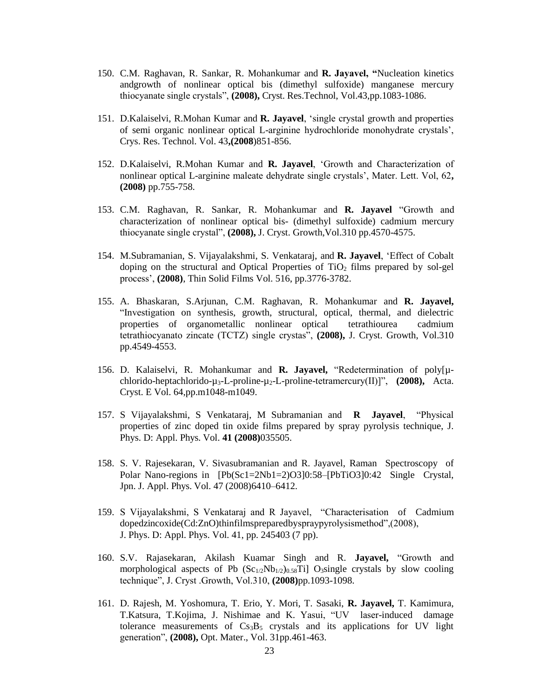- 150. C.M. Raghavan, R. Sankar, R. Mohankumar and **R. Jayavel, "**Nucleation kinetics andgrowth of nonlinear optical bis (dimethyl sulfoxide) manganese mercury thiocyanate single crystals", **(2008),** Cryst. Res.Technol, Vol.43,pp.1083-1086.
- 151. D.Kalaiselvi, R.Mohan Kumar and **R. Jayavel**, 'single crystal growth and properties of semi organic nonlinear optical L-arginine hydrochloride monohydrate crystals', Crys. Res. Technol. Vol. 43**,(2008**)851-856.
- 152. D.Kalaiselvi, R.Mohan Kumar and **R. Jayavel**, 'Growth and Characterization of nonlinear optical L-arginine maleate dehydrate single crystals', Mater. Lett. Vol, 62**, (2008)** pp.755-758.
- 153. C.M. Raghavan, R. Sankar, R. Mohankumar and **R. Jayavel** "Growth and characterization of nonlinear optical bis- (dimethyl sulfoxide) cadmium mercury thiocyanate single crystal", **(2008),** J. Cryst. Growth,Vol.310 pp.4570-4575.
- 154. M.Subramanian, S. Vijayalakshmi, S. Venkataraj, and **R. Jayavel**, 'Effect of Cobalt doping on the structural and Optical Properties of  $TiO<sub>2</sub>$  films prepared by sol-gel process', **(2008)**, Thin Solid Films Vol. 516, pp.3776-3782.
- 155. A. Bhaskaran, S.Arjunan, C.M. Raghavan, R. Mohankumar and **R. Jayavel,**  "Investigation on synthesis, growth, structural, optical, thermal, and dielectric properties of organometallic nonlinear optical tetrathiourea cadmium tetrathiocyanato zincate (TCTZ) single crystas", **(2008),** J. Cryst. Growth, Vol.310 pp.4549-4553.
- 156. D. Kalaiselvi, R. Mohankumar and **R. Jayavel,** "Redetermination of poly[µchlorido-heptachlorido-µ3-L-proline-µ2-L-proline-tetramercury(II)]", **(2008),** Acta. Cryst. E Vol. 64,pp.m1048-m1049.
- 157. S Vijayalakshmi, S Venkataraj, M Subramanian and **R Jayavel**, "Physical properties of zinc doped tin oxide films prepared by spray pyrolysis technique, J. Phys. D: Appl. Phys. Vol. **41 (2008)**035505.
- 158. S. V. Rajesekaran, V. Sivasubramanian and R. Jayavel, Raman Spectroscopy of Polar Nano-regions in [Pb(Sc1=2Nb1=2)O3]0:58–[PbTiO3]0:42 Single Crystal, Jpn. J. Appl. Phys. Vol. 47 (2008)6410–6412.
- 159. S Vijayalakshmi, S Venkataraj and R Jayavel, "Characterisation of Cadmium dopedzincoxide(Cd:ZnO)thinfilmspreparedbyspraypyrolysismethod",(2008), J. Phys. D: Appl. Phys. Vol. 41, pp. 245403 (7 pp).
- 160. S.V. Rajasekaran, Akilash Kuamar Singh and R. **Jayavel,** "Growth and morphological aspects of Pb  $(Sc_{1/2}Nb_{1/2})_{0.58}Ti$  O<sub>3</sub>single crystals by slow cooling technique", J. Cryst .Growth, Vol.310, **(2008)**pp.1093-1098.
- 161. D. Rajesh, M. Yoshomura, T. Erio, Y. Mori, T. Sasaki, **R. Jayavel,** T. Kamimura, T.Katsura, T.Kojima, J. Nishimae and K. Yasui, "UV laser-induced damage tolerance measurements of  $Cs<sub>3</sub>B<sub>5</sub>$  crystals and its applications for UV light generation", **(2008),** Opt. Mater., Vol. 31pp.461-463.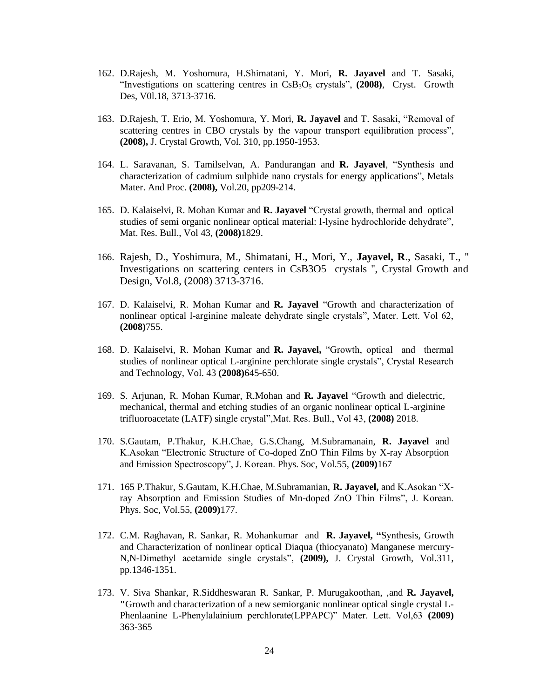- 162. D.Rajesh, M. Yoshomura, H.Shimatani, Y. Mori, **R. Jayavel** and T. Sasaki, "Investigations on scattering centres in CsB3O<sup>5</sup> crystals", **(2008)**, Cryst. Growth Des, V0l.18, 3713-3716.
- 163. D.Rajesh, T. Erio, M. Yoshomura, Y. Mori, **R. Jayavel** and T. Sasaki, "Removal of scattering centres in CBO crystals by the vapour transport equilibration process", **(2008),** J. Crystal Growth, Vol. 310, pp.1950-1953.
- 164. L. Saravanan, S. Tamilselvan, A. Pandurangan and **R. Jayavel**, "Synthesis and characterization of cadmium sulphide nano crystals for energy applications", Metals Mater. And Proc. **(2008),** Vol.20, pp209-214.
- 165. D. Kalaiselvi, R. Mohan Kumar and **R. Jayavel** "Crystal growth, thermal and optical studies of semi organic nonlinear optical material: l-lysine hydrochloride dehydrate", Mat. Res. Bull., Vol 43, **(2008)**1829.
- 166. Rajesh, D., Yoshimura, M., Shimatani, H., Mori, Y., **Jayavel, R**., Sasaki, T., '' Investigations on scattering centers in CsB3O5 crystals '', Crystal Growth and Design, Vol.8, (2008) 3713-3716.
- 167. D. Kalaiselvi, R. Mohan Kumar and **R. Jayavel** "Growth and characterization of nonlinear optical l-arginine maleate dehydrate single crystals", Mater. Lett. Vol 62, **(2008)**755.
- 168. D. Kalaiselvi, R. Mohan Kumar and **R. Jayavel,** "Growth, optical and thermal studies of nonlinear optical L-arginine perchlorate single crystals", Crystal Research and Technology, Vol. 43 **(2008)**645-650.
- 169. S. Arjunan, R. Mohan Kumar, R.Mohan and **R. Jayavel** "Growth and dielectric, mechanical, thermal and etching studies of an organic nonlinear optical L-arginine trifluoroacetate (LATF) single crystal",Mat. Res. Bull., Vol 43, **(2008)** 2018.
- 170. S.Gautam, P.Thakur, K.H.Chae, G.S.Chang, M.Subramanain, **R. Jayavel** and K.Asokan "Electronic Structure of Co-doped ZnO Thin Films by X-ray Absorption and Emission Spectroscopy", J. Korean. Phys. Soc, Vol.55, **(2009)**167
- 171. 165 P.Thakur, S.Gautam, K.H.Chae, M.Subramanian, **R. Jayavel,** and K.Asokan "Xray Absorption and Emission Studies of Mn-doped ZnO Thin Films", J. Korean. Phys. Soc, Vol.55, **(2009)**177.
- 172. C.M. Raghavan, R. Sankar, R. Mohankumar and **R. Jayavel, "**Synthesis, Growth and Characterization of nonlinear optical Diaqua (thiocyanato) Manganese mercury-N,N-Dimethyl acetamide single crystals", **(2009),** J. Crystal Growth, Vol.311, pp.1346-1351.
- 173. V. Siva Shankar, R.Siddheswaran R. Sankar, P. Murugakoothan, ,and **R. Jayavel, "**Growth and characterization of a new semiorganic nonlinear optical single crystal L-Phenlaanine L-Phenylalainium perchlorate(LPPAPC)" Mater. Lett. Vol,63 **(2009)**  363-365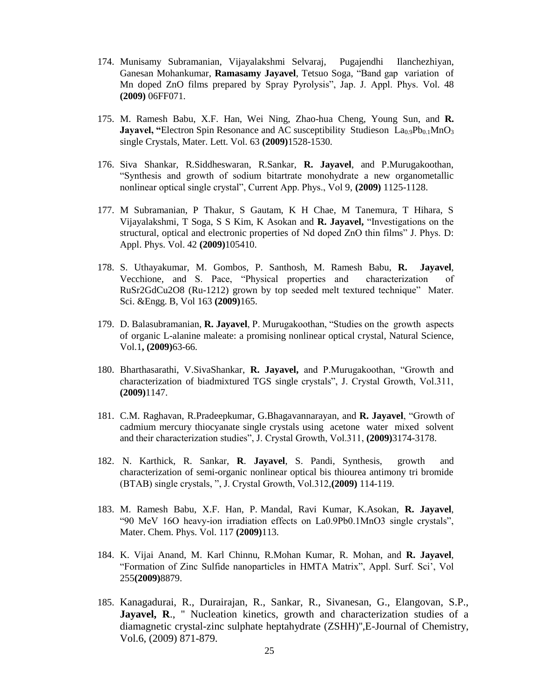- 174. Munisamy Subramanian, Vijayalakshmi Selvaraj, Pugajendhi Ilanchezhiyan, Ganesan Mohankumar, **Ramasamy Jayavel**, Tetsuo Soga, "Band gap variation of Mn doped ZnO films prepared by Spray Pyrolysis", Jap. J. Appl. Phys. Vol. 48 **(2009)** 06FF071.
- 175. M. Ramesh Babu, X.F. Han, Wei Ning, Zhao-hua Cheng, Young Sun, and **R. Jayavel, "Electron Spin Resonance and AC susceptibility Studieson La<sub>0.9</sub>Pb<sub>0.1</sub>MnO<sub>3</sub>** single Crystals, Mater. Lett. Vol. 63 **(2009)**1528-1530.
- 176. Siva Shankar, R.Siddheswaran, R.Sankar, **R. Jayavel**, and P.Murugakoothan, "Synthesis and growth of sodium bitartrate monohydrate a new organometallic nonlinear optical single crystal", Current App. Phys., Vol 9, **(2009)** 1125-1128.
- 177. M Subramanian, P Thakur, S Gautam, K H Chae, M Tanemura, T Hihara, S Vijayalakshmi, T Soga, S S Kim, K Asokan and **R. Jayavel,** "Investigations on the structural, optical and electronic properties of Nd doped ZnO thin films" J. Phys. D: Appl. Phys. Vol. 42 **(2009)**105410.
- 178. S. Uthayakumar, M. Gombos, P. Santhosh, M. Ramesh Babu, **R. Jayavel**, Vecchione, and S. Pace, "Physical properties and characterization of RuSr2GdCu2O8 (Ru-1212) grown by top seeded melt textured technique" Mater. Sci. &Engg. B, Vol 163 **(2009)**165.
- 179. D. Balasubramanian, **R. Jayavel**, P. Murugakoothan, "Studies on the growth aspects of organic L-alanine maleate: a promising nonlinear optical crystal, Natural Science, Vol.1**, (2009)**63-66.
- 180. Bharthasarathi, V.SivaShankar, **R. Jayavel,** and P.Murugakoothan, "Growth and characterization of biadmixtured TGS single crystals", J. Crystal Growth, Vol.311, **(2009)**1147.
- 181. C.M. Raghavan, R.Pradeepkumar, G.Bhagavannarayan, and **R. Jayavel**, "Growth of cadmium mercury thiocyanate single crystals using acetone water mixed solvent and their characterization studies", J. Crystal Growth, Vol.311, **(2009)**3174-3178.
- 182. N. Karthick, R. Sankar, **R**. **Jayavel**, S. Pandi, Synthesis, growth and characterization of semi-organic nonlinear optical bis thiourea antimony tri bromide (BTAB) single crystals, ", J. Crystal Growth, Vol.312,**(2009)** 114-119.
- 183. M. Ramesh Babu, X.F. Han, P. Mandal, Ravi Kumar, K.Asokan, **R. Jayavel**, "90 MeV 16O heavy-ion irradiation effects on La0.9Pb0.1MnO3 single crystals", Mater. Chem. Phys. Vol. 117 **(2009)**113.
- 184. K. Vijai Anand, M. Karl Chinnu, R.Mohan Kumar, R. Mohan, and **R. Jayavel**, "Formation of Zinc Sulfide nanoparticles in HMTA Matrix", Appl. Surf. Sci', Vol 255**(2009)**8879.
- 185. Kanagadurai, R., Durairajan, R., Sankar, R., Sivanesan, G., Elangovan, S.P., Jayavel, R., " Nucleation kinetics, growth and characterization studies of a diamagnetic crystal-zinc sulphate heptahydrate (ZSHH)'',E-Journal of Chemistry, Vol.6, (2009) 871-879.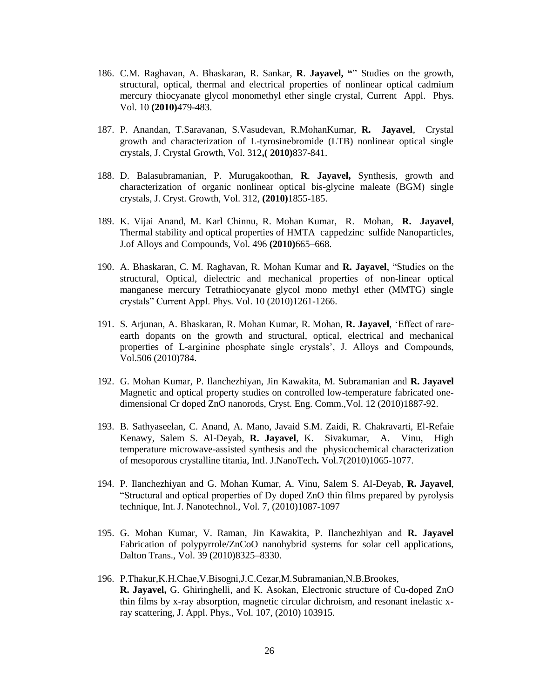- 186. C.M. Raghavan, A. Bhaskaran, R. Sankar, **R**. **Jayavel, "**" Studies on the growth, structural, optical, thermal and electrical properties of nonlinear optical cadmium mercury thiocyanate glycol monomethyl ether single crystal, Current Appl. Phys. Vol. 10 **(2010)**479-483.
- 187. P. Anandan, T.Saravanan, S.Vasudevan, R.MohanKumar, **R. Jayavel**, Crystal growth and characterization of L-tyrosinebromide (LTB) nonlinear optical single crystals, J. Crystal Growth, Vol. 312**,( 2010)**837-841.
- 188. D. Balasubramanian, P. Murugakoothan, **R**. **Jayavel,** Synthesis, growth and characterization of organic nonlinear optical bis-glycine maleate (BGM) single crystals, J. Cryst. Growth, Vol. 312, **(2010)**1855-185.
- 189. K. Vijai Anand, M. Karl Chinnu, R. Mohan Kumar, R. Mohan, **R. Jayavel**, Thermal stability and optical properties of HMTA cappedzinc sulfide Nanoparticles, J.of Alloys and Compounds, Vol. 496 **(2010)**665–668.
- 190. A. Bhaskaran, C. M. Raghavan, R. Mohan Kumar and **R. Jayavel**, "Studies on the structural, Optical, dielectric and mechanical properties of non-linear optical manganese mercury Tetrathiocyanate glycol mono methyl ether (MMTG) single crystals" Current Appl. Phys. Vol. 10 (2010)1261-1266.
- 191. S. Arjunan, A. Bhaskaran, R. Mohan Kumar, R. Mohan, **R. Jayavel**, 'Effect of rareearth dopants on the growth and structural, optical, electrical and mechanical properties of L-arginine phosphate single crystals', J. Alloys and Compounds, Vol.506 (2010)784.
- 192. G. Mohan Kumar, P. Ilanchezhiyan, Jin Kawakita, M. Subramanian and **R. Jayavel**  Magnetic and optical property studies on controlled low-temperature fabricated onedimensional Cr doped ZnO nanorods, Cryst. Eng. Comm.,Vol. 12 (2010)1887-92.
- 193. B. Sathyaseelan, C. Anand, A. Mano, Javaid S.M. Zaidi, R. Chakravarti, El-Refaie Kenawy, Salem S. Al-Deyab, **R. Jayavel**, K. Sivakumar, A. Vinu, High temperature microwave-assisted synthesis and the physicochemical characterization of mesoporous crystalline titania, Intl. J.NanoTech**.** Vol.7(2010)1065-1077.
- 194. P. Ilanchezhiyan and G. Mohan Kumar, A. Vinu, Salem S. Al-Deyab, **R. Jayavel**, "Structural and optical properties of Dy doped ZnO thin films prepared by pyrolysis technique, Int. J. Nanotechnol., Vol. 7, (2010)1087-1097
- 195. G. Mohan Kumar, V. Raman, Jin Kawakita, P. Ilanchezhiyan and **R. Jayavel**  Fabrication of polypyrrole/ZnCoO nanohybrid systems for solar cell applications, Dalton Trans., Vol. 39 (2010)8325–8330.
- 196. P.Thakur,K.H.Chae,V.Bisogni,J.C.Cezar,M.Subramanian,N.B.Brookes, **R. Jayavel,** G. Ghiringhelli, and K. Asokan, Electronic structure of Cu-doped ZnO thin films by x-ray absorption, magnetic circular dichroism, and resonant inelastic xray scattering, J. Appl. Phys., Vol. 107, (2010) 103915.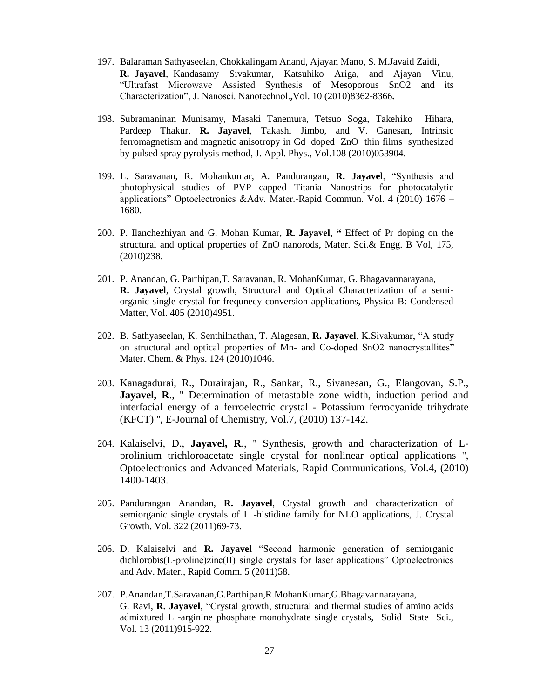- 197. Balaraman Sathyaseelan, Chokkalingam Anand, Ajayan Mano, S. M.Javaid Zaidi, **R. Jayavel**, Kandasamy Sivakumar, Katsuhiko Ariga, and Ajayan Vinu, "Ultrafast Microwave Assisted Synthesis of Mesoporous SnO2 and its Characterization", J. Nanosci. Nanotechnol.**,**Vol. 10 (2010)8362-8366**.**
- 198. Subramaninan Munisamy, Masaki Tanemura, Tetsuo Soga, Takehiko Hihara, Pardeep Thakur, **R. Jayavel**, Takashi Jimbo, and V. Ganesan, Intrinsic ferromagnetism and magnetic anisotropy in Gd doped ZnO thin films synthesized by pulsed spray pyrolysis method, J. Appl. Phys., Vol.108 (2010)053904.
- 199. L. Saravanan, R. Mohankumar, A. Pandurangan, **R. Jayavel**, "Synthesis and photophysical studies of PVP capped Titania Nanostrips for photocatalytic applications" Optoelectronics &Adv. Mater.-Rapid Commun. Vol. 4 (2010) 1676 – 1680.
- 200. P. Ilanchezhiyan and G. Mohan Kumar, **R. Jayavel, "** Effect of Pr doping on the structural and optical properties of ZnO nanorods, Mater. Sci.& Engg. B Vol, 175, (2010)238.
- 201. P. Anandan, G. Parthipan,T. Saravanan, R. MohanKumar, G. Bhagavannarayana, **R. Jayavel**, Crystal growth, Structural and Optical Characterization of a semiorganic single crystal for frequnecy conversion applications, Physica B: Condensed Matter, Vol. 405 (2010)4951.
- 202. B. Sathyaseelan, K. Senthilnathan, T. Alagesan, **R. Jayavel**, K.Sivakumar, "A study on structural and optical properties of Mn- and Co-doped SnO2 nanocrystallites" Mater. Chem. & Phys. 124 (2010)1046.
- 203. Kanagadurai, R., Durairajan, R., Sankar, R., Sivanesan, G., Elangovan, S.P., Jayavel, R., " Determination of metastable zone width, induction period and interfacial energy of a ferroelectric crystal - Potassium ferrocyanide trihydrate (KFCT) '', E-Journal of Chemistry, Vol.7, (2010) 137-142.
- 204. Kalaiselvi, D., **Jayavel, R**., '' Synthesis, growth and characterization of Lprolinium trichloroacetate single crystal for nonlinear optical applications '', Optoelectronics and Advanced Materials, Rapid Communications, Vol.4, (2010) 1400-1403.
- 205. Pandurangan Anandan, **R. Jayavel**, Crystal growth and characterization of semiorganic single crystals of L -histidine family for NLO applications, J. Crystal Growth, Vol. 322 (2011)69-73.
- 206. D. Kalaiselvi and **R. Jayavel** "Second harmonic generation of semiorganic dichlorobis(L-proline)zinc(II) single crystals for laser applications" Optoelectronics and Adv. Mater., Rapid Comm. 5 (2011)58.
- 207. P.Anandan,T.Saravanan,G.Parthipan,R.MohanKumar,G.Bhagavannarayana, G. Ravi, **R. Jayavel**, "Crystal growth, structural and thermal studies of amino acids admixtured L -arginine phosphate monohydrate single crystals, Solid State Sci., Vol. 13 (2011)915-922.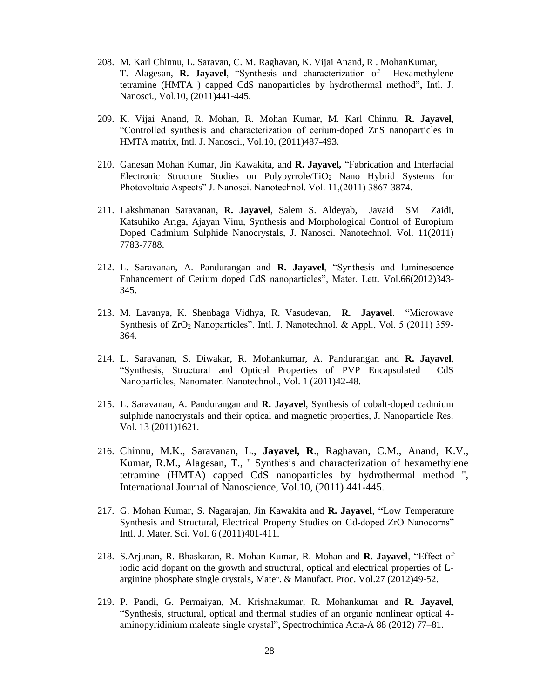- 208. M. Karl Chinnu, L. Saravan, C. M. Raghavan, K. Vijai Anand, R . MohanKumar, T. Alagesan, **R. Jayavel**, "Synthesis and characterization of Hexamethylene tetramine (HMTA ) capped CdS nanoparticles by hydrothermal method", Intl. J. Nanosci., Vol.10, (2011)441-445.
- 209. K. Vijai Anand, R. Mohan, R. Mohan Kumar, M. Karl Chinnu, **R. Jayavel**, "Controlled synthesis and characterization of cerium-doped ZnS nanoparticles in HMTA matrix, Intl. J. Nanosci., Vol.10, (2011)487-493.
- 210. Ganesan Mohan Kumar, Jin Kawakita, and **R. Jayavel,** "Fabrication and Interfacial Electronic Structure Studies on Polypyrrole/TiO<sup>2</sup> Nano Hybrid Systems for Photovoltaic Aspects" J. Nanosci. Nanotechnol. Vol. 11,(2011) 3867-3874.
- 211. Lakshmanan Saravanan, **R. Jayavel**, Salem S. Aldeyab, Javaid SM Zaidi, Katsuhiko Ariga, Ajayan Vinu, Synthesis and Morphological Control of Europium Doped Cadmium Sulphide Nanocrystals, J. Nanosci. Nanotechnol. Vol. 11(2011) 7783-7788.
- 212. L. Saravanan, A. Pandurangan and **R. Jayavel**, "Synthesis and luminescence Enhancement of Cerium doped CdS nanoparticles", Mater. Lett. Vol.66(2012)343- 345.
- 213. M. Lavanya, K. Shenbaga Vidhya, R. Vasudevan, **R. Jayavel**. "Microwave Synthesis of ZrO<sub>2</sub> Nanoparticles". Intl. J. Nanotechnol. & Appl., Vol. 5 (2011) 359-364.
- 214. L. Saravanan, S. Diwakar, R. Mohankumar, A. Pandurangan and **R. Jayavel**, "Synthesis, Structural and Optical Properties of PVP Encapsulated CdS Nanoparticles, Nanomater. Nanotechnol., Vol. 1 (2011)42-48.
- 215. L. Saravanan, A. Pandurangan and **R. Jayavel**, Synthesis of cobalt-doped cadmium sulphide nanocrystals and their optical and magnetic properties, J. Nanoparticle Res. Vol. 13 (2011)1621.
- 216. Chinnu, M.K., Saravanan, L., **Jayavel, R**., Raghavan, C.M., Anand, K.V., Kumar, R.M., Alagesan, T., '' Synthesis and characterization of hexamethylene tetramine (HMTA) capped CdS nanoparticles by hydrothermal method '', International Journal of Nanoscience, Vol.10, (2011) 441-445.
- 217. G. Mohan Kumar, S. Nagarajan, Jin Kawakita and **R. Jayavel**, **"**Low Temperature Synthesis and Structural, Electrical Property Studies on Gd-doped ZrO Nanocorns" Intl. J. Mater. Sci. Vol. 6 (2011)401-411.
- 218. S.Arjunan, R. Bhaskaran, R. Mohan Kumar, R. Mohan and **R. Jayavel**, "Effect of iodic acid dopant on the growth and structural, optical and electrical properties of Larginine phosphate single crystals, Mater. & Manufact. Proc. Vol.27 (2012)49-52.
- 219. P. Pandi, G. Permaiyan, M. Krishnakumar, R. Mohankumar and **R. Jayavel**, "Synthesis, structural, optical and thermal studies of an organic nonlinear optical 4 aminopyridinium maleate single crystal", Spectrochimica Acta-A 88 (2012) 77–81.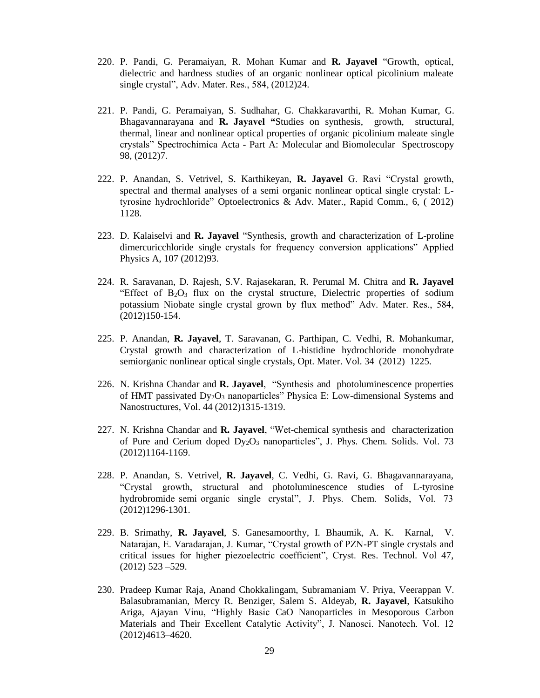- 220. P. Pandi, G. Peramaiyan, R. Mohan Kumar and **R. Jayavel** "Growth, optical, dielectric and hardness studies of an organic nonlinear optical picolinium maleate single crystal", Adv. Mater. Res., 584, (2012)24.
- 221. P. Pandi, G. Peramaiyan, S. Sudhahar, G. Chakkaravarthi, R. Mohan Kumar, G. Bhagavannarayana and **R. Jayavel "**Studies on synthesis, growth, structural, thermal, linear and nonlinear optical properties of organic picolinium maleate single crystals" Spectrochimica Acta - Part A: Molecular and Biomolecular Spectroscopy 98, (2012)7.
- 222. P. Anandan, S. Vetrivel, S. Karthikeyan, **R. Jayavel** G. Ravi "Crystal growth, spectral and thermal analyses of a semi organic nonlinear optical single crystal: Ltyrosine hydrochloride" Optoelectronics & Adv. Mater., Rapid Comm., 6, ( 2012) 1128.
- 223. D. Kalaiselvi and **R. Jayavel** "Synthesis, growth and characterization of L-proline dimercuricchloride single crystals for frequency conversion applications" Applied Physics A, 107 (2012)93.
- 224. R. Saravanan, D. Rajesh, S.V. Rajasekaran, R. Perumal M. Chitra and **R. Jayavel**  "Effect of  $B_2O_3$  flux on the crystal structure, Dielectric properties of sodium potassium Niobate single crystal grown by flux method" Adv. Mater. Res., 584, (2012)150-154.
- 225. P. Anandan, **R. Jayavel**, T. Saravanan, G. Parthipan, C. Vedhi, R. Mohankumar, Crystal growth and characterization of L-histidine hydrochloride monohydrate semiorganic nonlinear optical single crystals, Opt. Mater. Vol. 34 (2012) 1225.
- 226. N. Krishna Chandar and **R. Jayavel**, "Synthesis and photoluminescence properties of HMT passivated Dy<sub>2</sub>O<sub>3</sub> nanoparticles" Physica E: Low-dimensional Systems and Nanostructures, Vol. 44 (2012)1315-1319.
- 227. N. Krishna Chandar and **R. Jayavel**, "Wet-chemical synthesis and characterization of Pure and Cerium doped Dy2O<sup>3</sup> nanoparticles", J. Phys. Chem. Solids. Vol. 73 (2012)1164-1169.
- 228. P. Anandan, S. Vetrivel, **R. Jayavel**, C. Vedhi, G. Ravi, G. Bhagavannarayana, "Crystal growth, structural and photoluminescence studies of L-tyrosine hydrobromide semi organic single crystal", J. Phys. Chem. Solids, Vol. 73 (2012)1296-1301.
- 229. B. Srimathy, **R. Jayavel**, S. Ganesamoorthy, I. Bhaumik, A. K. Karnal, V. Natarajan, E. Varadarajan, J. Kumar, "Crystal growth of PZN-PT single crystals and critical issues for higher piezoelectric coefficient", Cryst. Res. Technol. Vol 47, (2012) 523 –529.
- 230. Pradeep Kumar Raja, Anand Chokkalingam, Subramaniam V. Priya, Veerappan V. Balasubramanian, Mercy R. Benziger, Salem S. Aldeyab, **R. Jayavel**, Katsukiho Ariga, Ajayan Vinu, "Highly Basic CaO Nanoparticles in Mesoporous Carbon Materials and Their Excellent Catalytic Activity", J. Nanosci. Nanotech. Vol. 12 (2012)4613–4620.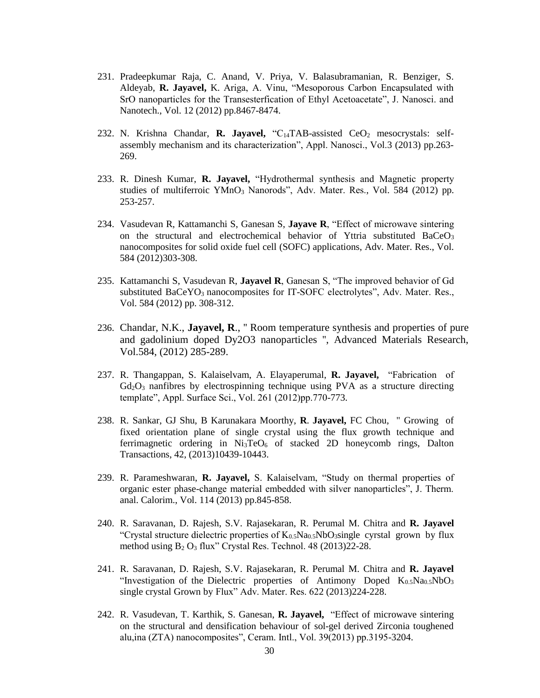- 231. Pradeepkumar Raja, C. Anand, V. Priya, V. Balasubramanian, R. Benziger, S. Aldeyab, **R. Jayavel,** K. Ariga, A. Vinu, "Mesoporous Carbon Encapsulated with SrO nanoparticles for the Transesterfication of Ethyl Acetoacetate", J. Nanosci. and Nanotech., Vol. 12 (2012) pp.8467-8474.
- 232. N. Krishna Chandar, **R. Jayavel,** "C14TAB-assisted CeO<sup>2</sup> mesocrystals: selfassembly mechanism and its characterization", Appl. Nanosci., Vol.3 (2013) pp.263- 269.
- 233. R. Dinesh Kumar, **R. Jayavel,** "Hydrothermal synthesis and Magnetic property studies of multiferroic YMnO<sub>3</sub> Nanorods", Adv. Mater. Res., Vol. 584 (2012) pp. 253-257.
- 234. Vasudevan R, Kattamanchi S, Ganesan S, **Jayave R**, "Effect of microwave sintering on the structural and electrochemical behavior of Yttria substituted  $BaCeO<sub>3</sub>$ nanocomposites for solid oxide fuel cell (SOFC) applications, Adv. Mater. Res., Vol. 584 (2012)303-308.
- 235. Kattamanchi S, Vasudevan R, **Jayavel R**, Ganesan S, "The improved behavior of Gd substituted BaCeYO<sub>3</sub> nanocomposites for IT-SOFC electrolytes", Adv. Mater. Res., Vol. 584 (2012) pp. 308-312.
- 236. Chandar, N.K., **Jayavel, R**., '' Room temperature synthesis and properties of pure and gadolinium doped Dy2O3 nanoparticles '', Advanced Materials Research, Vol.584, (2012) 285-289.
- 237. R. Thangappan, S. Kalaiselvam, A. Elayaperumal, **R. Jayavel,** "Fabrication of  $Gd_2O_3$  nanfibres by electrospinning technique using PVA as a structure directing template", Appl. Surface Sci., Vol. 261 (2012)pp.770-773.
- 238. R. Sankar, GJ Shu, B Karunakara Moorthy, **R**. **Jayavel,** FC Chou, " Growing of fixed orientation plane of single crystal using the flux growth technique and ferrimagnetic ordering in  $Ni_3TeO_6$  of stacked 2D honeycomb rings, Dalton Transactions, 42, (2013)10439-10443.
- 239. R. Parameshwaran, **R. Jayavel,** S. Kalaiselvam, "Study on thermal properties of organic ester phase-change material embedded with silver nanoparticles", J. Therm. anal. Calorim., Vol. 114 (2013) pp.845-858.
- 240. R. Saravanan, D. Rajesh, S.V. Rajasekaran, R. Perumal M. Chitra and **R. Jayavel**  "Crystal structure dielectric properties of  $K_{0.5}Na_{0.5}NbO_3$ single cyrstal grown by flux method using  $B_2 O_3$  flux" Crystal Res. Technol. 48 (2013)22-28.
- 241. R. Saravanan, D. Rajesh, S.V. Rajasekaran, R. Perumal M. Chitra and **R. Jayavel**  "Investigation of the Dielectric properties of Antimony Doped  $K_{0.5}Na_{0.5}NbO<sub>3</sub>$ single crystal Grown by Flux" Adv. Mater. Res. 622 (2013)224-228.
- 242. R. Vasudevan, T. Karthik, S. Ganesan, **R. Jayavel,** "Effect of microwave sintering on the structural and densification behaviour of sol-gel derived Zirconia toughened alu,ina (ZTA) nanocomposites", Ceram. Intl., Vol. 39(2013) pp.3195-3204.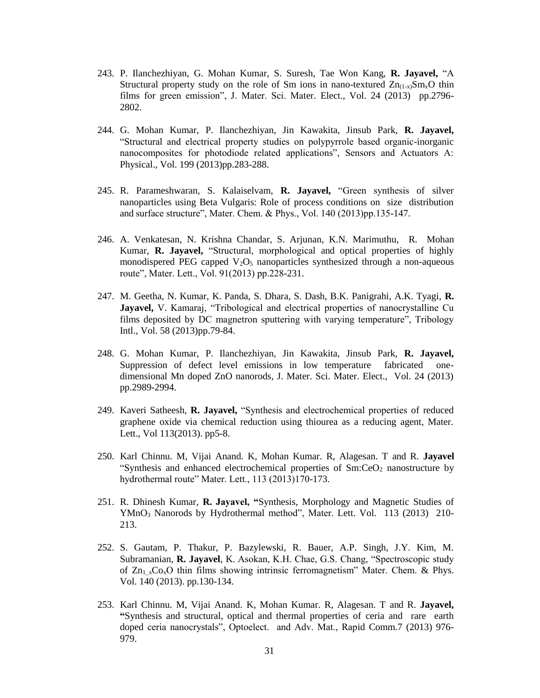- 243. P. Ilanchezhiyan, G. Mohan Kumar, S. Suresh, Tae Won Kang, **R. Jayavel,** "A Structural property study on the role of Sm ions in nano-textured  $Zn_{(1-x)}Sm_xO$  thin films for green emission", J. Mater. Sci. Mater. Elect., Vol. 24 (2013) pp.2796- 2802.
- 244. G. Mohan Kumar, P. Ilanchezhiyan, Jin Kawakita, Jinsub Park, **R. Jayavel,**  "Structural and electrical property studies on polypyrrole based organic-inorganic nanocomposites for photodiode related applications", Sensors and Actuators A: Physical., Vol. 199 (2013)pp.283-288.
- 245. R. Parameshwaran, S. Kalaiselvam, **R. Jayavel,** "Green synthesis of silver nanoparticles using Beta Vulgaris: Role of process conditions on size distribution and surface structure", Mater. Chem. & Phys., Vol. 140 (2013)pp.135-147.
- 246. A. Venkatesan, N. Krishna Chandar, S. Arjunan, K.N. Marimuthu, R. Mohan Kumar, **R. Jayavel,** "Structural, morphological and optical properties of highly monodispered PEG capped  $V_2O_5$  nanoparticles synthesized through a non-aqueous route", Mater. Lett., Vol. 91(2013) pp.228-231.
- 247. M. Geetha, N. Kumar, K. Panda, S. Dhara, S. Dash, B.K. Panigrahi, A.K. Tyagi, **R. Jayavel,** V. Kamaraj, "Tribological and electrical properties of nanocrystalline Cu films deposited by DC magnetron sputtering with varying temperature", Tribology Intl., Vol. 58 (2013)pp.79-84.
- 248. G. Mohan Kumar, P. Ilanchezhiyan, Jin Kawakita, Jinsub Park, **R. Jayavel,**  Suppression of defect level emissions in low temperature fabricated onedimensional Mn doped ZnO nanorods, J. Mater. Sci. Mater. Elect., Vol. 24 (2013) pp.2989-2994.
- 249. Kaveri Satheesh, **R. Jayavel,** "Synthesis and electrochemical properties of reduced graphene oxide via chemical reduction using thiourea as a reducing agent, Mater. Lett., Vol 113(2013). pp5-8.
- 250. Karl Chinnu. M, Vijai Anand. K, Mohan Kumar. R, Alagesan. T and R. **Jayavel**  "Synthesis and enhanced electrochemical properties of  $Sm:CeO<sub>2</sub>$  nanostructure by hydrothermal route" Mater. Lett., 113 (2013)170-173.
- 251. R. Dhinesh Kumar, **R. Jayavel, "**Synthesis, Morphology and Magnetic Studies of YMnO<sup>3</sup> Nanorods by Hydrothermal method", Mater. Lett. Vol. 113 (2013) 210- 213.
- 252. S. Gautam, P. Thakur, P. Bazylewski, R. Bauer, A.P. Singh, J.Y. Kim, M. Subramanian, **R. Jayavel**, K. Asokan, K.H. Chae, G.S. Chang, "Spectroscopic study of  $Zn_1_xCo_xO$  thin films showing intrinsic ferromagnetism" Mater. Chem. & Phys. Vol. 140 (2013). pp.130-134.
- 253. Karl Chinnu. M, Vijai Anand. K, Mohan Kumar. R, Alagesan. T and R. **Jayavel, "**Synthesis and structural, optical and thermal properties of ceria and rare earth doped ceria nanocrystals", Optoelect. and Adv. Mat., Rapid Comm.7 (2013) 976- 979.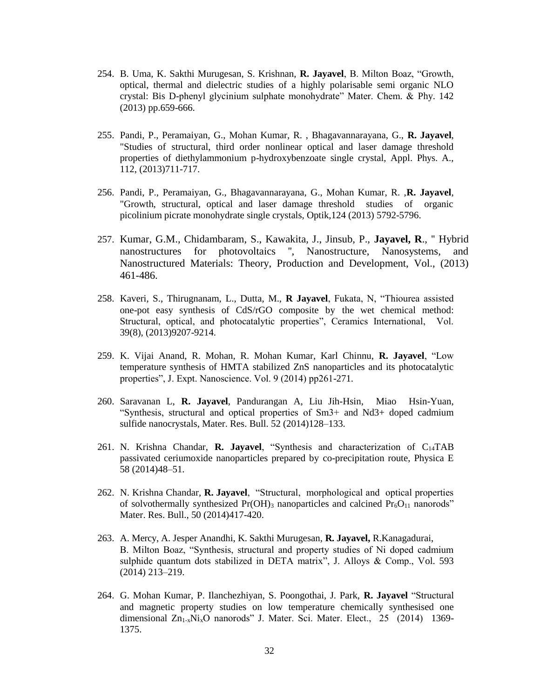- 254. B. Uma, K. Sakthi Murugesan, S. Krishnan, **R. Jayavel**, B. Milton Boaz, "Growth, optical, thermal and dielectric studies of a highly polarisable semi organic NLO crystal: Bis D-phenyl glycinium sulphate monohydrate" Mater. Chem. & Phy. 142 (2013) pp.659-666.
- 255. Pandi, P., Peramaiyan, G., Mohan Kumar, R. , Bhagavannarayana, G., **R. Jayavel**, "Studies of structural, third order nonlinear optical and laser damage threshold properties of diethylammonium p-hydroxybenzoate single crystal, Appl. Phys. A., 112, (2013)711-717.
- 256. Pandi, P., Peramaiyan, G., Bhagavannarayana, G., Mohan Kumar, R. ,**R. Jayavel**, "Growth, structural, optical and laser damage threshold studies of organic picolinium picrate monohydrate single crystals, Optik,124 (2013) 5792-5796.
- 257. Kumar, G.M., Chidambaram, S., Kawakita, J., Jinsub, P., **Jayavel, R**., '' Hybrid nanostructures for photovoltaics '', Nanostructure, Nanosystems, and Nanostructured Materials: Theory, Production and Development, Vol., (2013) 461-486.
- 258. Kaveri, S., Thirugnanam, L., Dutta, M., **R Jayavel**, Fukata, N, "Thiourea assisted one-pot easy synthesis of CdS/rGO composite by the wet chemical method: Structural, optical, and photocatalytic properties", Ceramics International, Vol. 39(8), (2013)9207-9214.
- 259. K. Vijai Anand, R. Mohan, R. Mohan Kumar, Karl Chinnu, **R. Jayavel**, "Low temperature synthesis of HMTA stabilized ZnS nanoparticles and its photocatalytic properties", J. Expt. Nanoscience. Vol. 9 (2014) pp261-271.
- 260. Saravanan L, **R. Jayavel**, Pandurangan A, Liu Jih-Hsin, Miao Hsin-Yuan, "Synthesis, structural and optical properties of Sm3+ and Nd3+ doped cadmium sulfide nanocrystals, Mater. Res. Bull. 52 (2014)128–133.
- 261. N. Krishna Chandar, **R. Jayavel**, "Synthesis and characterization of C14TAB passivated ceriumoxide nanoparticles prepared by co-precipitation route, Physica E 58 (2014)48–51.
- 262. N. Krishna Chandar, **R. Jayavel**, "Structural, morphological and optical properties of solvothermally synthesized  $Pr(OH)$ <sub>3</sub> nanoparticles and calcined  $Pr<sub>6</sub>O<sub>11</sub>$  nanorods" Mater. Res. Bull., 50 (2014)417-420.
- 263. A. Mercy, A. Jesper Anandhi, K. Sakthi Murugesan, **R. Jayavel,** R.Kanagadurai, B. Milton Boaz, "Synthesis, structural and property studies of Ni doped cadmium sulphide quantum dots stabilized in DETA matrix", J. Alloys & Comp., Vol. 593 (2014) 213–219.
- 264. G. Mohan Kumar, P. Ilanchezhiyan, S. Poongothai, J. Park, **R. Jayavel** "Structural and magnetic property studies on low temperature chemically synthesised one dimensional Zn<sub>1-x</sub>Ni<sub>x</sub>O nanorods" J. Mater. Sci. Mater. Elect., 25 (2014) 1369-1375.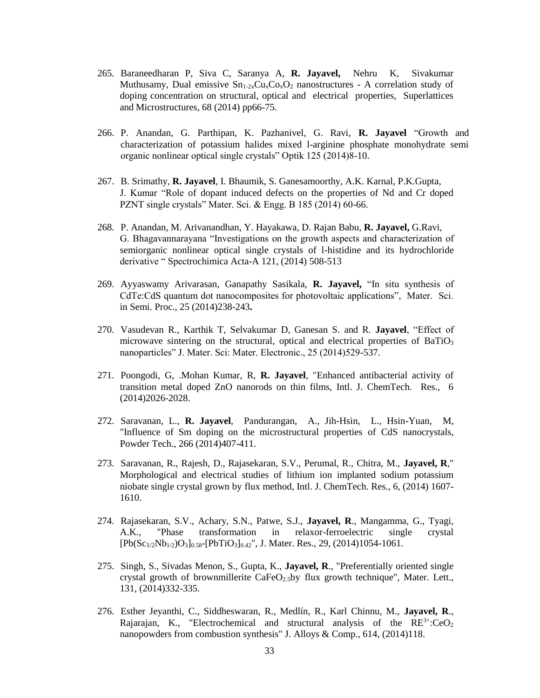- 265. Baraneedharan P, Siva C, Saranya A, **R. Jayavel,** Nehru K, Sivakumar Muthusamy, Dual emissive  $Sn_{1-2x}Cu_{x}Co_{x}O_{2}$  nanostructures - A correlation study of doping concentration on structural, optical and electrical properties, Superlattices and Microstructures, 68 (2014) pp66-75.
- 266. P. Anandan, G. Parthipan, K. Pazhanivel, G. Ravi, **R. Jayavel** "Growth and characterization of potassium halides mixed l-arginine phosphate monohydrate semi organic nonlinear optical single crystals" Optik 125 (2014)8-10.
- 267. B. Srimathy, **R. Jayavel**, I. Bhaumik, S. Ganesamoorthy, A.K. Karnal, P.K.Gupta, J. Kumar "Role of dopant induced defects on the properties of Nd and Cr doped PZNT single crystals" Mater. Sci. & Engg. B 185 (2014) 60-66.
- 268. P. Anandan, M. Arivanandhan, Y. Hayakawa, D. Rajan Babu, **R. Jayavel,** G.Ravi, G. Bhagavannarayana "Investigations on the growth aspects and characterization of semiorganic nonlinear optical single crystals of l-histidine and its hydrochloride derivative " Spectrochimica Acta-A 121, (2014) 508-513
- 269. Ayyaswamy Arivarasan, Ganapathy Sasikala, **R. Jayavel,** "In situ synthesis of CdTe:CdS quantum dot nanocomposites for photovoltaic applications", Mater. Sci. in Semi. Proc., 25 (2014)238-243**.**
- 270. Vasudevan R., Karthik T, Selvakumar D, Ganesan S. and R. **Jayavel**, "Effect of microwave sintering on the structural, optical and electrical properties of  $BaTiO<sub>3</sub>$ nanoparticles" J. Mater. Sci: Mater. Electronic., 25 (2014)529-537.
- 271. Poongodi, G, .Mohan Kumar, R, **R. Jayavel**, "Enhanced antibacterial activity of transition metal doped ZnO nanorods on thin films, Intl. J. ChemTech. Res., 6 (2014)2026-2028.
- 272. Saravanan, L., **R. Jayavel**, Pandurangan, A., Jih-Hsin, L., Hsin-Yuan, M, "Influence of Sm doping on the microstructural properties of CdS nanocrystals, Powder Tech., 266 (2014)407-411.
- 273. Saravanan, R., Rajesh, D., Rajasekaran, S.V., Perumal, R., Chitra, M., **Jayavel, R**," Morphological and electrical studies of lithium ion implanted sodium potassium niobate single crystal grown by flux method, Intl. J. ChemTech. Res., 6, (2014) 1607- 1610.
- 274. Rajasekaran, S.V., Achary, S.N., Patwe, S.J., **Jayavel, R**., Mangamma, G., Tyagi, A.K., "Phase transformation in relaxor-ferroelectric single crystal  $[Pb(Sc_{1/2}Nb_{1/2})O_3]_{0.58}$ - $[PbTiO_3]_{0.42}$ ", J. Mater. Res., 29, (2014)1054-1061.
- 275. Singh, S., Sivadas Menon, S., Gupta, K., **Jayavel, R**., "Preferentially oriented single crystal growth of brownmillerite CaFeO<sub>2.5</sub>by flux growth technique", Mater. Lett., 131, (2014)332-335.
- 276. Esther Jeyanthi, C., Siddheswaran, R., Medlín, R., Karl Chinnu, M., **Jayavel, R**., Rajarajan, K., "Electrochemical and structural analysis of the  $RE^{3+}:\text{CeO}_2$ nanopowders from combustion synthesis" J. Alloys & Comp., 614, (2014)118.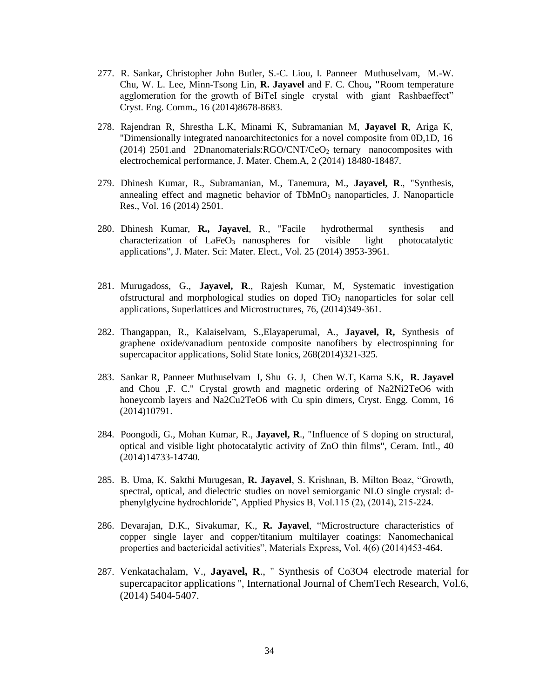- 277. R. Sankar**,** Christopher John Butler, S.-C. Liou, I. Panneer Muthuselvam, M.-W. Chu, W. L. Lee, Minn-Tsong Lin, **R. Jayavel** and F. C. Chou**, "**Room temperature agglomeration for the growth of BiTeI single crystal with giant Rashbaeffect" Cryst. Eng. Comm**.**, 16 (2014)8678-8683.
- 278. Rajendran R, Shrestha L.K, Minami K, Subramanian M, **Jayavel R**, Ariga K, "Dimensionally integrated nanoarchitectonics for a novel composite from 0D,1D, 16 (2014) 2501.and 2Dnanomaterials:RGO/CNT/CeO<sup>2</sup> ternary nanocomposites with electrochemical performance, J. Mater. Chem.A, 2 (2014) 18480-18487.
- 279. Dhinesh Kumar, R., Subramanian, M., Tanemura, M., **Jayavel, R**., "Synthesis, annealing effect and magnetic behavior of  $TbMnO<sub>3</sub>$  nanoparticles, J. Nanoparticle Res., Vol. 16 (2014) 2501.
- 280. Dhinesh Kumar, **R., Jayavel**, R., "Facile hydrothermal synthesis and characterization of  $LaFeO<sub>3</sub>$  nanospheres for visible light photocatalytic applications", J. Mater. Sci: Mater. Elect., Vol. 25 (2014) 3953-3961.
- 281. Murugadoss, G., **Jayavel, R**., Rajesh Kumar, M, Systematic investigation ofstructural and morphological studies on doped  $TiO<sub>2</sub>$  nanoparticles for solar cell applications, Superlattices and Microstructures, 76, (2014)349-361.
- 282. Thangappan, R., Kalaiselvam, S.,Elayaperumal, A., **Jayavel, R,** Synthesis of graphene oxide/vanadium pentoxide composite nanofibers by electrospinning for supercapacitor applications, Solid State Ionics, 268(2014)321-325.
- 283. Sankar R, Panneer Muthuselvam I, Shu G. J, Chen W.T, Karna S.K, **R. Jayavel**  and Chou ,F. C." Crystal growth and magnetic ordering of Na2Ni2TeO6 with honeycomb layers and Na2Cu2TeO6 with Cu spin dimers, Cryst. Engg. Comm, 16 (2014)10791.
- 284. Poongodi, G., Mohan Kumar, R., **Jayavel, R**., "Influence of S doping on structural, optical and visible light photocatalytic activity of ZnO thin films", Ceram. Intl., 40 (2014)14733-14740.
- 285. B. Uma, K. Sakthi Murugesan, **R. Jayavel**, S. Krishnan, B. Milton Boaz, "Growth, spectral, optical, and dielectric studies on novel semiorganic NLO single crystal: dphenylglycine hydrochloride", Applied Physics B, Vol.115 (2), (2014), 215-224.
- 286. Devarajan, D.K., Sivakumar, K., **R. Jayavel**, "Microstructure characteristics of copper single layer and copper/titanium multilayer coatings: Nanomechanical properties and bactericidal activities", Materials Express, Vol. 4(6) (2014)453-464.
- 287. Venkatachalam, V., **Jayavel, R**., '' Synthesis of Co3O4 electrode material for supercapacitor applications '', International Journal of ChemTech Research, Vol.6, (2014) 5404-5407.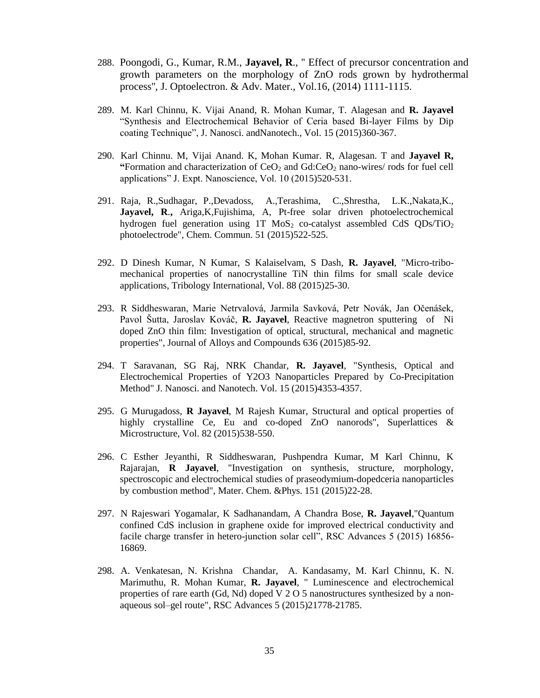- 288. Poongodi, G., Kumar, R.M., **Jayavel, R**., '' Effect of precursor concentration and growth parameters on the morphology of ZnO rods grown by hydrothermal process'', J. Optoelectron. & Adv. Mater., Vol.16, (2014) 1111-1115.
- 289. M. Karl Chinnu, K. Vijai Anand, R. Mohan Kumar, T. Alagesan and **R. Jayavel**  "Synthesis and Electrochemical Behavior of Ceria based Bi-layer Films by Dip coating Technique", J. Nanosci. andNanotech., Vol. 15 (2015)360-367.
- 290. Karl Chinnu. M, Vijai Anand. K, Mohan Kumar. R, Alagesan. T and **Jayavel R, "**Formation and characterization of CeO<sup>2</sup> and Gd:CeO<sup>2</sup> nano-wires/ rods for fuel cell applications" J. Expt. Nanoscience, Vol. 10 (2015)520-531.
- 291. Raja, R.,Sudhagar, P.,Devadoss, A.,Terashima, C.,Shrestha, L.K.,Nakata,K., **Jayavel, R**.**,** Ariga,K,Fujishima, A, Pt-free solar driven photoelectrochemical hydrogen fuel generation using 1T  $MoS<sub>2</sub>$  co-catalyst assembled CdS  $ODs/TiO<sub>2</sub>$ photoelectrode", Chem. Commun. 51 (2015)522-525.
- 292. D Dinesh Kumar, N Kumar, S Kalaiselvam, S Dash, **R. Jayavel**, "Micro-tribomechanical properties of nanocrystalline TiN thin films for small scale device applications, Tribology International, Vol. 88 (2015)25-30.
- 293. R Siddheswaran, Marie Netrvalová, Jarmila Savková, Petr Novák, Jan Očenášek, Pavol Šutta, Jaroslav Kováč, **R. Jayavel**, Reactive magnetron sputtering of Ni doped ZnO thin film: Investigation of optical, structural, mechanical and magnetic properties", Journal of Alloys and Compounds 636 (2015)85-92.
- 294. T Saravanan, SG Raj, NRK Chandar, **R. Jayavel**, "Synthesis, Optical and Electrochemical Properties of Y2O3 Nanoparticles Prepared by Co-Precipitation Method" J. Nanosci. and Nanotech. Vol. 15 (2015)4353-4357.
- 295. G Murugadoss, **R Jayavel**, M Rajesh Kumar, Structural and optical properties of highly crystalline Ce, Eu and co-doped ZnO nanorods", Superlattices & Microstructure, Vol. 82 (2015)538-550.
- 296. C Esther Jeyanthi, R Siddheswaran, Pushpendra Kumar, M Karl Chinnu, K Rajarajan, **R Jayavel**, "Investigation on synthesis, structure, morphology, spectroscopic and electrochemical studies of praseodymium-dopedceria nanoparticles by combustion method", Mater. Chem. &Phys. 151 (2015)22-28.
- 297. N Rajeswari Yogamalar, K Sadhanandam, A Chandra Bose, **R. Jayavel**,"Quantum confined CdS inclusion in graphene oxide for improved electrical conductivity and facile charge transfer in hetero-junction solar cell", RSC Advances 5 (2015) 16856- 16869.
- 298. A. Venkatesan, N. Krishna Chandar, A. Kandasamy, M. Karl Chinnu, K. N. Marimuthu, R. Mohan Kumar, **R. Jayavel**, " Luminescence and electrochemical properties of rare earth (Gd, Nd) doped V 2 O 5 nanostructures synthesized by a nonaqueous sol–gel route", RSC Advances 5 (2015)21778-21785.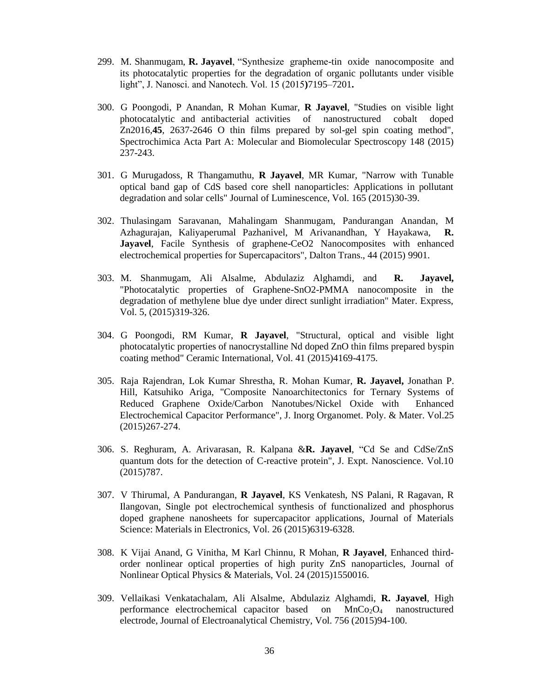- 299. M. Shanmugam, **R. Jayavel**, "Synthesize grapheme-tin oxide nanocomposite and its photocatalytic properties for the degradation of organic pollutants under visible light", J. Nanosci. and Nanotech. Vol. 15 (2015**)**7195–7201**.**
- 300. G Poongodi, P Anandan, R Mohan Kumar, **R Jayavel**, "Studies on visible light photocatalytic and antibacterial activities of nanostructured cobalt doped Zn2016,**45**, 2637-2646 O thin films prepared by sol-gel spin coating method", Spectrochimica Acta Part A: Molecular and Biomolecular Spectroscopy 148 (2015) 237-243.
- 301. G Murugadoss, R Thangamuthu, **R Jayavel**, MR Kumar, "Narrow with Tunable optical band gap of CdS based core shell nanoparticles: Applications in pollutant degradation and solar cells" Journal of Luminescence, Vol. 165 (2015)30-39.
- 302. Thulasingam Saravanan, Mahalingam Shanmugam, Pandurangan Anandan, M Azhagurajan, Kaliyaperumal Pazhanivel, M Arivanandhan, Y Hayakawa, **R.**  Jayavel, Facile Synthesis of graphene-CeO2 Nanocomposites with enhanced electrochemical properties for Supercapacitors", Dalton Trans., 44 (2015) 9901.
- 303. M. Shanmugam, Ali Alsalme, Abdulaziz Alghamdi, and **R. Jayavel,**  "Photocatalytic properties of Graphene-SnO2-PMMA nanocomposite in the degradation of methylene blue dye under direct sunlight irradiation" Mater. Express, Vol. 5, (2015)319-326.
- 304. G Poongodi, RM Kumar, **R Jayavel**, "Structural, optical and visible light photocatalytic properties of nanocrystalline Nd doped ZnO thin films prepared byspin coating method" Ceramic International, Vol. 41 (2015)4169-4175.
- 305. Raja Rajendran, Lok Kumar Shrestha, R. Mohan Kumar, **R. Jayavel,** Jonathan P. Hill, Katsuhiko Ariga, "Composite Nanoarchitectonics for Ternary Systems of Reduced Graphene Oxide/Carbon Nanotubes/Nickel Oxide with Enhanced Electrochemical Capacitor Performance", J. Inorg Organomet. Poly. & Mater. Vol.25 (2015)267-274.
- 306. S. Reghuram, A. Arivarasan, R. Kalpana &**R. Jayavel**, "Cd Se and CdSe/ZnS quantum dots for the detection of C-reactive protein", J. Expt. Nanoscience. Vol.10 (2015)787.
- 307. V Thirumal, A Pandurangan, **R Jayavel**, KS Venkatesh, NS Palani, R Ragavan, R Ilangovan, Single pot electrochemical synthesis of functionalized and phosphorus doped graphene nanosheets for supercapacitor applications, Journal of Materials Science: Materials in Electronics, Vol. 26 (2015)6319-6328.
- 308. K Vijai Anand, G Vinitha, M Karl Chinnu, R Mohan, **R Jayavel**, Enhanced thirdorder nonlinear optical properties of high purity ZnS nanoparticles, Journal of Nonlinear Optical Physics & Materials, Vol. 24 (2015)1550016.
- 309. Vellaikasi Venkatachalam, Ali Alsalme, Abdulaziz Alghamdi, **R. Jayavel**, High performance electrochemical capacitor based on  $MnCo<sub>2</sub>O<sub>4</sub>$  nanostructured electrode, Journal of Electroanalytical Chemistry, Vol. 756 (2015)94-100.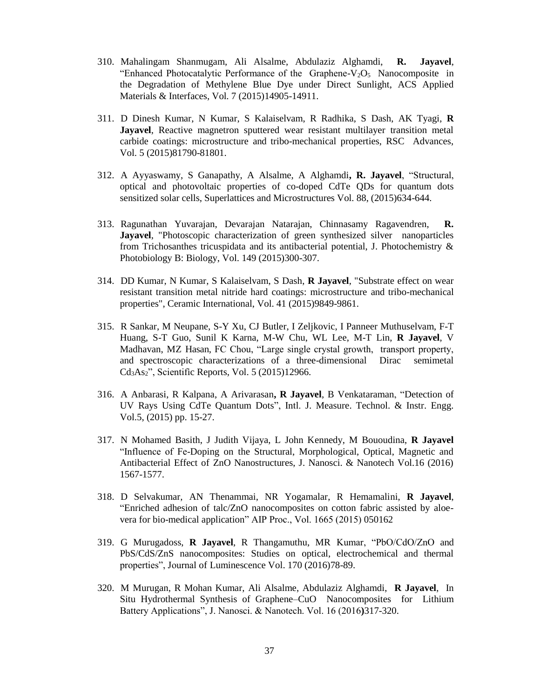- 310. Mahalingam Shanmugam, Ali Alsalme, Abdulaziz Alghamdi, **R. Jayavel**, "Enhanced Photocatalytic Performance of the Graphene- $V_2O_5$  Nanocomposite in the Degradation of Methylene Blue Dye under Direct Sunlight, ACS Applied Materials & Interfaces, Vol. 7 (2015)14905-14911.
- 311. D Dinesh Kumar, N Kumar, S Kalaiselvam, R Radhika, S Dash, AK Tyagi, **R Jayavel**, Reactive magnetron sputtered wear resistant multilayer transition metal carbide coatings: microstructure and tribo-mechanical properties, RSC Advances, Vol. 5 (2015)81790-81801.
- 312. A Ayyaswamy, S Ganapathy, A Alsalme, A Alghamdi**, R. Jayavel**, "Structural, optical and photovoltaic properties of co-doped CdTe QDs for quantum dots sensitized solar cells, Superlattices and Microstructures Vol. 88, (2015)634-644.
- 313. Ragunathan Yuvarajan, Devarajan Natarajan, Chinnasamy Ragavendren, **R. Jayavel**, "Photoscopic characterization of green synthesized silver nanoparticles from Trichosanthes tricuspidata and its antibacterial potential, J. Photochemistry & Photobiology B: Biology, Vol. 149 (2015)300-307.
- 314. DD Kumar, N Kumar, S Kalaiselvam, S Dash, **R Jayavel**, "Substrate effect on wear resistant transition metal nitride hard coatings: microstructure and tribo-mechanical properties", Ceramic International, Vol. 41 (2015)9849-9861.
- 315. R Sankar, M Neupane, S-Y Xu, CJ Butler, I Zeljkovic, I Panneer Muthuselvam, F-T Huang, S-T Guo, Sunil K Karna, M-W Chu, WL Lee, M-T Lin, **R Jayavel**, V Madhavan, MZ Hasan, FC Chou, "Large single crystal growth, transport property, and spectroscopic characterizations of a three-dimensional Dirac semimetal Cd3As2", Scientific Reports, Vol. 5 (2015)12966.
- 316. A Anbarasi, R Kalpana, A Arivarasan**, R Jayavel**, B Venkataraman, "Detection of UV Rays Using CdTe Quantum Dots", Intl. J. Measure. Technol. & Instr. Engg. Vol.5, (2015) pp. 15-27.
- 317. N Mohamed Basith, J Judith Vijaya, L John Kennedy, M Bououdina, **R Jayavel**  "Influence of Fe-Doping on the Structural, Morphological, Optical, Magnetic and Antibacterial Effect of ZnO Nanostructures, J. Nanosci. & Nanotech Vol.16 (2016) 1567-1577.
- 318. D Selvakumar, AN Thenammai, NR Yogamalar, R Hemamalini, **R Jayavel**, "Enriched adhesion of talc/ZnO nanocomposites on cotton fabric assisted by aloevera for bio-medical application" AIP Proc., Vol. 1665 (2015) 050162
- 319. G Murugadoss, **R Jayavel**, R Thangamuthu, MR Kumar, "PbO/CdO/ZnO and PbS/CdS/ZnS nanocomposites: Studies on optical, electrochemical and thermal properties", Journal of Luminescence Vol. 170 (2016)78-89.
- 320. M Murugan, R Mohan Kumar, Ali Alsalme, Abdulaziz Alghamdi, **R Jayavel**, In Situ Hydrothermal Synthesis of Graphene–CuO Nanocomposites for Lithium Battery Applications", J. Nanosci. & Nanotech. Vol. 16 (2016**)**317-320.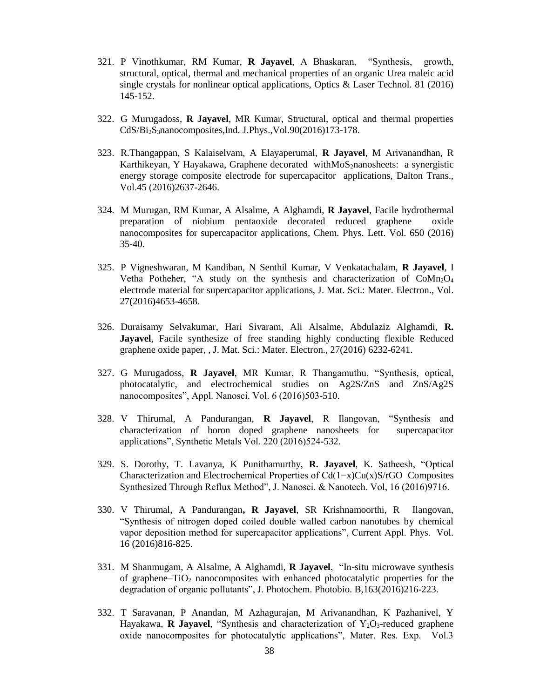- 321. P Vinothkumar, RM Kumar, **R Jayavel**, A Bhaskaran, "Synthesis, growth, structural, optical, thermal and mechanical properties of an organic Urea maleic acid single crystals for nonlinear optical applications, Optics & Laser Technol. 81 (2016) 145-152.
- 322. G Murugadoss, **R Jayavel**, MR Kumar, Structural, optical and thermal properties CdS/Bi2S3nanocomposites,Ind. J.Phys.,Vol.90(2016)173-178.
- 323. R.Thangappan, S Kalaiselvam, A Elayaperumal, **R Jayavel**, M Arivanandhan, R Karthikeyan, Y Hayakawa, Graphene decorated withMoS<sub>2</sub>nanosheets: a synergistic energy storage composite electrode for supercapacitor applications, Dalton Trans., Vol.45 (2016)2637-2646.
- 324. M Murugan, RM Kumar, A Alsalme, A Alghamdi, **R Jayavel**, Facile hydrothermal preparation of niobium pentaoxide decorated reduced graphene oxide nanocomposites for supercapacitor applications, Chem. Phys. Lett. Vol. 650 (2016) 35-40.
- 325. P Vigneshwaran, M Kandiban, N Senthil Kumar, V Venkatachalam, **R Jayavel**, I Vetha Potheher, "A study on the synthesis and characterization of  $CoMn<sub>2</sub>O<sub>4</sub>$ electrode material for supercapacitor applications, J. Mat. Sci.: Mater. Electron., Vol. 27(2016)4653-4658.
- 326. Duraisamy Selvakumar, Hari Sivaram, Ali Alsalme, Abdulaziz Alghamdi, **R. Jayavel**, Facile synthesize of free standing highly conducting flexible Reduced graphene oxide paper, , J. Mat. Sci.: Mater. Electron., 27(2016) 6232-6241.
- 327. G Murugadoss, **R Jayavel**, MR Kumar, R Thangamuthu, "Synthesis, optical, photocatalytic, and electrochemical studies on Ag2S/ZnS and ZnS/Ag2S nanocomposites", Appl. Nanosci. Vol. 6 (2016)503-510.
- 328. V Thirumal, A Pandurangan, **R Jayavel**, R Ilangovan, "Synthesis and characterization of boron doped graphene nanosheets for supercapacitor applications", Synthetic Metals Vol. 220 (2016)524-532.
- 329. S. Dorothy, T. Lavanya, K Punithamurthy, **R. Jayavel**, K. Satheesh, "Optical Characterization and Electrochemical Properties of Cd(1−x)Cu(x)S/rGO Composites Synthesized Through Reflux Method", J. Nanosci. & Nanotech. Vol, 16 (2016)9716.
- 330. V Thirumal, A Pandurangan**, R Jayavel**, SR Krishnamoorthi, R Ilangovan, "Synthesis of nitrogen doped coiled double walled carbon nanotubes by chemical vapor deposition method for supercapacitor applications", Current Appl. Phys. Vol. 16 (2016)816-825.
- 331. M Shanmugam, A Alsalme, A Alghamdi, **R Jayavel**, "In-situ microwave synthesis of graphene– $TiO<sub>2</sub>$  nanocomposites with enhanced photocatalytic properties for the degradation of organic pollutants", J. Photochem. Photobio. B,163(2016)216-223.
- 332. T Saravanan, P Anandan, M Azhagurajan, M Arivanandhan, K Pazhanivel, Y Hayakawa, **R Jayavel**, "Synthesis and characterization of Y<sub>2</sub>O<sub>3</sub>-reduced graphene oxide nanocomposites for photocatalytic applications", Mater. Res. Exp. Vol.3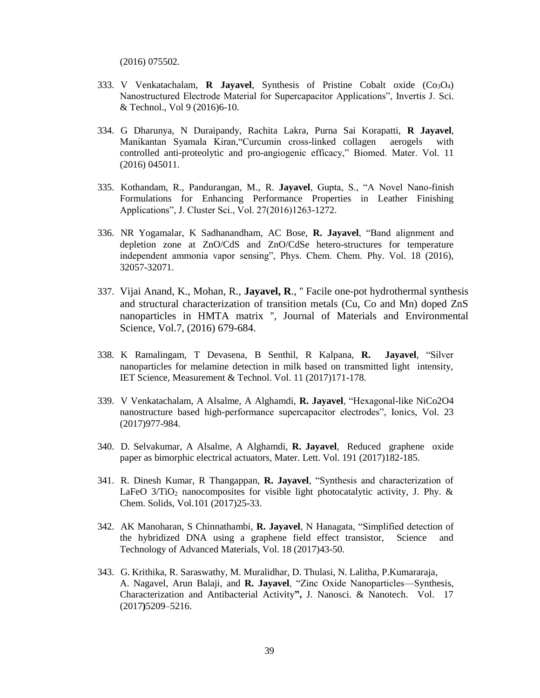(2016) 075502.

- 333. V Venkatachalam, **R Jayavel**, Synthesis of Pristine Cobalt oxide  $(Co_3O_4)$ Nanostructured Electrode Material for Supercapacitor Applications", Invertis J. Sci. & Technol., Vol 9 (2016)6-10.
- 334. G Dharunya, N Duraipandy, Rachita Lakra, Purna Sai Korapatti, **R Jayavel**, Manikantan Syamala Kiran,"Curcumin cross-linked collagen aerogels with controlled anti-proteolytic and pro-angiogenic efficacy," Biomed. Mater. Vol. 11 (2016) 045011.
- 335. Kothandam, R., Pandurangan, M., R. **Jayavel**, Gupta, S., "A Novel Nano-finish Formulations for Enhancing Performance Properties in Leather Finishing Applications", J. Cluster Sci., Vol. 27(2016)1263-1272.
- 336. NR Yogamalar, K Sadhanandham, AC Bose, **R. Jayavel**, "Band alignment and depletion zone at ZnO/CdS and ZnO/CdSe hetero-structures for temperature independent ammonia vapor sensing", Phys. Chem. Chem. Phy. Vol. 18 (2016), 32057-32071.
- 337. Vijai Anand, K., Mohan, R., **Jayavel, R**., '' Facile one-pot hydrothermal synthesis and structural characterization of transition metals (Cu, Co and Mn) doped ZnS nanoparticles in HMTA matrix '', Journal of Materials and Environmental Science, Vol.7, (2016) 679-684.
- 338. K Ramalingam, T Devasena, B Senthil, R Kalpana, **R. Jayavel**, "Silver nanoparticles for melamine detection in milk based on transmitted light intensity, IET Science, Measurement & Technol. Vol. 11 (2017)171-178.
- 339. V Venkatachalam, A Alsalme, A Alghamdi, **R. Jayavel**, "Hexagonal-like NiCo2O4 nanostructure based high-performance supercapacitor electrodes", Ionics, Vol. 23 (2017)977-984.
- 340. D. Selvakumar, A Alsalme, A Alghamdi, **R. Jayavel**, Reduced graphene oxide paper as bimorphic electrical actuators, Mater. Lett. Vol. 191 (2017)182-185.
- 341. R. Dinesh Kumar, R Thangappan, **R. Jayavel**, "Synthesis and characterization of LaFeO  $3/TiO<sub>2</sub>$  nanocomposites for visible light photocatalytic activity, J. Phy. & Chem. Solids, Vol.101 (2017)25-33.
- 342. AK Manoharan, S Chinnathambi, **R. Jayavel**, N Hanagata, "Simplified detection of the hybridized DNA using a graphene field effect transistor, Science and Technology of Advanced Materials, Vol. 18 (2017)43-50.
- 343. G. Krithika, R. Saraswathy, M. Muralidhar, D. Thulasi, N. Lalitha, P.Kumararaja, A. Nagavel, Arun Balaji, and **R. Jayavel**, "Zinc Oxide Nanoparticles—Synthesis, Characterization and Antibacterial Activity**",** J. Nanosci. & Nanotech. Vol. 17 (2017**)**5209–5216.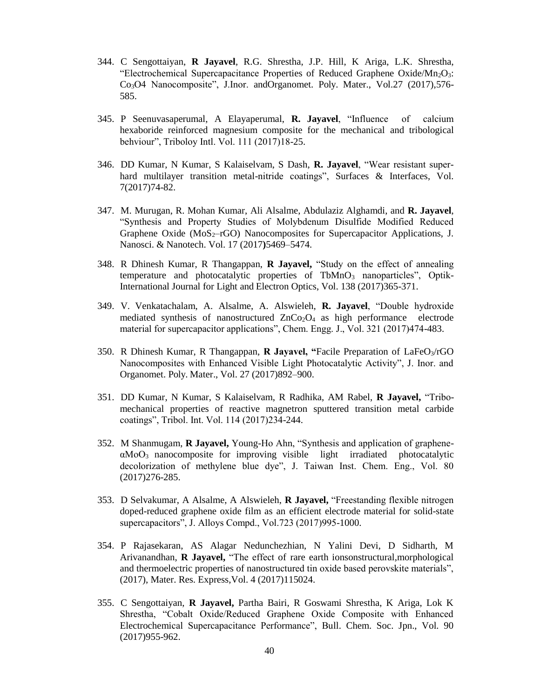- 344. C Sengottaiyan, **R Jayavel**, R.G. Shrestha, J.P. Hill, K Ariga, L.K. Shrestha, "Electrochemical Supercapacitance Properties of Reduced Graphene Oxide/Mn<sub>2</sub>O<sub>3</sub>: Co3O4 Nanocomposite", J.Inor. andOrganomet. Poly. Mater., Vol.27 (2017),576- 585.
- 345. P Seenuvasaperumal, A Elayaperumal, **R. Jayavel**, "Influence of calcium hexaboride reinforced magnesium composite for the mechanical and tribological behviour", Triboloy Intl. Vol. 111 (2017)18-25.
- 346. DD Kumar, N Kumar, S Kalaiselvam, S Dash, **R. Jayavel**, "Wear resistant superhard multilayer transition metal-nitride coatings", Surfaces & Interfaces, Vol. 7(2017)74-82.
- 347. M. Murugan, R. Mohan Kumar, Ali Alsalme, Abdulaziz Alghamdi, and **R. Jayavel**, "Synthesis and Property Studies of Molybdenum Disulfide Modified Reduced Graphene Oxide ( $MoS<sub>2</sub>-rGO$ ) Nanocomposites for Supercapacitor Applications, J. Nanosci. & Nanotech. Vol. 17 (2017**)**5469–5474.
- 348. R Dhinesh Kumar, R Thangappan, **R Jayavel,** "Study on the effect of annealing temperature and photocatalytic properties of TbMnO<sub>3</sub> nanoparticles", Optik-International Journal for Light and Electron Optics, Vol. 138 (2017)365-371.
- 349. V. Venkatachalam, A. Alsalme, A. Alswieleh, **R. Jayavel**, "Double hydroxide mediated synthesis of nanostructured  $ZnCo<sub>2</sub>O<sub>4</sub>$  as high performance electrode material for supercapacitor applications", Chem. Engg. J., Vol. 321 (2017)474-483.
- 350. R Dhinesh Kumar, R Thangappan, **R Jayavel, "**Facile Preparation of LaFeO3/rGO Nanocomposites with Enhanced Visible Light Photocatalytic Activity", J. Inor. and Organomet. Poly. Mater., Vol. 27 (2017)892–900.
- 351. DD Kumar, N Kumar, S Kalaiselvam, R Radhika, AM Rabel, **R Jayavel,** "Tribomechanical properties of reactive magnetron sputtered transition metal carbide coatings", Tribol. Int. Vol. 114 (2017)234-244.
- 352. M Shanmugam, **R Jayavel,** Young-Ho Ahn, "Synthesis and application of grapheneαMoO<sup>3</sup> nanocomposite for improving visible light irradiated photocatalytic decolorization of methylene blue dye", J. Taiwan Inst. Chem. Eng., Vol. 80 (2017)276-285.
- 353. D Selvakumar, A Alsalme, A Alswieleh, **R Jayavel,** "Freestanding flexible nitrogen doped-reduced graphene oxide film as an efficient electrode material for solid-state supercapacitors", J. Alloys Compd., Vol.723 (2017)995-1000.
- 354. P Rajasekaran, AS Alagar Nedunchezhian, N Yalini Devi, D Sidharth, M Arivanandhan, **R Jayavel,** "The effect of rare earth ionsonstructural,morphological and thermoelectric properties of nanostructured tin oxide based perovskite materials", (2017), Mater. Res. Express,Vol. 4 (2017)115024.
- 355. C Sengottaiyan, **R Jayavel,** Partha Bairi, R Goswami Shrestha, K Ariga, Lok K Shrestha, "Cobalt Oxide/Reduced Graphene Oxide Composite with Enhanced Electrochemical Supercapacitance Performance", Bull. Chem. Soc. Jpn., Vol. 90 (2017)955-962.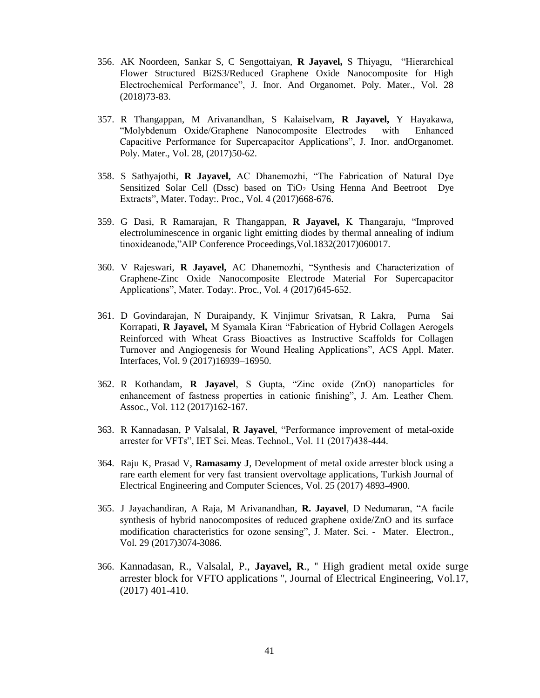- 356. AK Noordeen, Sankar S, C Sengottaiyan, **R Jayavel,** S Thiyagu, "Hierarchical Flower Structured Bi2S3/Reduced Graphene Oxide Nanocomposite for High Electrochemical Performance", J. Inor. And Organomet. Poly. Mater., Vol. 28 (2018)73-83.
- 357. R Thangappan, M Arivanandhan, S Kalaiselvam, **R Jayavel,** Y Hayakawa, "Molybdenum Oxide/Graphene Nanocomposite Electrodes with Enhanced Capacitive Performance for Supercapacitor Applications", J. Inor. andOrganomet. Poly. Mater., Vol. 28, (2017)50-62.
- 358. S Sathyajothi, **R Jayavel,** AC Dhanemozhi, "The Fabrication of Natural Dye Sensitized Solar Cell (Dssc) based on TiO<sub>2</sub> Using Henna And Beetroot Dye Extracts", Mater. Today:. Proc., Vol. 4 (2017)668-676.
- 359. G Dasi, R Ramarajan, R Thangappan, **R Jayavel,** K Thangaraju, "Improved electroluminescence in organic light emitting diodes by thermal annealing of indium tinoxideanode,"AIP Conference Proceedings,Vol.1832(2017)060017.
- 360. V Rajeswari, **R Jayavel,** AC Dhanemozhi, "Synthesis and Characterization of Graphene-Zinc Oxide Nanocomposite Electrode Material For Supercapacitor Applications", Mater. Today:. Proc., Vol. 4 (2017)645-652.
- 361. D Govindarajan, N Duraipandy, K Vinjimur Srivatsan, R Lakra, Purna Sai Korrapati, **R Jayavel,** M Syamala Kiran "Fabrication of Hybrid Collagen Aerogels Reinforced with Wheat Grass Bioactives as Instructive Scaffolds for Collagen Turnover and Angiogenesis for Wound Healing Applications", ACS Appl. Mater. Interfaces, Vol. 9 (2017)16939–16950.
- 362. R Kothandam, **R Jayavel**, S Gupta, "Zinc oxide (ZnO) nanoparticles for enhancement of fastness properties in cationic finishing", J. Am. Leather Chem. Assoc., Vol. 112 (2017)162-167.
- 363. R Kannadasan, P Valsalal, **R Jayavel**, "Performance improvement of metal-oxide arrester for VFTs", IET Sci. Meas. Technol., Vol. 11 (2017)438-444.
- 364. Raju K, Prasad V, **Ramasamy J**, Development of metal oxide arrester block using a rare earth element for very fast transient overvoltage applications, Turkish Journal of Electrical Engineering and Computer Sciences, Vol. 25 (2017) 4893-4900.
- 365. J Jayachandiran, A Raja, M Arivanandhan, **R. Jayavel**, D Nedumaran, "A facile synthesis of hybrid nanocomposites of reduced graphene oxide/ZnO and its surface modification characteristics for ozone sensing", J. Mater. Sci. - Mater. Electron., Vol. 29 (2017)3074-3086.
- 366. Kannadasan, R., Valsalal, P., **Jayavel, R**., '' High gradient metal oxide surge arrester block for VFTO applications '', Journal of Electrical Engineering, Vol.17, (2017) 401-410.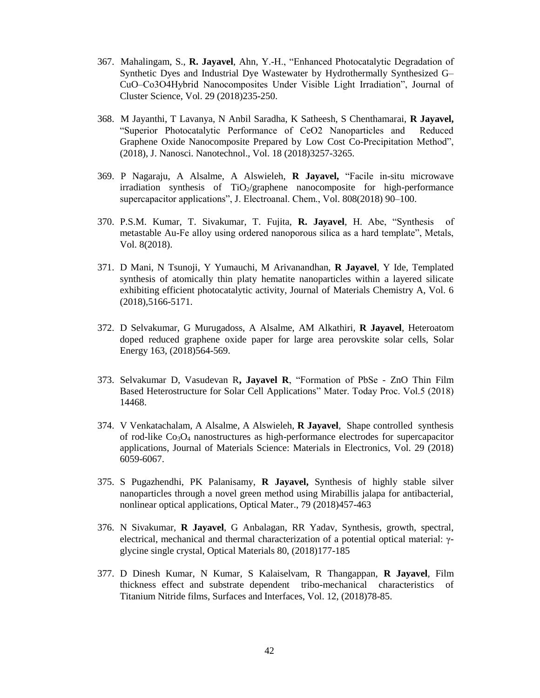- 367. Mahalingam, S., **R. Jayavel**, Ahn, Y.-H., "Enhanced Photocatalytic Degradation of Synthetic Dyes and Industrial Dye Wastewater by Hydrothermally Synthesized G– CuO–Co3O4Hybrid Nanocomposites Under Visible Light Irradiation", Journal of Cluster Science, Vol. 29 (2018)235-250.
- 368. M Jayanthi, T Lavanya, N Anbil Saradha, K Satheesh, S Chenthamarai, **R Jayavel,**  "Superior Photocatalytic Performance of CeO2 Nanoparticles and Reduced Graphene Oxide Nanocomposite Prepared by Low Cost Co-Precipitation Method", (2018), J. Nanosci. Nanotechnol., Vol. 18 (2018)3257-3265.
- 369. P Nagaraju, A Alsalme, A Alswieleh, **R Jayavel,** "Facile in-situ microwave irradiation synthesis of  $TiO<sub>2</sub>/graphene$  nanocomposite for high-performance supercapacitor applications", J. Electroanal. Chem., Vol. 808(2018) 90–100.
- 370. P.S.M. Kumar, T. Sivakumar, T. Fujita, **R. Jayavel**, H. Abe, "Synthesis of metastable Au-Fe alloy using ordered nanoporous silica as a hard template", Metals, Vol. 8(2018).
- 371. D Mani, N Tsunoji, Y Yumauchi, M Arivanandhan, **R Jayavel**, Y Ide, Templated synthesis of atomically thin platy hematite nanoparticles within a layered silicate exhibiting efficient photocatalytic activity, Journal of Materials Chemistry A, Vol. 6 (2018),5166-5171.
- 372. D Selvakumar, G Murugadoss, A Alsalme, AM Alkathiri, **R Jayavel**, Heteroatom doped reduced graphene oxide paper for large area perovskite solar cells, Solar Energy 163, (2018)564-569.
- 373. Selvakumar D, Vasudevan R**, Jayavel R**, "Formation of PbSe ZnO Thin Film Based Heterostructure for Solar Cell Applications" Mater. Today Proc. Vol.5 (2018) 14468.
- 374. V Venkatachalam, A Alsalme, A Alswieleh, **R Jayavel**, Shape controlled synthesis of rod-like  $Co<sub>3</sub>O<sub>4</sub>$  nanostructures as high-performance electrodes for supercapacitor applications, Journal of Materials Science: Materials in Electronics, Vol. 29 (2018) 6059-6067.
- 375. S Pugazhendhi, PK Palanisamy, **R Jayavel,** Synthesis of highly stable silver nanoparticles through a novel green method using Mirabillis jalapa for antibacterial, nonlinear optical applications, Optical Mater., 79 (2018)457-463
- 376. N Sivakumar, **R Jayavel**, G Anbalagan, RR Yadav, Synthesis, growth, spectral, electrical, mechanical and thermal characterization of a potential optical material: γglycine single crystal, Optical Materials 80, (2018)177-185
- 377. D Dinesh Kumar, N Kumar, S Kalaiselvam, R Thangappan, **R Jayavel**, Film thickness effect and substrate dependent tribo-mechanical characteristics of Titanium Nitride films, Surfaces and Interfaces, Vol. 12, (2018)78-85.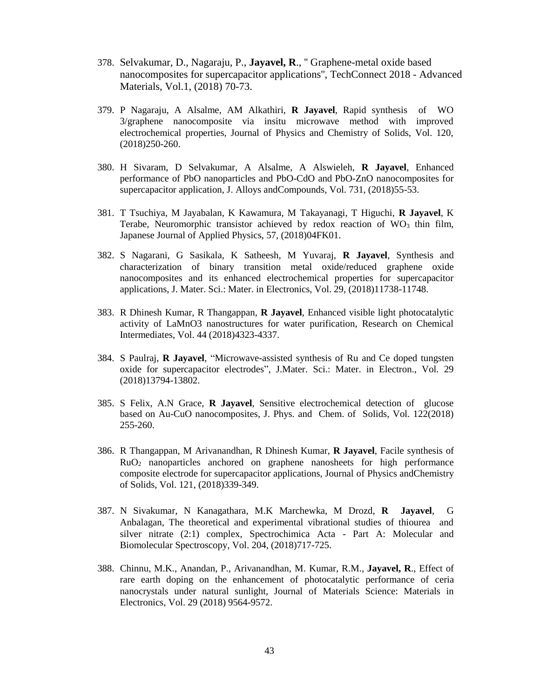- 378. Selvakumar, D., Nagaraju, P., **Jayavel, R**., '' Graphene-metal oxide based nanocomposites for supercapacitor applications'', TechConnect 2018 - Advanced Materials, Vol.1, (2018) 70-73.
- 379. P Nagaraju, A Alsalme, AM Alkathiri, **R Jayavel**, Rapid synthesis of WO 3/graphene nanocomposite via insitu microwave method with improved electrochemical properties, Journal of Physics and Chemistry of Solids, Vol. 120, (2018)250-260.
- 380. H Sivaram, D Selvakumar, A Alsalme, A Alswieleh, **R Jayavel**, Enhanced performance of PbO nanoparticles and PbO-CdO and PbO-ZnO nanocomposites for supercapacitor application, J. Alloys andCompounds, Vol. 731, (2018)55-53.
- 381. T Tsuchiya, M Jayabalan, K Kawamura, M Takayanagi, T Higuchi, **R Jayavel**, K Terabe, Neuromorphic transistor achieved by redox reaction of  $WO<sub>3</sub>$  thin film, Japanese Journal of Applied Physics, 57, (2018)04FK01.
- 382. S Nagarani, G Sasikala, K Satheesh, M Yuvaraj, **R Jayavel**, Synthesis and characterization of binary transition metal oxide/reduced graphene oxide nanocomposites and its enhanced electrochemical properties for supercapacitor applications, J. Mater. Sci.: Mater. in Electronics, Vol. 29, (2018)11738-11748.
- 383. R Dhinesh Kumar, R Thangappan, **R Jayavel**, Enhanced visible light photocatalytic activity of LaMnO3 nanostructures for water purification, Research on Chemical Intermediates, Vol. 44 (2018)4323-4337.
- 384. S Paulraj, **R Jayavel**, "Microwave-assisted synthesis of Ru and Ce doped tungsten oxide for supercapacitor electrodes", J.Mater. Sci.: Mater. in Electron., Vol. 29 (2018)13794-13802.
- 385. S Felix, A.N Grace, **R Jayavel**, Sensitive electrochemical detection of glucose based on Au-CuO nanocomposites, J. Phys. and Chem. of Solids, Vol. 122(2018) 255-260.
- 386. R Thangappan, M Arivanandhan, R Dhinesh Kumar, **R Jayavel**, Facile synthesis of RuO<sup>2</sup> nanoparticles anchored on graphene nanosheets for high performance composite electrode for supercapacitor applications, Journal of Physics andChemistry of Solids, Vol. 121, (2018)339-349.
- 387. N Sivakumar, N Kanagathara, M.K Marchewka, M Drozd, **R Jayavel**, G Anbalagan, The theoretical and experimental vibrational studies of thiourea and silver nitrate (2:1) complex, Spectrochimica Acta - Part A: Molecular and Biomolecular Spectroscopy, Vol. 204, (2018)717-725.
- 388. Chinnu, M.K., Anandan, P., Arivanandhan, M. Kumar, R.M., **Jayavel, R**., Effect of rare earth doping on the enhancement of photocatalytic performance of ceria nanocrystals under natural sunlight, Journal of Materials Science: Materials in Electronics, Vol. 29 (2018) 9564-9572.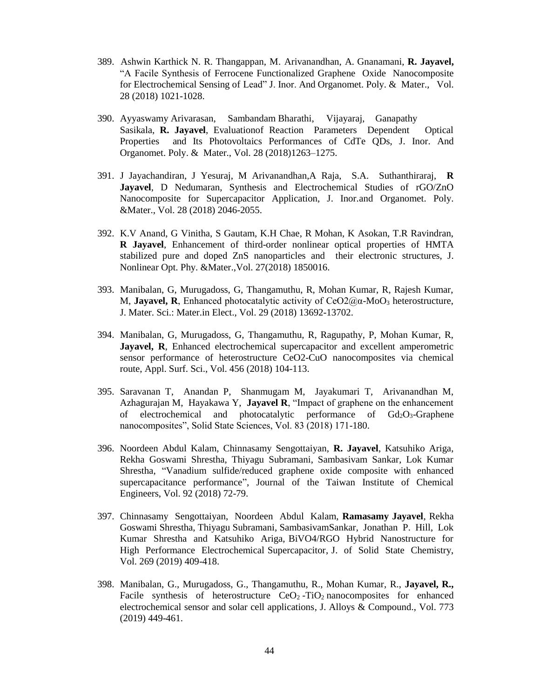- 389. Ashwin Karthick N. R. Thangappan, M. Arivanandhan, A. Gnanamani, **R. Jayavel,**  "A Facile Synthesis of Ferrocene Functionalized Graphene Oxide Nanocomposite for Electrochemical Sensing of Lead" J. Inor. And Organomet. Poly. & Mater., Vol. 28 (2018) 1021-1028.
- 390. Ayyaswamy Arivarasan, Sambandam Bharathi, Vijayaraj, Ganapathy Sasikala, **R. Jayavel**, Evaluationof Reaction Parameters Dependent Optical Properties and Its Photovoltaics Performances of CdTe QDs, J. Inor. And Organomet. Poly. & Mater., Vol. 28 (2018)1263–1275.
- 391. J Jayachandiran, J Yesuraj, M Arivanandhan,A Raja, S.A. Suthanthiraraj, **R Jayavel**, D Nedumaran, Synthesis and Electrochemical Studies of rGO/ZnO Nanocomposite for Supercapacitor Application, J. Inor.and Organomet. Poly. &Mater., Vol. 28 (2018) 2046-2055.
- 392. K.V Anand, G Vinitha, S Gautam, K.H Chae, R Mohan, K Asokan, T.R Ravindran, **R Jayavel**, Enhancement of third-order nonlinear optical properties of HMTA stabilized pure and doped ZnS nanoparticles and their electronic structures, J. Nonlinear Opt. Phy. &Mater.,Vol. 27(2018) 1850016.
- 393. Manibalan, G, Murugadoss, G, Thangamuthu, R, Mohan Kumar, R, Rajesh Kumar, M, **Jayavel, R**, Enhanced photocatalytic activity of CeO2@α-MoO<sup>3</sup> heterostructure, J. Mater. Sci.: Mater.in Elect., Vol. 29 (2018) 13692-13702.
- 394. Manibalan, G, Murugadoss, G, Thangamuthu, R, Ragupathy, P, Mohan Kumar, R, Jayavel, R, Enhanced electrochemical supercapacitor and excellent amperometric sensor performance of heterostructure CeO2-CuO nanocomposites via chemical route, Appl. Surf. Sci., Vol. 456 (2018) 104-113.
- 395. Saravanan T, Anandan P, Shanmugam M, Jayakumari T, Arivanandhan M, Azhagurajan M, Hayakawa Y, **Jayavel R**, "Impact of graphene on the enhancement of electrochemical and photocatalytic performance of  $Gd_2O_3$ -Graphene nanocomposites", Solid State Sciences, Vol. 83 (2018) 171-180.
- 396. Noordeen Abdul Kalam, Chinnasamy Sengottaiyan, **R. Jayavel**, Katsuhiko Ariga, Rekha Goswami Shrestha, Thiyagu Subramani, Sambasivam Sankar, Lok Kumar Shrestha, "Vanadium sulfide/reduced graphene oxide composite with enhanced supercapacitance performance", Journal of the Taiwan Institute of Chemical Engineers, Vol. 92 (2018) 72-79.
- 397. Chinnasamy Sengottaiyan, Noordeen Abdul Kalam, **Ramasamy Jayavel**, Rekha Goswami Shrestha, Thiyagu Subramani, SambasivamSankar, Jonathan P. Hill, Lok Kumar Shrestha and Katsuhiko Ariga, BiVO4/RGO Hybrid Nanostructure for High Performance Electrochemical Supercapacitor, J. of Solid State Chemistry, Vol. 269 (2019) 409-418.
- 398. Manibalan, G., Murugadoss, G., Thangamuthu, R., Mohan Kumar, R., **Jayavel, R.,** Facile synthesis of heterostructure  $CeO<sub>2</sub> - TiO<sub>2</sub>$  nanocomposites for enhanced [electrochemical sensor and solar cell applications,](https://www.scopus.com/record/display.uri?eid=2-s2.0-85053829220&origin=resultslist&sort=plf-f&src=s&st1=R.+Jayavel&nlo=&nlr=&nls=&sid=575eaf6219c6b59da2fddf75c56a3a2b&sot=b&sdt=b&sl=23&s=AUTHOR-NAME%28R.+Jayavel%29&relpos=0&citeCnt=0&searchTerm=) J. Alloys & Compound., Vol. 773 (2019) 449-461.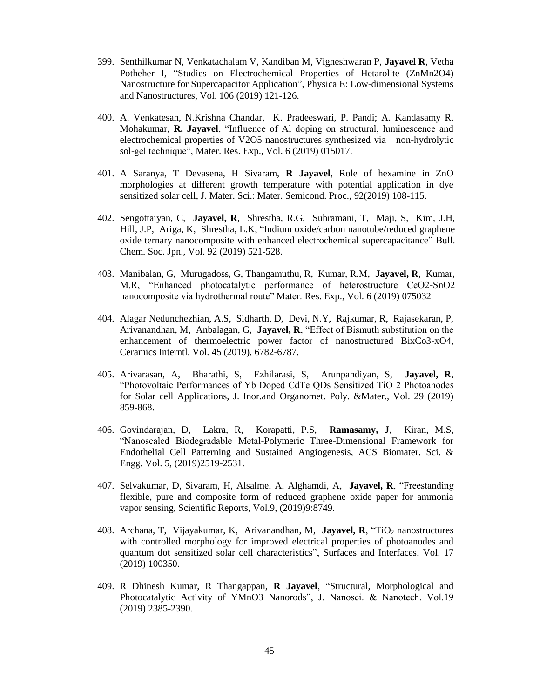- 399. Senthilkumar N, Venkatachalam V, Kandiban M, Vigneshwaran P, **Jayavel R**, Vetha Potheher I, "Studies on Electrochemical Properties of Hetarolite (ZnMn2O4) Nanostructure for Supercapacitor Application", Physica E: Low-dimensional Systems and Nanostructures, Vol. 106 (2019) 121-126.
- 400. A. Venkatesan, N.Krishna Chandar, K. Pradeeswari, P. Pandi; A. Kandasamy R. Mohakumar, **R. Jayavel**, "Influence of Al doping on structural, luminescence and electrochemical properties of V2O5 nanostructures synthesized via non-hydrolytic sol-gel technique", Mater. Res. Exp., Vol. 6 (2019) 015017.
- 401. A Saranya, T Devasena, H Sivaram, **R Jayavel**, Role of hexamine in ZnO morphologies at different growth temperature with potential application in dye sensitized solar cell, J. Mater. Sci.: Mater. Semicond. Proc., 92(2019) 108-115.
- 402. Sengottaiyan, C, **Jayavel, R**, Shrestha, R.G, Subramani, T, Maji, S, Kim, J.H, Hill, J.P, Ariga, K, Shrestha, L.K, "Indium oxide/carbon nanotube/reduced graphene oxide ternary nanocomposite with enhanced electrochemical supercapacitance" Bull. Chem. Soc. Jpn., Vol. 92 (2019) 521-528.
- 403. Manibalan, G, Murugadoss, G, Thangamuthu, R, Kumar, R.M, **Jayavel, R**, Kumar, M.R, "Enhanced photocatalytic performance of heterostructure CeO2-SnO2 nanocomposite via hydrothermal route" Mater. Res. Exp., Vol. 6 (2019) 075032
- 404. Alagar Nedunchezhian, A.S, Sidharth, D, Devi, N.Y, Rajkumar, R, Rajasekaran, P, Arivanandhan, M, Anbalagan, G, **Jayavel, R**, "Effect of Bismuth substitution on the enhancement of thermoelectric power factor of nanostructured BixCo3-xO4, Ceramics Interntl. Vol. 45 (2019), 6782-6787.
- 405. Arivarasan, A, Bharathi, S, Ezhilarasi, S, Arunpandiyan, S, **Jayavel, R**, "Photovoltaic Performances of Yb Doped CdTe QDs Sensitized TiO 2 Photoanodes for Solar cell Applications, J. Inor.and Organomet. Poly. &Mater., Vol. 29 (2019) 859-868.
- 406. Govindarajan, D, Lakra, R, Korapatti, P.S, **Ramasamy, J**, Kiran, M.S, "Nanoscaled Biodegradable Metal-Polymeric Three-Dimensional Framework for Endothelial Cell Patterning and Sustained Angiogenesis, ACS Biomater. Sci. & Engg. Vol. 5, (2019)2519-2531.
- 407. Selvakumar, D, Sivaram, H, Alsalme, A, Alghamdi, A, **Jayavel, R**, "Freestanding flexible, pure and composite form of reduced graphene oxide paper for ammonia vapor sensing, Scientific Reports, Vol.9, (2019)9:8749.
- 408. Archana, T, Vijayakumar, K, Arivanandhan, M, Jayavel, R, "TiO<sub>2</sub> nanostructures with controlled morphology for improved electrical properties of photoanodes and quantum dot sensitized solar cell characteristics", Surfaces and Interfaces, Vol. 17 (2019) 100350.
- 409. R Dhinesh Kumar, R Thangappan, **R Jayavel**, "Structural, Morphological and Photocatalytic Activity of YMnO3 Nanorods", J. Nanosci. & Nanotech. Vol.19 (2019) 2385-2390.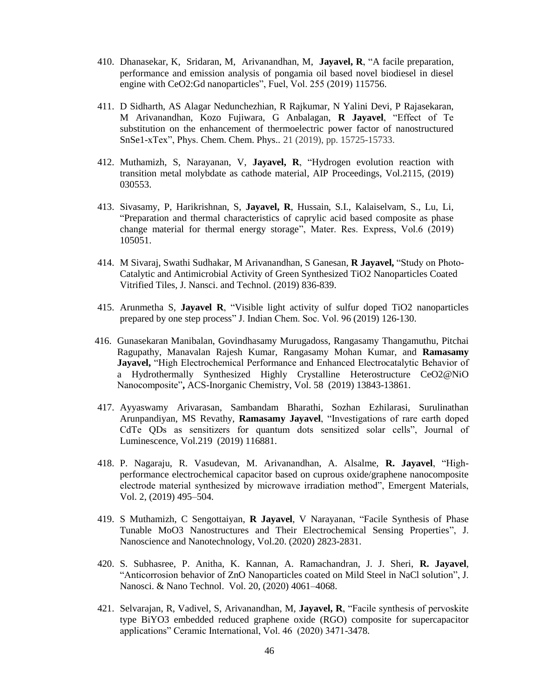- 410. Dhanasekar, K, Sridaran, M, Arivanandhan, M, **Jayavel, R**, "A facile preparation, performance and emission analysis of pongamia oil based novel biodiesel in diesel engine with CeO2:Gd nanoparticles", Fuel, Vol. 255 (2019) 115756.
- 411. D Sidharth, AS Alagar Nedunchezhian, R Rajkumar, N Yalini Devi, P Rajasekaran, M Arivanandhan, Kozo Fujiwara, G Anbalagan, **R Jayavel**, "Effect of Te substitution on the enhancement of thermoelectric power factor of nanostructured SnSe1-xTex", Phys. Chem. Chem. Phys.. 21 (2019), pp. 15725-15733.
- 412. Muthamizh, S, Narayanan, V, **Jayavel, R**, "Hydrogen evolution reaction with transition metal molybdate as cathode material, AIP Proceedings, Vol.2115, (2019) 030553.
- 413. Sivasamy, P, Harikrishnan, S, **Jayavel, R**, Hussain, S.I., Kalaiselvam, S., Lu, Li, "Preparation and thermal characteristics of caprylic acid based composite as phase change material for thermal energy storage", Mater. Res. Express, Vol.6 (2019) 105051.
- 414. M Sivaraj, Swathi Sudhakar, M Arivanandhan, S Ganesan, **R Jayavel,** "Study on Photo-Catalytic and Antimicrobial Activity of Green Synthesized TiO2 Nanoparticles Coated Vitrified Tiles, J. Nansci. and Technol. (2019) 836-839.
- 415. Arunmetha S, **Jayavel R**, "Visible light activity of sulfur doped TiO2 nanoparticles prepared by one step process" J. Indian Chem. Soc. Vol. 96 (2019) 126-130.
- 416. Gunasekaran Manibalan, Govindhasamy Murugadoss, Rangasamy Thangamuthu, Pitchai Ragupathy, Manavalan Rajesh Kumar, Rangasamy Mohan Kumar, and **Ramasamy Jayavel,** "High Electrochemical Performance and Enhanced Electrocatalytic Behavior of a Hydrothermally Synthesized Highly Crystalline Heterostructure CeO2@NiO Nanocomposite"**,** ACS-Inorganic Chemistry, Vol. 58 (2019) 13843-13861.
- 417. Ayyaswamy Arivarasan, Sambandam Bharathi, Sozhan Ezhilarasi, Surulinathan Arunpandiyan, MS Revathy, **Ramasamy Jayavel**, "Investigations of rare earth doped CdTe QDs as sensitizers for quantum dots sensitized solar cells", Journal of Luminescence, Vol.219 (2019) 116881.
- 418. P. Nagaraju, R. Vasudevan, M. Arivanandhan, A. Alsalme, **R. Jayavel**, "Highperformance electrochemical capacitor based on cuprous oxide/graphene nanocomposite electrode material synthesized by microwave irradiation method", Emergent Materials, Vol. 2, (2019) 495–504.
- 419. S Muthamizh, C Sengottaiyan, **R Jayavel**, V Narayanan, "Facile Synthesis of Phase Tunable MoO3 Nanostructures and Their Electrochemical Sensing Properties", J. Nanoscience and Nanotechnology, Vol.20. (2020) 2823-2831.
- 420. S. Subhasree, P. Anitha, K. Kannan, A. Ramachandran, J. J. Sheri, **R. Jayavel**, "Anticorrosion behavior of ZnO Nanoparticles coated on Mild Steel in NaCl solution", J. Nanosci. & Nano Technol. Vol. 20, (2020) 4061–4068.
- 421. Selvarajan, R, Vadivel, S, Arivanandhan, M, **Jayavel, R**, "Facile synthesis of pervoskite type BiYO3 embedded reduced graphene oxide (RGO) composite for supercapacitor applications" Ceramic International, Vol. 46 (2020) 3471-3478.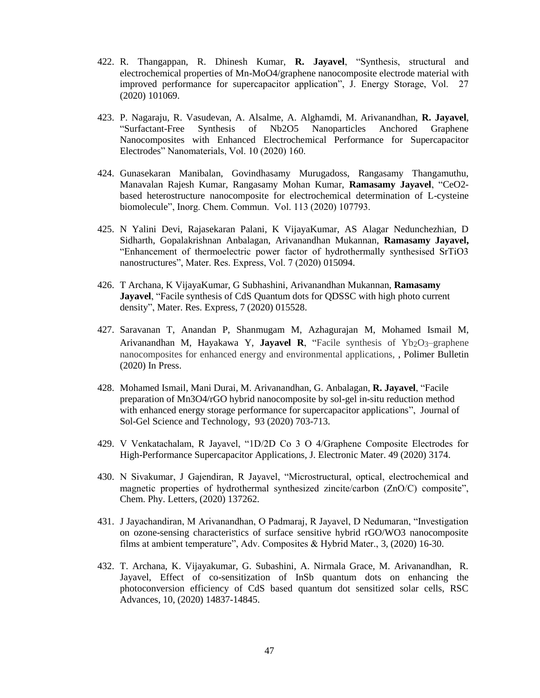- 422. R. Thangappan, R. Dhinesh Kumar, **R. Jayavel**, "Synthesis, structural and electrochemical properties of Mn-MoO4/graphene nanocomposite electrode material with improved performance for supercapacitor application", J. Energy Storage, Vol. 27 (2020) 101069.
- 423. P. Nagaraju, R. Vasudevan, A. Alsalme, A. Alghamdi, M. Arivanandhan, **R. Jayavel**, "Surfactant-Free Synthesis of Nb2O5 Nanoparticles Anchored Graphene Nanocomposites with Enhanced Electrochemical Performance for Supercapacitor Electrodes" Nanomaterials, Vol. 10 (2020) 160.
- 424. Gunasekaran Manibalan, Govindhasamy Murugadoss, Rangasamy Thangamuthu, Manavalan Rajesh Kumar, Rangasamy Mohan Kumar, **Ramasamy Jayavel**, "CeO2 based heterostructure nanocomposite for electrochemical determination of L-cysteine biomolecule", Inorg. Chem. Commun. Vol. 113 (2020) 107793.
- 425. N Yalini Devi, Rajasekaran Palani, K VijayaKumar, AS Alagar Nedunchezhian, D Sidharth, Gopalakrishnan Anbalagan, Arivanandhan Mukannan, **Ramasamy Jayavel,**  "Enhancement of thermoelectric power factor of hydrothermally synthesised SrTiO3 nanostructures", Mater. Res. Express, Vol. 7 (2020) 015094.
- 426. T Archana, K VijayaKumar, G Subhashini, Arivanandhan Mukannan, **Ramasamy Jayavel**, "Facile synthesis of CdS Quantum dots for QDSSC with high photo current density", Mater. Res. Express, 7 (2020) 015528.
- 427. Saravanan T, Anandan P, Shanmugam M, Azhagurajan M, Mohamed Ismail M, Arivanandhan M, Hayakawa Y, **Jayavel R**, "Facile synthesis of Yb2O3–graphene nanocomposites for enhanced energy and environmental applications, , Polimer Bulletin (2020) In Press.
- 428. Mohamed Ismail, Mani Durai, M. Arivanandhan, G. Anbalagan, **R. Jayavel**, "Facile preparation of Mn3O4/rGO hybrid nanocomposite by sol-gel in-situ reduction method with enhanced energy storage performance for supercapacitor applications", Journal of Sol-Gel Science and Technology, 93 (2020) 703-713.
- 429. V Venkatachalam, R Jayavel, "1D/2D Co 3 O 4/Graphene Composite Electrodes for High-Performance Supercapacitor Applications, J. Electronic Mater. 49 (2020) 3174.
- 430. N Sivakumar, J Gajendiran, R Jayavel, "Microstructural, optical, electrochemical and magnetic properties of hydrothermal synthesized zincite/carbon (ZnO/C) composite", Chem. Phy. Letters, (2020) 137262.
- 431. J Jayachandiran, M Arivanandhan, O Padmaraj, R Jayavel, D Nedumaran, "Investigation on ozone-sensing characteristics of surface sensitive hybrid rGO/WO3 nanocomposite films at ambient temperature", Adv. Composites & Hybrid Mater., 3, (2020) 16-30.
- 432. T. Archana, K. Vijayakumar, G. Subashini, A. Nirmala Grace, M. Arivanandhan, R. Jayavel, Effect of co-sensitization of InSb quantum dots on enhancing the photoconversion efficiency of CdS based quantum dot sensitized solar cells, RSC Advances, 10, (2020) 14837-14845.